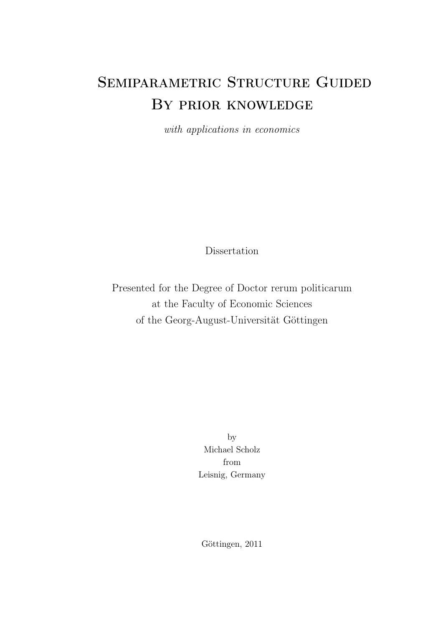# SEMIPARAMETRIC STRUCTURE GUIDED By prior knowledge

with applications in economics

**Dissertation** 

Presented for the Degree of Doctor rerum politicarum at the Faculty of Economic Sciences of the Georg-August-Universität Göttingen

> by Michael Scholz from Leisnig, Germany

Göttingen, 2011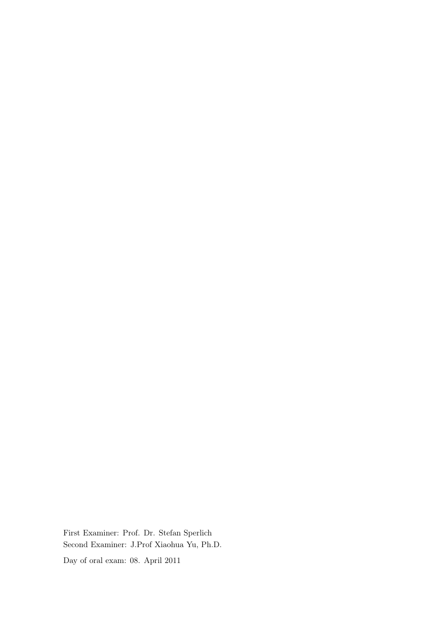First Examiner: Prof. Dr. Stefan Sperlich Second Examiner: J.Prof Xiaohua Yu, Ph.D. Day of oral exam: 08. April 2011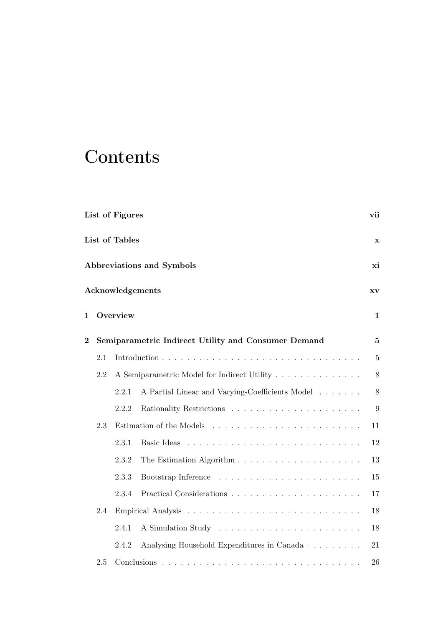# **Contents**

|                |                               | List of Figures |                                                     | vii            |  |  |  |
|----------------|-------------------------------|-----------------|-----------------------------------------------------|----------------|--|--|--|
|                | List of Tables<br>$\mathbf x$ |                 |                                                     |                |  |  |  |
|                |                               |                 | Abbreviations and Symbols                           | хi             |  |  |  |
|                |                               |                 | Acknowledgements                                    | <b>XV</b>      |  |  |  |
| 1              |                               | Overview        |                                                     | $\mathbf{1}$   |  |  |  |
| $\overline{2}$ |                               |                 | Semiparametric Indirect Utility and Consumer Demand | $\mathbf{5}$   |  |  |  |
|                | 2.1                           |                 |                                                     | $\overline{5}$ |  |  |  |
|                | 2.2                           |                 | A Semiparametric Model for Indirect Utility         | 8              |  |  |  |
|                |                               | 2.2.1           | A Partial Linear and Varying-Coefficients Model     | 8              |  |  |  |
|                |                               | 2.2.2           |                                                     | 9              |  |  |  |
|                | 2.3                           |                 |                                                     | 11             |  |  |  |
|                |                               | 2.3.1           |                                                     | 12             |  |  |  |
|                |                               | 2.3.2           |                                                     | 13             |  |  |  |
|                |                               | 2.3.3           |                                                     | 15             |  |  |  |
|                |                               | 2.3.4           |                                                     | 17             |  |  |  |
|                | 2.4                           |                 |                                                     | 18             |  |  |  |
|                |                               | 2.4.1           |                                                     | 18             |  |  |  |
|                |                               | 2.4.2           | Analysing Household Expenditures in Canada          | 21             |  |  |  |
|                | 2.5                           |                 |                                                     | 26             |  |  |  |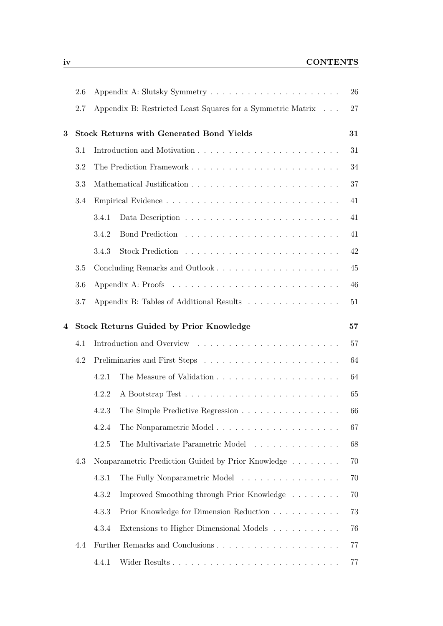|   | 2.6     |       |                                                             | 26 |
|---|---------|-------|-------------------------------------------------------------|----|
|   | 2.7     |       | Appendix B: Restricted Least Squares for a Symmetric Matrix | 27 |
| 3 |         |       | <b>Stock Returns with Generated Bond Yields</b>             | 31 |
|   | 3.1     |       |                                                             | 31 |
|   | 3.2     |       |                                                             | 34 |
|   | 3.3     |       |                                                             | 37 |
|   | $3.4\,$ |       |                                                             | 41 |
|   |         | 3.4.1 |                                                             | 41 |
|   |         | 3.4.2 |                                                             | 41 |
|   |         | 3.4.3 |                                                             | 42 |
|   | 3.5     |       | Concluding Remarks and Outlook                              | 45 |
|   | 3.6     |       |                                                             | 46 |
|   | 3.7     |       | Appendix B: Tables of Additional Results                    | 51 |
| 4 |         |       | <b>Stock Returns Guided by Prior Knowledge</b>              | 57 |
|   | 4.1     |       |                                                             | 57 |
|   | 4.2     |       |                                                             | 64 |
|   |         | 4.2.1 |                                                             | 64 |
|   |         | 4.2.2 |                                                             | 65 |
|   |         | 4.2.3 | The Simple Predictive Regression                            | 66 |
|   |         | 4.2.4 | The Nonparametric Model                                     | 67 |
|   |         | 4.2.5 | The Multivariate Parametric Model                           | 68 |
|   | 4.3     |       | Nonparametric Prediction Guided by Prior Knowledge          | 70 |
|   |         | 4.3.1 | The Fully Nonparametric Model                               | 70 |
|   |         | 4.3.2 | Improved Smoothing through Prior Knowledge                  | 70 |
|   |         | 4.3.3 | Prior Knowledge for Dimension Reduction                     | 73 |
|   |         | 4.3.4 | Extensions to Higher Dimensional Models                     | 76 |
|   | 4.4     |       |                                                             | 77 |
|   |         | 4.4.1 |                                                             | 77 |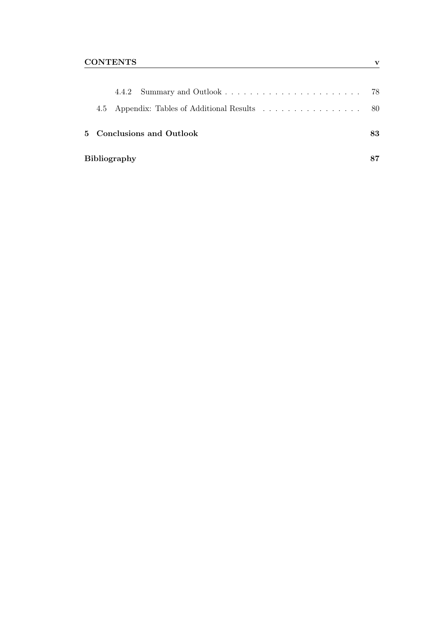|  |                     | 4.5 Appendix: Tables of Additional Results 80 |    |
|--|---------------------|-----------------------------------------------|----|
|  |                     | 5 Conclusions and Outlook                     | 83 |
|  | <b>Bibliography</b> |                                               |    |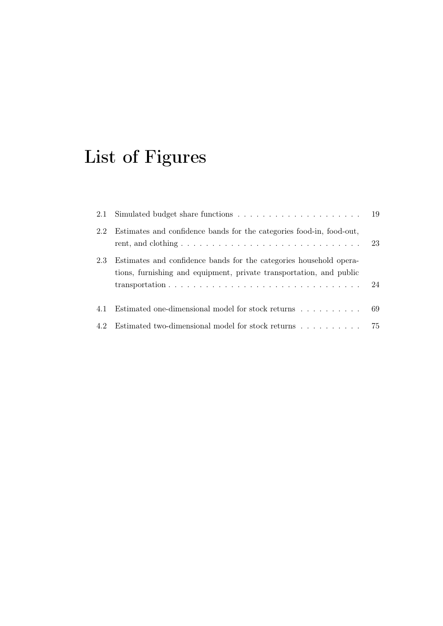# List of Figures

<span id="page-6-0"></span>

| 2.1 |                                                                                                                                           |    |
|-----|-------------------------------------------------------------------------------------------------------------------------------------------|----|
| 2.2 | Estimates and confidence bands for the categories food-in, food-out,                                                                      | 23 |
| 2.3 | Estimates and confidence bands for the categories household opera-<br>tions, furnishing and equipment, private transportation, and public |    |
| 4.1 | Estimated one-dimensional model for stock returns                                                                                         | 69 |
| 4.2 | Estimated two-dimensional model for stock returns                                                                                         | 75 |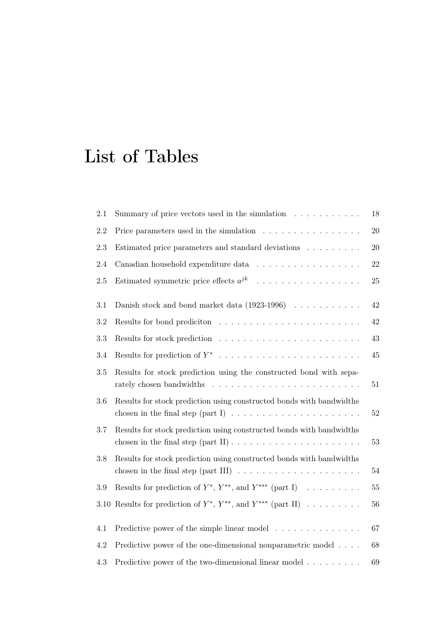# List of Tables

<span id="page-8-0"></span>

| 2.1     | Summary of price vectors used in the simulation $\ldots \ldots \ldots$                                                                                              | $18\,$ |
|---------|---------------------------------------------------------------------------------------------------------------------------------------------------------------------|--------|
| 2.2     | Price parameters used in the simulation $\ldots \ldots \ldots \ldots \ldots$                                                                                        | 20     |
| $2.3\,$ | Estimated price parameters and standard deviations                                                                                                                  | 20     |
| $2.4\,$ | Canadian household expenditure data                                                                                                                                 | $22\,$ |
| 2.5     | Estimated symmetric price effects $a^{jk}$                                                                                                                          | 25     |
| 3.1     | Danish stock and bond market data $(1923-1996)$                                                                                                                     | 42     |
| $3.2\,$ |                                                                                                                                                                     | $42\,$ |
| 3.3     |                                                                                                                                                                     | 43     |
| 3.4     |                                                                                                                                                                     | 45     |
| 3.5     | Results for stock prediction using the constructed bond with sepa-                                                                                                  | 51     |
| 3.6     | Results for stock prediction using constructed bonds with bandwidths<br>chosen in the final step (part I) $\ldots \ldots \ldots \ldots \ldots \ldots \ldots$        | $52\,$ |
| 3.7     | Results for stock prediction using constructed bonds with bandwidths<br>chosen in the final step $(\text{part II}) \dots \dots \dots \dots \dots \dots \dots \dots$ | 53     |
| 3.8     | Results for stock prediction using constructed bonds with bandwidths<br>chosen in the final step (part III) $\ldots \ldots \ldots \ldots \ldots \ldots \ldots$      | $54\,$ |
| 3.9     | Results for prediction of $Y^*$ , $Y^{**}$ , and $Y^{***}$ (part I)                                                                                                 | $55\,$ |
|         | 3.10 Results for prediction of $Y^*$ , $Y^{**}$ , and $Y^{***}$ (part II)                                                                                           | $56\,$ |
| 4.1     | Predictive power of the simple linear model                                                                                                                         | 67     |
| 4.2     | Predictive power of the one-dimensional nonparametric model                                                                                                         | 68     |
| 4.3     | Predictive power of the two-dimensional linear model                                                                                                                | 69     |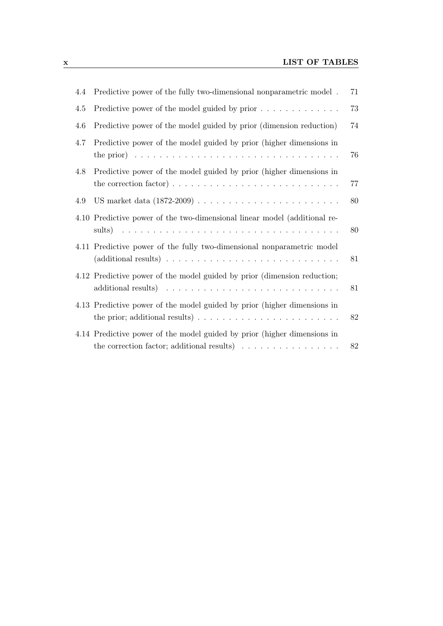| 4.4 | Predictive power of the fully two-dimensional nonparametric model.                                                                                                      | 71 |
|-----|-------------------------------------------------------------------------------------------------------------------------------------------------------------------------|----|
| 4.5 | Predictive power of the model guided by prior                                                                                                                           | 73 |
| 4.6 | Predictive power of the model guided by prior (dimension reduction)                                                                                                     | 74 |
| 4.7 | Predictive power of the model guided by prior (higher dimensions in<br>the prior) $\ldots \ldots \ldots \ldots \ldots \ldots \ldots \ldots \ldots \ldots \ldots \ldots$ | 76 |
| 4.8 | Predictive power of the model guided by prior (higher dimensions in<br>the correction factor) $\dots \dots \dots \dots \dots \dots \dots \dots \dots \dots \dots$       | 77 |
| 4.9 |                                                                                                                                                                         | 80 |
|     | 4.10 Predictive power of the two-dimensional linear model (additional re-                                                                                               | 80 |
|     | 4.11 Predictive power of the fully two-dimensional nonparametric model                                                                                                  | 81 |
|     | 4.12 Predictive power of the model guided by prior (dimension reduction;                                                                                                | 81 |
|     | 4.13 Predictive power of the model guided by prior (higher dimensions in<br>the prior; additional results) $\ldots \ldots \ldots \ldots \ldots \ldots \ldots \ldots$    | 82 |
|     | 4.14 Predictive power of the model guided by prior (higher dimensions in<br>the correction factor; additional results) $\ldots \ldots \ldots \ldots \ldots$             | 82 |
|     |                                                                                                                                                                         |    |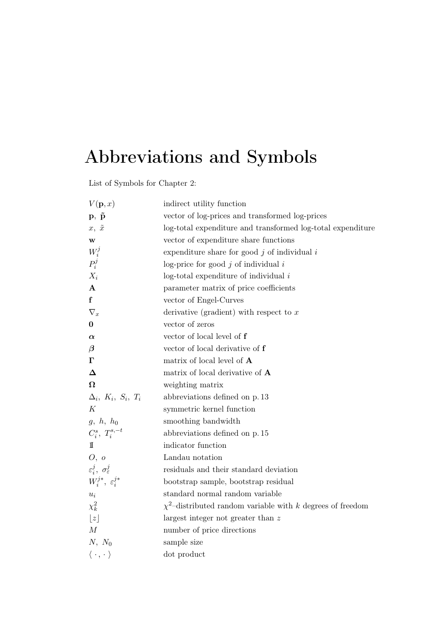# Abbreviations and Symbols

List of Symbols for Chapter [2:](#page-20-0)

<span id="page-10-0"></span>

| $V(\mathbf{p},x)$                            | indirect utility function                                       |
|----------------------------------------------|-----------------------------------------------------------------|
| $\mathbf{p}, \ \tilde{\mathbf{p}}$           | vector of log-prices and transformed log-prices                 |
| $x, \tilde{x}$                               | log-total expenditure and transformed log-total expenditure     |
| $\mathbf{W}$                                 | vector of expenditure share functions                           |
|                                              | expenditure share for good $j$ of individual $i$                |
| $W_i^j$ $P_i^j$                              | log-price for good $j$ of individual $i$                        |
| $X_i$                                        | $log$ -total expenditure of individual $i$                      |
| ${\bf A}$                                    | parameter matrix of price coefficients                          |
| f                                            | vector of Engel-Curves                                          |
| $\nabla_x$                                   | derivative (gradient) with respect to $x$                       |
| $\boldsymbol{0}$                             | vector of zeros                                                 |
| $\alpha$                                     | vector of local level of f                                      |
| $\boldsymbol{\beta}$                         | vector of local derivative of f                                 |
| $\Gamma$                                     | matrix of local level of A                                      |
| $\Delta$                                     | matrix of local derivative of $A$                               |
| $\Omega$                                     | weighting matrix                                                |
| $\Delta_i$ , $K_i$ , $S_i$ , $T_i$           | abbreviations defined on p. 13                                  |
| К                                            | symmetric kernel function                                       |
| $g, h, h_0$                                  | smoothing bandwidth                                             |
| $C_i^s,\ T_i^{s,-t}$                         | abbreviations defined on p. 15                                  |
| 11                                           | indicator function                                              |
| O, o                                         | Landau notation                                                 |
| $\varepsilon_i^j$ , $\sigma_{\varepsilon}^j$ | residuals and their standard deviation                          |
| $W_i^{j*}, \varepsilon_i^{j*}$               | bootstrap sample, bootstrap residual                            |
| $u_i$                                        | standard normal random variable                                 |
| $\chi^2_k$                                   | $\chi^2$ -distributed random variable with k degrees of freedom |
| $\lfloor z \rfloor$                          | largest integer not greater than $z$                            |
| $\cal M$                                     | number of price directions                                      |
| $N, N_0$                                     | sample size                                                     |
| $\langle \, \cdot \, , \, \cdot \, \rangle$  | dot product                                                     |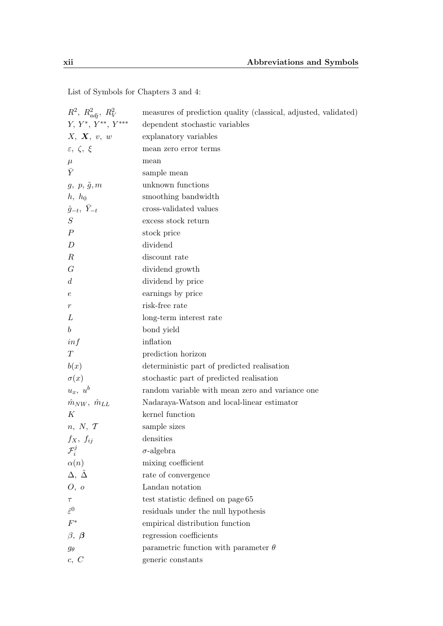| $R^2$ , $R^2_{adj}$ , $R^2_V$     | measures of prediction quality (classical, adjusted, validated) |
|-----------------------------------|-----------------------------------------------------------------|
| $Y, Y^*, Y^{**}, Y^{***}$         | dependent stochastic variables                                  |
| X, X, v, w                        | explanatory variables                                           |
| $\varepsilon, \zeta, \xi$         | mean zero error terms                                           |
| $\mu$                             | mean                                                            |
| $\bar{Y}$                         | sample mean                                                     |
| $g, p, \tilde{g}, m$              | unknown functions                                               |
| $h, h_0$                          | smoothing bandwidth                                             |
| $\hat{g}_{-t}, \overline{Y}_{-t}$ | cross-validated values                                          |
| S                                 | excess stock return                                             |
| $\boldsymbol{P}$                  | stock price                                                     |
| D                                 | dividend                                                        |
| $\boldsymbol{R}$                  | discount rate                                                   |
| G                                 | dividend growth                                                 |
| $\overline{d}$                    | dividend by price                                               |
| $\,e\,$                           | earnings by price                                               |
| $\,r\,$                           | risk-free rate                                                  |
| L                                 | long-term interest rate                                         |
| $\boldsymbol{b}$                  | bond yield                                                      |
| inf                               | inflation                                                       |
| T                                 | prediction horizon                                              |
| b(x)                              | deterministic part of predicted realisation                     |
| $\sigma(x)$                       | stochastic part of predicted realisation                        |
| $u_x, u^b$                        | random variable with mean zero and variance one                 |
| $\hat{m}_{NW}, \ \hat{m}_{LL}$    | Nadaraya-Watson and local-linear estimator                      |
| K                                 | kernel function                                                 |
| n, N, T                           | sample sizes                                                    |
| $f_X, f_{ij}$                     | densities                                                       |
| $\mathcal{F}^{\jmath}_i$          | $\sigma$ -algebra                                               |
| $\alpha(n)$                       | mixing coefficient                                              |
| $\Delta, \tilde{\Delta}$          | rate of convergence                                             |
| O, o                              | Landau notation                                                 |
| $\tau$                            | test statistic defined on page 65                               |
| $\hat{\varepsilon}^0$             | residuals under the null hypothesis                             |
| $F^\ast$                          | empirical distribution function                                 |
| $\beta, \beta$                    | regression coefficients                                         |
| $g_\theta$                        | parametric function with parameter $\theta$                     |
| c, C                              | generic constants                                               |

List of Symbols for Chapters [3](#page-46-0) and [4:](#page-72-0)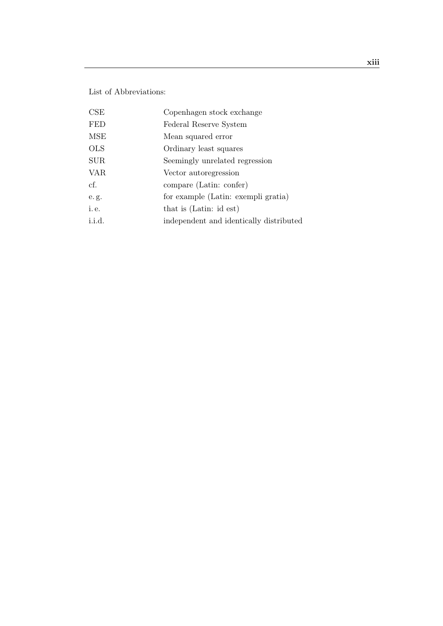List of Abbreviations:

| CSE        | Copenhagen stock exchange               |
|------------|-----------------------------------------|
| <b>FED</b> | Federal Reserve System                  |
| <b>MSE</b> | Mean squared error                      |
| <b>OLS</b> | Ordinary least squares                  |
| <b>SUR</b> | Seemingly unrelated regression          |
| <b>VAR</b> | Vector autoregression                   |
| cf.        | compare (Latin: confer)                 |
| e.g.       | for example (Latin: exempli gratia)     |
| i.e.       | that is (Latin: id est)                 |
| i.i.d.     | independent and identically distributed |
|            |                                         |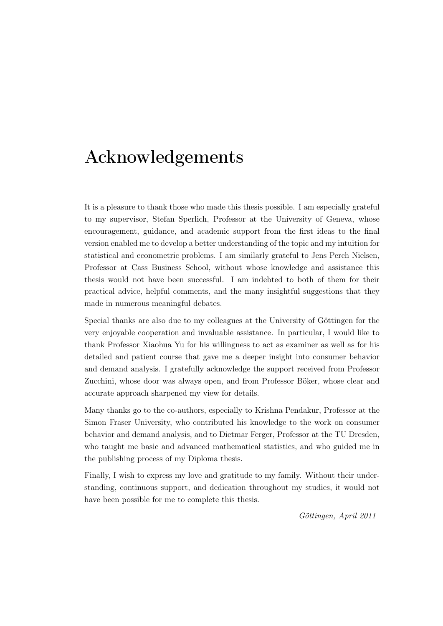# Acknowledgements

<span id="page-14-0"></span>It is a pleasure to thank those who made this thesis possible. I am especially grateful to my supervisor, Stefan Sperlich, Professor at the University of Geneva, whose encouragement, guidance, and academic support from the first ideas to the final version enabled me to develop a better understanding of the topic and my intuition for statistical and econometric problems. I am similarly grateful to Jens Perch Nielsen, Professor at Cass Business School, without whose knowledge and assistance this thesis would not have been successful. I am indebted to both of them for their practical advice, helpful comments, and the many insightful suggestions that they made in numerous meaningful debates.

Special thanks are also due to my colleagues at the University of Göttingen for the very enjoyable cooperation and invaluable assistance. In particular, I would like to thank Professor Xiaohua Yu for his willingness to act as examiner as well as for his detailed and patient course that gave me a deeper insight into consumer behavior and demand analysis. I gratefully acknowledge the support received from Professor Zucchini, whose door was always open, and from Professor Böker, whose clear and accurate approach sharpened my view for details.

Many thanks go to the co-authors, especially to Krishna Pendakur, Professor at the Simon Fraser University, who contributed his knowledge to the work on consumer behavior and demand analysis, and to Dietmar Ferger, Professor at the TU Dresden, who taught me basic and advanced mathematical statistics, and who guided me in the publishing process of my Diploma thesis.

Finally, I wish to express my love and gratitude to my family. Without their understanding, continuous support, and dedication throughout my studies, it would not have been possible for me to complete this thesis.

Göttingen, April 2011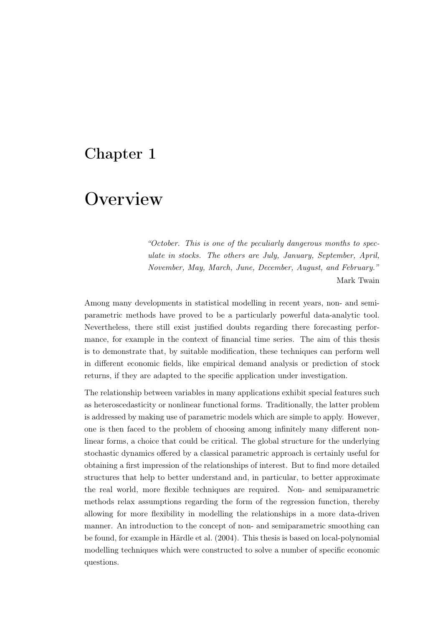## <span id="page-16-0"></span>Chapter 1

# **Overview**

"October. This is one of the peculiarly dangerous months to speculate in stocks. The others are July, January, September, April, November, May, March, June, December, August, and February." Mark Twain

Among many developments in statistical modelling in recent years, non- and semiparametric methods have proved to be a particularly powerful data-analytic tool. Nevertheless, there still exist justified doubts regarding there forecasting performance, for example in the context of financial time series. The aim of this thesis is to demonstrate that, by suitable modification, these techniques can perform well in different economic fields, like empirical demand analysis or prediction of stock returns, if they are adapted to the specific application under investigation.

The relationship between variables in many applications exhibit special features such as heteroscedasticity or nonlinear functional forms. Traditionally, the latter problem is addressed by making use of parametric models which are simple to apply. However, one is then faced to the problem of choosing among infinitely many different nonlinear forms, a choice that could be critical. The global structure for the underlying stochastic dynamics offered by a classical parametric approach is certainly useful for obtaining a first impression of the relationships of interest. But to find more detailed structures that help to better understand and, in particular, to better approximate the real world, more flexible techniques are required. Non- and semiparametric methods relax assumptions regarding the form of the regression function, thereby allowing for more flexibility in modelling the relationships in a more data-driven manner. An introduction to the concept of non- and semiparametric smoothing can be found, for example in [Härdle et al.](#page-106-0) [\(2004\)](#page-106-0). This thesis is based on local-polynomial modelling techniques which were constructed to solve a number of specific economic questions.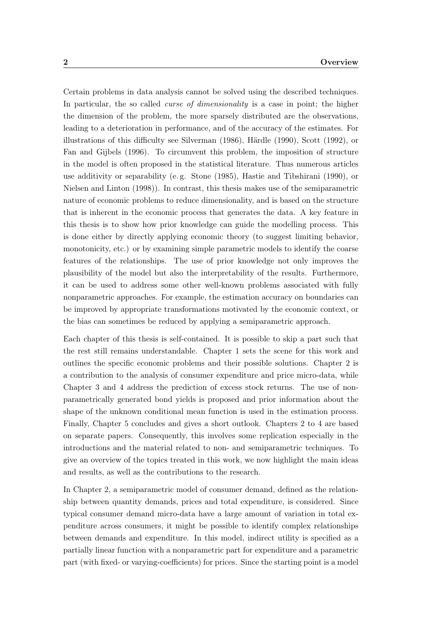Certain problems in data analysis cannot be solved using the described techniques. In particular, the so called *curse of dimensionality* is a case in point; the higher the dimension of the problem, the more sparsely distributed are the observations, leading to a deterioration in performance, and of the accuracy of the estimates. For illustrations of this difficulty see [Silverman](#page-110-0) [\(1986\)](#page-110-0), [Härdle](#page-106-1) [\(1990\)](#page-106-1), [Scott](#page-110-1) [\(1992\)](#page-110-1), or [Fan and Gijbels](#page-105-0) [\(1996\)](#page-105-0). To circumvent this problem, the imposition of structure in the model is often proposed in the statistical literature. Thus numerous articles use additivity or separability (e. g. [Stone](#page-110-2) [\(1985\)](#page-110-2), [Hastie and Tibshirani](#page-106-2) [\(1990\)](#page-106-2), or [Nielsen and Linton](#page-108-0) [\(1998\)](#page-108-0)). In contrast, this thesis makes use of the semiparametric nature of economic problems to reduce dimensionality, and is based on the structure that is inherent in the economic process that generates the data. A key feature in this thesis is to show how prior knowledge can guide the modelling process. This is done either by directly applying economic theory (to suggest limiting behavior, monotonicity, etc.) or by examining simple parametric models to identify the coarse features of the relationships. The use of prior knowledge not only improves the plausibility of the model but also the interpretability of the results. Furthermore, it can be used to address some other well-known problems associated with fully nonparametric approaches. For example, the estimation accuracy on boundaries can be improved by appropriate transformations motivated by the economic context, or the bias can sometimes be reduced by applying a semiparametric approach.

Each chapter of this thesis is self-contained. It is possible to skip a part such that the rest still remains understandable. Chapter [1](#page-16-0) sets the scene for this work and outlines the specific economic problems and their possible solutions. Chapter [2](#page-20-0) is a contribution to the analysis of consumer expenditure and price micro-data, while Chapter [3](#page-46-0) and [4](#page-72-0) address the prediction of excess stock returns. The use of nonparametrically generated bond yields is proposed and prior information about the shape of the unknown conditional mean function is used in the estimation process. Finally, Chapter [5](#page-98-0) concludes and gives a short outlook. Chapters [2](#page-20-0) to [4](#page-72-0) are based on separate papers. Consequently, this involves some replication especially in the introductions and the material related to non- and semiparametric techniques. To give an overview of the topics treated in this work, we now highlight the main ideas and results, as well as the contributions to the research.

In Chapter [2,](#page-20-0) a semiparametric model of consumer demand, defined as the relationship between quantity demands, prices and total expenditure, is considered. Since typical consumer demand micro-data have a large amount of variation in total expenditure across consumers, it might be possible to identify complex relationships between demands and expenditure. In this model, indirect utility is specified as a partially linear function with a nonparametric part for expenditure and a parametric part (with fixed- or varying-coefficients) for prices. Since the starting point is a model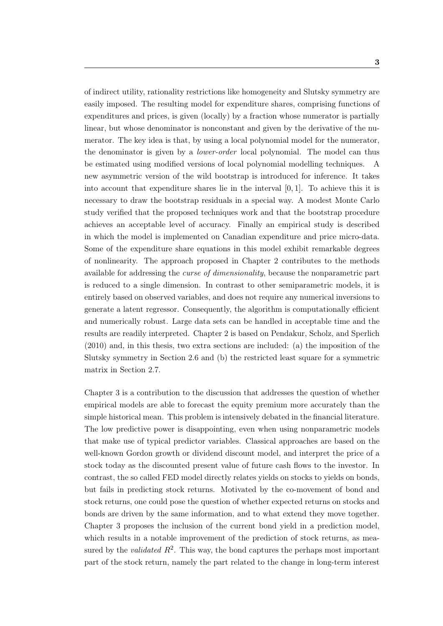of indirect utility, rationality restrictions like homogeneity and Slutsky symmetry are easily imposed. The resulting model for expenditure shares, comprising functions of expenditures and prices, is given (locally) by a fraction whose numerator is partially linear, but whose denominator is nonconstant and given by the derivative of the numerator. The key idea is that, by using a local polynomial model for the numerator, the denominator is given by a lower-order local polynomial. The model can thus be estimated using modified versions of local polynomial modelling techniques. A new asymmetric version of the wild bootstrap is introduced for inference. It takes into account that expenditure shares lie in the interval  $[0, 1]$ . To achieve this it is necessary to draw the bootstrap residuals in a special way. A modest Monte Carlo study verified that the proposed techniques work and that the bootstrap procedure achieves an acceptable level of accuracy. Finally an empirical study is described in which the model is implemented on Canadian expenditure and price micro-data. Some of the expenditure share equations in this model exhibit remarkable degrees of nonlinearity. The approach proposed in Chapter [2](#page-20-0) contributes to the methods available for addressing the curse of dimensionality, because the nonparametric part is reduced to a single dimension. In contrast to other semiparametric models, it is entirely based on observed variables, and does not require any numerical inversions to generate a latent regressor. Consequently, the algorithm is computationally efficient and numerically robust. Large data sets can be handled in acceptable time and the results are readily interpreted. Chapter [2](#page-20-0) is based on [Pendakur, Scholz, and Sperlich](#page-109-0) [\(2010\)](#page-109-0) and, in this thesis, two extra sections are included: (a) the imposition of the Slutsky symmetry in Section [2.6](#page-41-1) and (b) the restricted least square for a symmetric matrix in Section [2.7.](#page-42-0)

Chapter [3](#page-46-0) is a contribution to the discussion that addresses the question of whether empirical models are able to forecast the equity premium more accurately than the simple historical mean. This problem is intensively debated in the financial literature. The low predictive power is disappointing, even when using nonparametric models that make use of typical predictor variables. Classical approaches are based on the well-known Gordon growth or dividend discount model, and interpret the price of a stock today as the discounted present value of future cash flows to the investor. In contrast, the so called FED model directly relates yields on stocks to yields on bonds, but fails in predicting stock returns. Motivated by the co-movement of bond and stock returns, one could pose the question of whether expected returns on stocks and bonds are driven by the same information, and to what extend they move together. Chapter [3](#page-46-0) proposes the inclusion of the current bond yield in a prediction model, which results in a notable improvement of the prediction of stock returns, as measured by the *validated*  $R^2$ . This way, the bond captures the perhaps most important part of the stock return, namely the part related to the change in long-term interest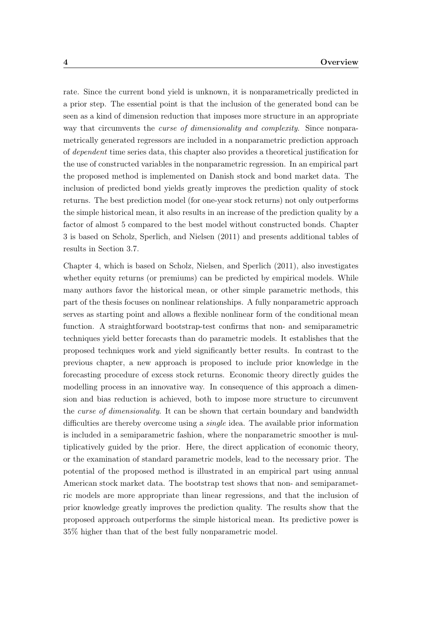rate. Since the current bond yield is unknown, it is nonparametrically predicted in a prior step. The essential point is that the inclusion of the generated bond can be seen as a kind of dimension reduction that imposes more structure in an appropriate way that circumvents the *curse of dimensionality and complexity*. Since nonparametrically generated regressors are included in a nonparametric prediction approach of dependent time series data, this chapter also provides a theoretical justification for the use of constructed variables in the nonparametric regression. In an empirical part the proposed method is implemented on Danish stock and bond market data. The inclusion of predicted bond yields greatly improves the prediction quality of stock returns. The best prediction model (for one-year stock returns) not only outperforms the simple historical mean, it also results in an increase of the prediction quality by a factor of almost 5 compared to the best model without constructed bonds. Chapter [3](#page-46-0) is based on [Scholz, Sperlich, and Nielsen](#page-110-3) [\(2011\)](#page-110-3) and presents additional tables of results in Section [3.7.](#page-66-0)

Chapter [4,](#page-72-0) which is based on [Scholz, Nielsen, and Sperlich](#page-110-4) [\(2011\)](#page-110-4), also investigates whether equity returns (or premiums) can be predicted by empirical models. While many authors favor the historical mean, or other simple parametric methods, this part of the thesis focuses on nonlinear relationships. A fully nonparametric approach serves as starting point and allows a flexible nonlinear form of the conditional mean function. A straightforward bootstrap-test confirms that non- and semiparametric techniques yield better forecasts than do parametric models. It establishes that the proposed techniques work and yield significantly better results. In contrast to the previous chapter, a new approach is proposed to include prior knowledge in the forecasting procedure of excess stock returns. Economic theory directly guides the modelling process in an innovative way. In consequence of this approach a dimension and bias reduction is achieved, both to impose more structure to circumvent the *curse of dimensionality*. It can be shown that certain boundary and bandwidth difficulties are thereby overcome using a *single* idea. The available prior information is included in a semiparametric fashion, where the nonparametric smoother is multiplicatively guided by the prior. Here, the direct application of economic theory, or the examination of standard parametric models, lead to the necessary prior. The potential of the proposed method is illustrated in an empirical part using annual American stock market data. The bootstrap test shows that non- and semiparametric models are more appropriate than linear regressions, and that the inclusion of prior knowledge greatly improves the prediction quality. The results show that the proposed approach outperforms the simple historical mean. Its predictive power is 35% higher than that of the best fully nonparametric model.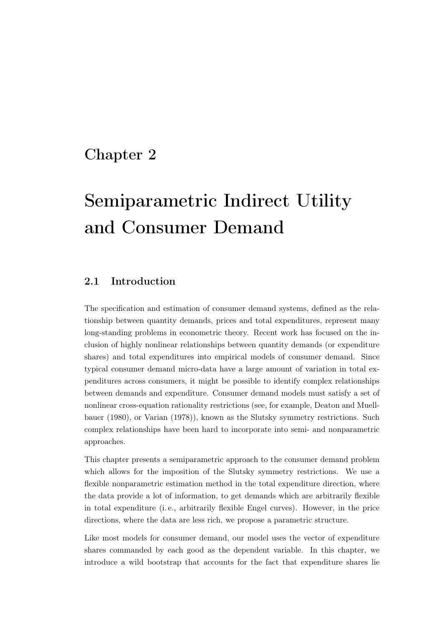## <span id="page-20-0"></span>Chapter 2

# Semiparametric Indirect Utility and Consumer Demand

## <span id="page-20-1"></span>2.1 Introduction

The specification and estimation of consumer demand systems, defined as the relationship between quantity demands, prices and total expenditures, represent many long-standing problems in econometric theory. Recent work has focused on the inclusion of highly nonlinear relationships between quantity demands (or expenditure shares) and total expenditures into empirical models of consumer demand. Since typical consumer demand micro-data have a large amount of variation in total expenditures across consumers, it might be possible to identify complex relationships between demands and expenditure. Consumer demand models must satisfy a set of nonlinear cross-equation rationality restrictions (see, for example, [Deaton and Muell](#page-104-0)[bauer](#page-104-0) [\(1980\)](#page-104-0), or [Varian](#page-111-0) [\(1978\)](#page-111-0)), known as the Slutsky symmetry restrictions. Such complex relationships have been hard to incorporate into semi- and nonparametric approaches.

This chapter presents a semiparametric approach to the consumer demand problem which allows for the imposition of the Slutsky symmetry restrictions. We use a flexible nonparametric estimation method in the total expenditure direction, where the data provide a lot of information, to get demands which are arbitrarily flexible in total expenditure (i. e., arbitrarily flexible Engel curves). However, in the price directions, where the data are less rich, we propose a parametric structure.

Like most models for consumer demand, our model uses the vector of expenditure shares commanded by each good as the dependent variable. In this chapter, we introduce a wild bootstrap that accounts for the fact that expenditure shares lie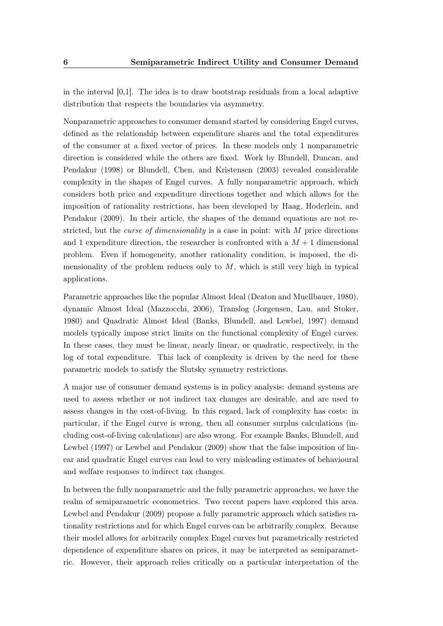in the interval  $[0,1]$ . The idea is to draw bootstrap residuals from a local adaptive distribution that respects the boundaries via asymmetry.

Nonparametric approaches to consumer demand started by considering Engel curves, defined as the relationship between expenditure shares and the total expenditures of the consumer at a fixed vector of prices. In these models only 1 nonparametric direction is considered while the others are fixed. Work by [Blundell, Duncan, and](#page-102-1) [Pendakur](#page-102-1) [\(1998\)](#page-102-1) or [Blundell, Chen, and Kristensen](#page-102-2) [\(2003\)](#page-102-2) revealed considerable complexity in the shapes of Engel curves. A fully nonparametric approach, which considers both price and expenditure directions together and which allows for the imposition of rationality restrictions, has been developed by [Haag, Hoderlein, and](#page-106-3) [Pendakur](#page-106-3) [\(2009\)](#page-106-3). In their article, the shapes of the demand equations are not restricted, but the curse of dimensionality is a case in point: with M price directions and 1 expenditure direction, the researcher is confronted with a  $M + 1$  dimensional problem. Even if homogeneity, another rationality condition, is imposed, the dimensionality of the problem reduces only to  $M$ , which is still very high in typical applications.

Parametric approaches like the popular Almost Ideal [\(Deaton and Muellbauer,](#page-104-0) [1980\)](#page-104-0), dynamic Almost Ideal [\(Mazzocchi,](#page-108-1) [2006\)](#page-108-1), Translog [\(Jorgensen, Lau, and Stoker,](#page-106-4) [1980\)](#page-106-4) and Quadratic Almost Ideal [\(Banks, Blundell, and Lewbel,](#page-102-3) [1997\)](#page-102-3) demand models typically impose strict limits on the functional complexity of Engel curves. In these cases, they must be linear, nearly linear, or quadratic, respectively, in the log of total expenditure. This lack of complexity is driven by the need for these parametric models to satisfy the Slutsky symmetry restrictions.

A major use of consumer demand systems is in policy analysis: demand systems are used to assess whether or not indirect tax changes are desirable, and are used to assess changes in the cost-of-living. In this regard, lack of complexity has costs: in particular, if the Engel curve is wrong, then all consumer surplus calculations (including cost-of-living calculations) are also wrong. For example [Banks, Blundell, and](#page-102-3) [Lewbel](#page-102-3) [\(1997\)](#page-102-3) or [Lewbel and Pendakur](#page-107-0) [\(2009\)](#page-107-0) show that the false imposition of linear and quadratic Engel curves can lead to very misleading estimates of behavioural and welfare responses to indirect tax changes.

In between the fully nonparametric and the fully parametric approaches, we have the realm of semiparametric econometrics. Two recent papers have explored this area. [Lewbel and Pendakur](#page-107-0) [\(2009\)](#page-107-0) propose a fully parametric approach which satisfies rationality restrictions and for which Engel curves can be arbitrarily complex. Because their model allows for arbitrarily complex Engel curves but parametrically restricted dependence of expenditure shares on prices, it may be interpreted as semiparametric. However, their approach relies critically on a particular interpretation of the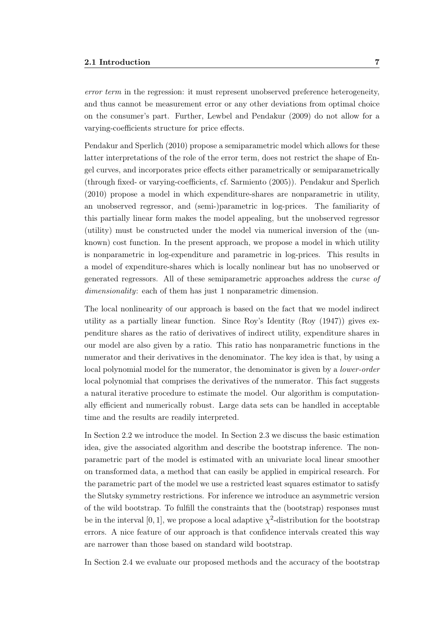error term in the regression: it must represent unobserved preference heterogeneity, and thus cannot be measurement error or any other deviations from optimal choice on the consumer's part. Further, [Lewbel and Pendakur](#page-107-0) [\(2009\)](#page-107-0) do not allow for a varying-coefficients structure for price effects.

[Pendakur and Sperlich](#page-109-1) [\(2010\)](#page-109-1) propose a semiparametric model which allows for these latter interpretations of the role of the error term, does not restrict the shape of Engel curves, and incorporates price effects either parametrically or semiparametrically (through fixed- or varying-coefficients, cf. [Sarmiento](#page-110-5) [\(2005\)](#page-110-5)). [Pendakur and Sperlich](#page-109-1) [\(2010\)](#page-109-1) propose a model in which expenditure-shares are nonparametric in utility, an unobserved regressor, and (semi-)parametric in log-prices. The familiarity of this partially linear form makes the model appealing, but the unobserved regressor (utility) must be constructed under the model via numerical inversion of the (unknown) cost function. In the present approach, we propose a model in which utility is nonparametric in log-expenditure and parametric in log-prices. This results in a model of expenditure-shares which is locally nonlinear but has no unobserved or generated regressors. All of these semiparametric approaches address the curse of dimensionality: each of them has just 1 nonparametric dimension.

The local nonlinearity of our approach is based on the fact that we model indirect utility as a partially linear function. Since Roy's Identity [\(Roy](#page-109-2) [\(1947\)](#page-109-2)) gives expenditure shares as the ratio of derivatives of indirect utility, expenditure shares in our model are also given by a ratio. This ratio has nonparametric functions in the numerator and their derivatives in the denominator. The key idea is that, by using a local polynomial model for the numerator, the denominator is given by a *lower-order* local polynomial that comprises the derivatives of the numerator. This fact suggests a natural iterative procedure to estimate the model. Our algorithm is computationally efficient and numerically robust. Large data sets can be handled in acceptable time and the results are readily interpreted.

In Section [2.2](#page-23-0) we introduce the model. In Section [2.3](#page-26-0) we discuss the basic estimation idea, give the associated algorithm and describe the bootstrap inference. The nonparametric part of the model is estimated with an univariate local linear smoother on transformed data, a method that can easily be applied in empirical research. For the parametric part of the model we use a restricted least squares estimator to satisfy the Slutsky symmetry restrictions. For inference we introduce an asymmetric version of the wild bootstrap. To fulfill the constraints that the (bootstrap) responses must be in the interval [0, 1], we propose a local adaptive  $\chi^2$ -distribution for the bootstrap errors. A nice feature of our approach is that confidence intervals created this way are narrower than those based on standard wild bootstrap.

In Section [2.4](#page-33-0) we evaluate our proposed methods and the accuracy of the bootstrap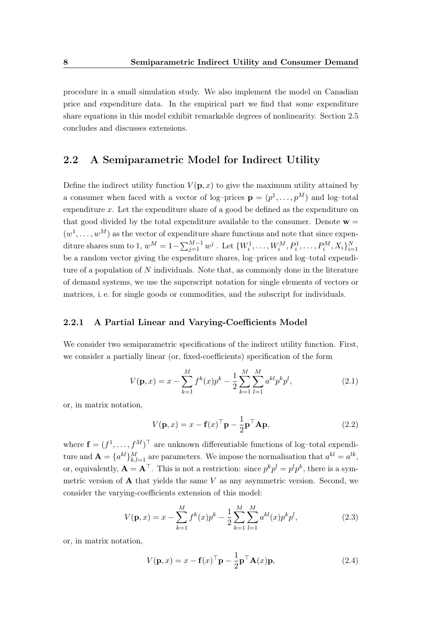procedure in a small simulation study. We also implement the model on Canadian price and expenditure data. In the empirical part we find that some expenditure share equations in this model exhibit remarkable degrees of nonlinearity. Section [2.5](#page-41-0) concludes and discusses extensions.

## <span id="page-23-0"></span>2.2 A Semiparametric Model for Indirect Utility

Define the indirect utility function  $V(\mathbf{p},x)$  to give the maximum utility attained by a consumer when faced with a vector of log-prices  $\mathbf{p} = (p^1, \dots, p^M)$  and log-total expenditure  $x$ . Let the expenditure share of a good be defined as the expenditure on that good divided by the total expenditure available to the consumer. Denote  $w =$  $(w^1, \ldots, w^M)$  as the vector of expenditure share functions and note that since expenditure shares sum to 1,  $w^M = 1 - \sum_{j=1}^{M-1} w^j$  . Let  $\{W_i^1, \ldots, W_i^M, P_i^1, \ldots, P_i^M, X_i\}_{i=1}^N$ be a random vector giving the expenditure shares, log–prices and log–total expenditure of a population of  $N$  individuals. Note that, as commonly done in the literature of demand systems, we use the superscript notation for single elements of vectors or matrices, i. e. for single goods or commodities, and the subscript for individuals.

### <span id="page-23-1"></span>2.2.1 A Partial Linear and Varying-Coefficients Model

We consider two semiparametric specifications of the indirect utility function. First, we consider a partially linear (or, fixed-coefficients) specification of the form

<span id="page-23-3"></span>
$$
V(\mathbf{p},x) = x - \sum_{k=1}^{M} f^k(x) p^k - \frac{1}{2} \sum_{k=1}^{M} \sum_{l=1}^{M} a^{kl} p^k p^l,
$$
\n(2.1)

or, in matrix notation,

$$
V(\mathbf{p},x) = x - \mathbf{f}(x)^{\top} \mathbf{p} - \frac{1}{2} \mathbf{p}^{\top} \mathbf{A} \mathbf{p},
$$
\n(2.2)

where  $\mathbf{f} = (f^1, \ldots, f^M)^\top$  are unknown differentiable functions of log-total expenditure and  $\mathbf{A} = \{a^{kl}\}_{k,l=1}^M$  are parameters. We impose the normalisation that  $a^{kl} = a^{lk}$ , or, equivalently,  $\mathbf{A} = \mathbf{A}^{\top}$ . This is not a restriction: since  $p^k p^l = p^l p^k$ , there is a symmetric version of  $\bf{A}$  that yields the same V as any asymmetric version. Second, we consider the varying-coefficients extension of this model:

<span id="page-23-2"></span>
$$
V(\mathbf{p},x) = x - \sum_{k=1}^{M} f^k(x)p^k - \frac{1}{2} \sum_{k=1}^{M} \sum_{l=1}^{M} a^{kl}(x)p^k p^l,
$$
\n(2.3)

or, in matrix notation,

$$
V(\mathbf{p},x) = x - \mathbf{f}(x)^{\top}\mathbf{p} - \frac{1}{2}\mathbf{p}^{\top}\mathbf{A}(x)\mathbf{p},
$$
\n(2.4)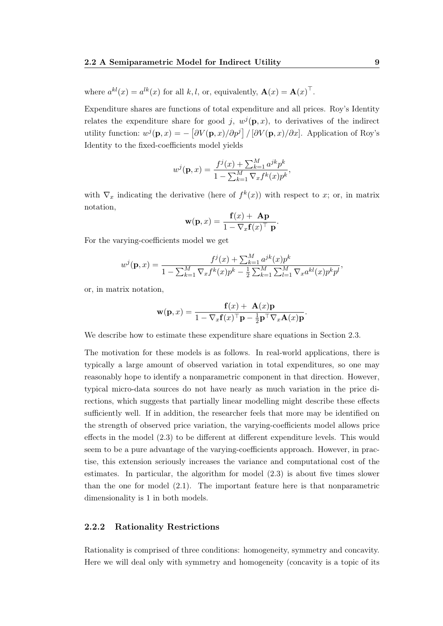where  $a^{kl}(x) = a^{lk}(x)$  for all k, l, or, equivalently,  $\mathbf{A}(x) = \mathbf{A}(x)^\top$ .

Expenditure shares are functions of total expenditure and all prices. Roy's Identity relates the expenditure share for good j,  $w^{j}(\mathbf{p},x)$ , to derivatives of the indirect utility function:  $w^{j}(\mathbf{p},x) = -\left[\partial V(\mathbf{p},x)/\partial p^{j}\right]/\left[\partial V(\mathbf{p},x)/\partial x\right]$ . Application of Roy's Identity to the fixed-coefficients model yields

$$
w^{j}(\mathbf{p},x) = \frac{f^{j}(x) + \sum_{k=1}^{M} a^{jk} p^{k}}{1 - \sum_{k=1}^{M} \nabla_{x} f^{k}(x) p^{k}},
$$

with  $\nabla_x$  indicating the derivative (here of  $f^k(x)$ ) with respect to x; or, in matrix notation,

$$
\mathbf{w}(\mathbf{p},x) = \frac{\mathbf{f}(x) + \mathbf{A}\mathbf{p}}{1 - \nabla_x \mathbf{f}(x)^\top \mathbf{p}}.
$$

For the varying-coefficients model we get

$$
w^{j}(\mathbf{p},x) = \frac{f^{j}(x) + \sum_{k=1}^{M} a^{jk}(x)p^{k}}{1 - \sum_{k=1}^{M} \nabla_{x} f^{k}(x)p^{k} - \frac{1}{2} \sum_{k=1}^{M} \sum_{l=1}^{M} \nabla_{x} a^{kl}(x)p^{k}p^{l}},
$$

or, in matrix notation,

$$
\mathbf{w}(\mathbf{p},x) = \frac{\mathbf{f}(x) + \mathbf{A}(x)\mathbf{p}}{1 - \nabla_x \mathbf{f}(x)^\top \mathbf{p} - \frac{1}{2}\mathbf{p}^\top \nabla_x \mathbf{A}(x)\mathbf{p}}
$$

.

We describe how to estimate these expenditure share equations in Section [2.3.](#page-26-0)

The motivation for these models is as follows. In real-world applications, there is typically a large amount of observed variation in total expenditures, so one may reasonably hope to identify a nonparametric component in that direction. However, typical micro-data sources do not have nearly as much variation in the price directions, which suggests that partially linear modelling might describe these effects sufficiently well. If in addition, the researcher feels that more may be identified on the strength of observed price variation, the varying-coefficients model allows price effects in the model [\(2.3\)](#page-23-2) to be different at different expenditure levels. This would seem to be a pure advantage of the varying-coefficients approach. However, in practise, this extension seriously increases the variance and computational cost of the estimates. In particular, the algorithm for model [\(2.3\)](#page-23-2) is about five times slower than the one for model [\(2.1\)](#page-23-3). The important feature here is that nonparametric dimensionality is 1 in both models.

### <span id="page-24-0"></span>2.2.2 Rationality Restrictions

Rationality is comprised of three conditions: homogeneity, symmetry and concavity. Here we will deal only with symmetry and homogeneity (concavity is a topic of its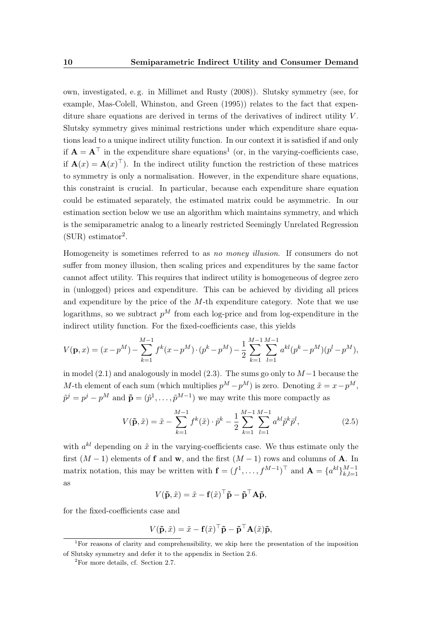own, investigated, e. g. in [Millimet and Rusty](#page-108-2) [\(2008\)](#page-108-2)). Slutsky symmetry (see, for example, [Mas-Colell, Whinston, and Green](#page-108-3) [\(1995\)](#page-108-3)) relates to the fact that expenditure share equations are derived in terms of the derivatives of indirect utility  $V$ . Slutsky symmetry gives minimal restrictions under which expenditure share equations lead to a unique indirect utility function. In our context it is satisfied if and only if  $A = A^{\top}$  in the expenditure share equations<sup>1</sup> (or, in the varying-coefficients case, if  $\mathbf{A}(x) = \mathbf{A}(x)^\top$ . In the indirect utility function the restriction of these matrices to symmetry is only a normalisation. However, in the expenditure share equations, this constraint is crucial. In particular, because each expenditure share equation could be estimated separately, the estimated matrix could be asymmetric. In our estimation section below we use an algorithm which maintains symmetry, and which is the semiparametric analog to a linearly restricted Seemingly Unrelated Regression  $(SUR)$  estimator<sup>2</sup>.

Homogeneity is sometimes referred to as no money illusion. If consumers do not suffer from money illusion, then scaling prices and expenditures by the same factor cannot affect utility. This requires that indirect utility is homogeneous of degree zero in (unlogged) prices and expenditure. This can be achieved by dividing all prices and expenditure by the price of the  $M$ -th expenditure category. Note that we use logarithms, so we subtract  $p^M$  from each log-price and from log-expenditure in the indirect utility function. For the fixed-coefficients case, this yields

$$
V(\mathbf{p},x) = (x - p^M) - \sum_{k=1}^{M-1} f^k(x - p^M) \cdot (p^k - p^M) - \frac{1}{2} \sum_{k=1}^{M-1} \sum_{l=1}^{M-1} a^{kl} (p^k - p^M)(p^l - p^M),
$$

in model [\(2.1\)](#page-23-3) and analogously in model [\(2.3\)](#page-23-2). The sums go only to  $M-1$  because the M-th element of each sum (which multiplies  $p^M - p^M$ ) is zero. Denoting  $\tilde{x} = x - p^M$ ,  $\tilde{p}^j = p^j - p^M$  and  $\tilde{\mathbf{p}} = (\tilde{p}^1, \dots, \tilde{p}^{M-1})$  we may write this more compactly as

$$
V(\tilde{\mathbf{p}}, \tilde{x}) = \tilde{x} - \sum_{k=1}^{M-1} f^k(\tilde{x}) \cdot \tilde{p}^k - \frac{1}{2} \sum_{k=1}^{M-1} \sum_{l=1}^{M-1} a^{kl} \tilde{p}^k \tilde{p}^l,
$$
\n(2.5)

with  $a^{kl}$  depending on  $\tilde{x}$  in the varying-coefficients case. We thus estimate only the first  $(M-1)$  elements of **f** and **w**, and the first  $(M-1)$  rows and columns of **A**. In matrix notation, this may be written with  $\mathbf{f} = (f^1, \ldots, f^{M-1})^\top$  and  $\mathbf{A} = \{a^{kl}\}_{k,l=1}^{M-1}$  $k,l=1$ as

$$
V(\mathbf{\tilde{p}}, \tilde{x}) = \tilde{x} - \mathbf{f}(\tilde{x})^{\top} \mathbf{\tilde{p}} - \mathbf{\tilde{p}}^{\top} \mathbf{A} \mathbf{\tilde{p}},
$$

for the fixed-coefficients case and

$$
V(\mathbf{\tilde{p}}, \tilde{x}) = \tilde{x} - \mathbf{f}(\tilde{x})^{\top} \mathbf{\tilde{p}} - \mathbf{\tilde{p}}^{\top} \mathbf{A}(\tilde{x}) \mathbf{\tilde{p}},
$$

<sup>&</sup>lt;sup>1</sup>For reasons of clarity and comprehensibility, we skip here the presentation of the imposition of Slutsky symmetry and defer it to the appendix in Section [2.6.](#page-41-1)

<sup>2</sup>For more details, cf. Section [2.7.](#page-42-0)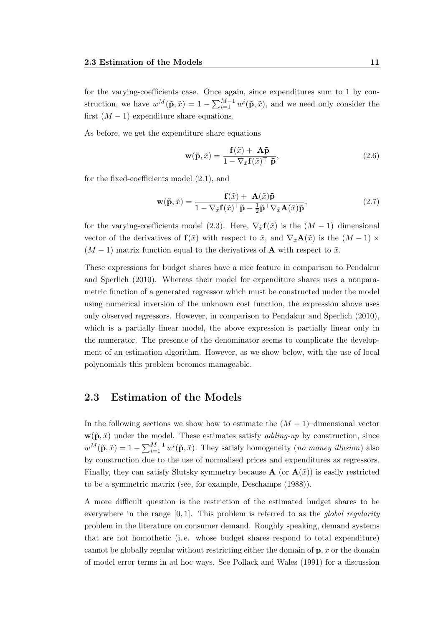for the varying-coefficients case. Once again, since expenditures sum to 1 by construction, we have  $w^M(\tilde{\mathbf{p}}, \tilde{x}) = 1 - \sum_{i=1}^{M-1} w^i(\tilde{\mathbf{p}}, \tilde{x})$ , and we need only consider the first  $(M - 1)$  expenditure share equations.

As before, we get the expenditure share equations

<span id="page-26-2"></span>
$$
\mathbf{w}(\tilde{\mathbf{p}}, \tilde{x}) = \frac{\mathbf{f}(\tilde{x}) + \mathbf{A}\tilde{\mathbf{p}}}{1 - \nabla_{\tilde{x}} \mathbf{f}(\tilde{x})^{\top} \tilde{\mathbf{p}}},
$$
(2.6)

for the fixed-coefficients model [\(2.1\)](#page-23-3), and

<span id="page-26-1"></span>
$$
\mathbf{w}(\tilde{\mathbf{p}}, \tilde{x}) = \frac{\mathbf{f}(\tilde{x}) + \mathbf{A}(\tilde{x})\tilde{\mathbf{p}}}{1 - \nabla_{\tilde{x}}\mathbf{f}(\tilde{x})^{\top}\tilde{\mathbf{p}} - \frac{1}{2}\tilde{\mathbf{p}}^{\top}\nabla_{\tilde{x}}\mathbf{A}(\tilde{x})\tilde{\mathbf{p}}},
$$
(2.7)

for the varying-coefficients model [\(2.3\)](#page-23-2). Here,  $\nabla_{\tilde{x}}\mathbf{f}(\tilde{x})$  is the  $(M-1)$ -dimensional vector of the derivatives of  $f(\tilde{x})$  with respect to  $\tilde{x}$ , and  $\nabla_{\tilde{x}}\mathbf{A}(\tilde{x})$  is the  $(M-1) \times$  $(M-1)$  matrix function equal to the derivatives of **A** with respect to  $\tilde{x}$ .

These expressions for budget shares have a nice feature in comparison to [Pendakur](#page-109-1) [and Sperlich](#page-109-1) [\(2010\)](#page-109-1). Whereas their model for expenditure shares uses a nonparametric function of a generated regressor which must be constructed under the model using numerical inversion of the unknown cost function, the expression above uses only observed regressors. However, in comparison to [Pendakur and Sperlich](#page-109-1) [\(2010\)](#page-109-1), which is a partially linear model, the above expression is partially linear only in the numerator. The presence of the denominator seems to complicate the development of an estimation algorithm. However, as we show below, with the use of local polynomials this problem becomes manageable.

### <span id="page-26-0"></span>2.3 Estimation of the Models

In the following sections we show how to estimate the  $(M-1)$ –dimensional vector  $\mathbf{w}(\tilde{\mathbf{p}}, \tilde{x})$  under the model. These estimates satisfy *adding-up* by construction, since  $w^M(\tilde{\mathbf{p}}, \tilde{x}) = 1 - \sum_{i=1}^{M-1} w^i(\tilde{\mathbf{p}}, \tilde{x})$ . They satisfy homogeneity (no money illusion) also by construction due to the use of normalised prices and expenditures as regressors. Finally, they can satisfy Slutsky symmetry because  $\mathbf{A}$  (or  $\mathbf{A}(\tilde{x})$ ) is easily restricted to be a symmetric matrix (see, for example, [Deschamps](#page-104-1) [\(1988\)](#page-104-1)).

A more difficult question is the restriction of the estimated budget shares to be everywhere in the range  $[0, 1]$ . This problem is referred to as the *global regularity* problem in the literature on consumer demand. Roughly speaking, demand systems that are not homothetic (i. e. whose budget shares respond to total expenditure) cannot be globally regular without restricting either the domain of  $\mathbf{p}, x$  or the domain of model error terms in ad hoc ways. See [Pollack and Wales](#page-109-3) [\(1991\)](#page-109-3) for a discussion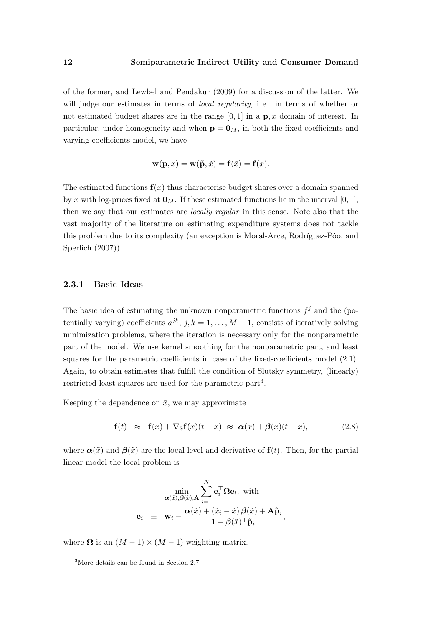of the former, and [Lewbel and Pendakur](#page-107-0) [\(2009\)](#page-107-0) for a discussion of the latter. We will judge our estimates in terms of *local regularity*, i.e. in terms of whether or not estimated budget shares are in the range  $[0, 1]$  in a  $\mathbf{p}, x$  domain of interest. In particular, under homogeneity and when  $p = 0_M$ , in both the fixed-coefficients and varying-coefficients model, we have

$$
\mathbf{w}(\mathbf{p},x) = \mathbf{w}(\tilde{\mathbf{p}},\tilde{x}) = \mathbf{f}(\tilde{x}) = \mathbf{f}(x).
$$

The estimated functions  $f(x)$  thus characterise budget shares over a domain spanned by x with log-prices fixed at  $\mathbf{0}_M$ . If these estimated functions lie in the interval [0, 1], then we say that our estimates are *locally regular* in this sense. Note also that the vast majority of the literature on estimating expenditure systems does not tackle this problem due to its complexity (an exception is [Moral-Arce, Rodríguez-Póo, and](#page-108-4) [Sperlich](#page-108-4) [\(2007\)](#page-108-4)).

#### <span id="page-27-0"></span>2.3.1 Basic Ideas

The basic idea of estimating the unknown nonparametric functions  $f^j$  and the (potentially varying) coefficients  $a^{jk}$ ,  $j, k = 1, ..., M - 1$ , consists of iteratively solving minimization problems, where the iteration is necessary only for the nonparametric part of the model. We use kernel smoothing for the nonparametric part, and least squares for the parametric coefficients in case of the fixed-coefficients model [\(2.1\)](#page-23-3). Again, to obtain estimates that fulfill the condition of Slutsky symmetry, (linearly) restricted least squares are used for the parametric part<sup>3</sup>.

Keeping the dependence on  $\tilde{x}$ , we may approximate

$$
\mathbf{f}(t) \approx \mathbf{f}(\tilde{x}) + \nabla_{\tilde{x}} \mathbf{f}(\tilde{x})(t - \tilde{x}) \approx \alpha(\tilde{x}) + \beta(\tilde{x})(t - \tilde{x}), \tag{2.8}
$$

where  $\alpha(\tilde{x})$  and  $\beta(\tilde{x})$  are the local level and derivative of  $f(t)$ . Then, for the partial linear model the local problem is

$$
\min_{\alpha(\tilde{x}), \beta(\tilde{x}), A} \sum_{i=1}^{N} \mathbf{e}_i^{\top} \Omega \mathbf{e}_i, \text{ with}
$$

$$
\mathbf{e}_i \equiv \mathbf{w}_i - \frac{\alpha(\tilde{x}) + (\tilde{x}_i - \tilde{x}) \beta(\tilde{x}) + A\tilde{\mathbf{p}}_i}{1 - \beta(\tilde{x})^{\top} \tilde{\mathbf{p}}_i},
$$

where  $\Omega$  is an  $(M-1) \times (M-1)$  weighting matrix.

<sup>3</sup>More details can be found in Section [2.7.](#page-42-0)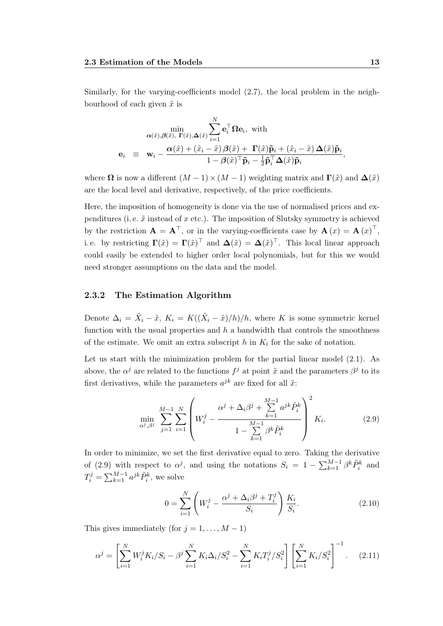Similarly, for the varying-coefficients model [\(2.7\)](#page-26-1), the local problem in the neighbourhood of each given  $\tilde{x}$  is

$$
\min_{\alpha(\tilde{x}),\beta(\tilde{x}),\ \Gamma(\tilde{x}),\Delta(\tilde{x})} \sum_{i=1}^{N} \mathbf{e}_{i}^{\top} \Omega \mathbf{e}_{i}, \text{ with}
$$
\n
$$
\mathbf{e}_{i} \equiv \mathbf{w}_{i} - \frac{\alpha(\tilde{x}) + (\tilde{x}_{i} - \tilde{x}) \beta(\tilde{x}) + \Gamma(\tilde{x}) \tilde{\mathbf{p}}_{i} + (\tilde{x}_{i} - \tilde{x}) \Delta(\tilde{x}) \tilde{\mathbf{p}}_{i}}{1 - \beta(\tilde{x})^{\top} \tilde{\mathbf{p}}_{i} - \frac{1}{2} \tilde{\mathbf{p}}_{i}^{\top} \Delta(\tilde{x}) \tilde{\mathbf{p}}_{i}},
$$

where  $\Omega$  is now a different  $(M-1) \times (M-1)$  weighting matrix and  $\Gamma(\tilde{x})$  and  $\Delta(\tilde{x})$ are the local level and derivative, respectively, of the price coefficients.

Here, the imposition of homogeneity is done via the use of normalised prices and expenditures (i.e.  $\tilde{x}$  instead of x etc.). The imposition of Slutsky symmetry is achieved by the restriction  $\mathbf{A} = \mathbf{A}^\top$ , or in the varying-coefficients case by  $\mathbf{A}(x) = \mathbf{A}(x)^\top$ , i.e. by restricting  $\Gamma(\tilde{x}) = \Gamma(\tilde{x})^{\top}$  and  $\Delta(\tilde{x}) = \Delta(\tilde{x})^{\top}$ . This local linear approach could easily be extended to higher order local polynomials, but for this we would need stronger assumptions on the data and the model.

#### <span id="page-28-0"></span>2.3.2 The Estimation Algorithm

Denote  $\Delta_i = \tilde{X}_i - \tilde{x}$ ,  $K_i = K((\tilde{X}_i - \tilde{x})/h)/h$ , where K is some symmetric kernel function with the usual properties and  $h$  a bandwidth that controls the smoothness of the estimate. We omit an extra subscript h in  $K_i$  for the sake of notation.

Let us start with the minimization problem for the partial linear model  $(2.1)$ . As above, the  $\alpha^j$  are related to the functions  $f^j$  at point  $\tilde{x}$  and the parameters  $\beta^j$  to its first derivatives, while the parameters  $a^{jk}$  are fixed for all  $\tilde{x}$ :

<span id="page-28-1"></span>
$$
\min_{\alpha^j, \beta^j} \sum_{j=1}^{M-1} \sum_{i=1}^N \left( W_i^j - \frac{\alpha^j + \Delta_i \beta^j + \sum_{k=1}^{M-1} a^{jk} \tilde{P}_i^k}{1 - \sum_{k=1}^{M-1} \beta^k \tilde{P}_i^k} \right)^2 K_i.
$$
 (2.9)

In order to minimize, we set the first derivative equal to zero. Taking the derivative of [\(2.9\)](#page-28-1) with respect to  $\alpha^j$ , and using the notations  $S_i = 1 - \sum_{k=1}^{M-1} \beta^k \tilde{P}_i^k$  and  $T_i^j = \sum_{k=1}^{M-1} a^{jk} \tilde{P}_i^k$ , we solve

$$
0 = \sum_{i=1}^{N} \left( W_i^j - \frac{\alpha^j + \Delta_i \beta^j + T_i^j}{S_i} \right) \frac{K_i}{S_i}.
$$
 (2.10)

This gives immediately (for  $j = 1, \ldots, M - 1$ )

$$
\alpha^j = \left[ \sum_{i=1}^N W_i^j K_i / S_i - \beta^j \sum_{i=1}^N K_i \Delta_i / S_i^2 - \sum_{i=1}^N K_i T_i^j / S_i^2 \right] \left[ \sum_{i=1}^N K_i / S_i^2 \right]^{-1}.
$$
 (2.11)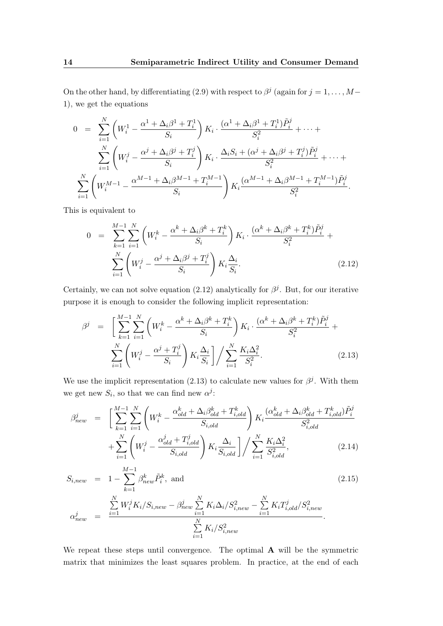On the other hand, by differentiating [\(2.9\)](#page-28-1) with respect to  $\beta^j$  (again for  $j = 1, \ldots, M-$ 1), we get the equations

$$
0 = \sum_{i=1}^{N} \left( W_i^1 - \frac{\alpha^1 + \Delta_i \beta^1 + T_i^1}{S_i} \right) K_i \cdot \frac{(\alpha^1 + \Delta_i \beta^1 + T_i^1) \tilde{P}_i^j}{S_i^2} + \dots + \sum_{i=1}^{N} \left( W_i^j - \frac{\alpha^j + \Delta_i \beta^j + T_i^j}{S_i} \right) K_i \cdot \frac{\Delta_i S_i + (\alpha^j + \Delta_i \beta^j + T_i^j) \tilde{P}_i^j}{S_i^2} + \dots + \sum_{i=1}^{N} \left( W_i^{M-1} - \frac{\alpha^{M-1} + \Delta_i \beta^{M-1} + T_i^{M-1}}{S_i} \right) K_i \frac{(\alpha^{M-1} + \Delta_i \beta^{M-1} + T_i^{M-1}) \tilde{P}_i^j}{S_i^2}.
$$

This is equivalent to

<span id="page-29-0"></span>
$$
0 = \sum_{k=1}^{M-1} \sum_{i=1}^{N} \left( W_i^k - \frac{\alpha^k + \Delta_i \beta^k + T_i^k}{S_i} \right) K_i \cdot \frac{(\alpha^k + \Delta_i \beta^k + T_i^k) \tilde{P}_i^j}{S_i^2} + \sum_{i=1}^{N} \left( W_i^j - \frac{\alpha^j + \Delta_i \beta^j + T_i^j}{S_i} \right) K_i \frac{\Delta_i}{S_i}.
$$
 (2.12)

Certainly, we can not solve equation [\(2.12\)](#page-29-0) analytically for  $\beta^j$ . But, for our iterative purpose it is enough to consider the following implicit representation:

<span id="page-29-1"></span>
$$
\beta^{j} = \left[ \sum_{k=1}^{M-1} \sum_{i=1}^{N} \left( W_{i}^{k} - \frac{\alpha^{k} + \Delta_{i} \beta^{k} + T_{i}^{k}}{S_{i}} \right) K_{i} \cdot \frac{(\alpha^{k} + \Delta_{i} \beta^{k} + T_{i}^{k}) \tilde{P}_{i}^{j}}{S_{i}^{2}} + \sum_{i=1}^{N} \left( W_{i}^{j} - \frac{\alpha^{j} + T_{i}^{j}}{S_{i}} \right) K_{i} \frac{\Delta_{i}}{S_{i}} \right] / \sum_{i=1}^{N} \frac{K_{i} \Delta_{i}^{2}}{S_{i}^{2}}.
$$
\n(2.13)

We use the implicit representation [\(2.13\)](#page-29-1) to calculate new values for  $\beta^j$ . With them we get new  $S_i$ , so that we can find new  $\alpha^j$ :

$$
\beta_{new}^{j} = \left[ \sum_{k=1}^{M-1} \sum_{i=1}^{N} \left( W_{i}^{k} - \frac{\alpha_{old}^{k} + \Delta_{i} \beta_{old}^{k} + T_{i,old}^{k}}{S_{i,old}} \right) K_{i} \frac{(\alpha_{old}^{k} + \Delta_{i} \beta_{old}^{k} + T_{i,old}^{k}) \tilde{P}_{i}^{j}}{S_{i,old}^{2}} + \sum_{i=1}^{N} \left( W_{i}^{j} - \frac{\alpha_{old}^{j} + T_{i,old}^{j}}{S_{i,old}} \right) K_{i} \frac{\Delta_{i}}{S_{i,old}} \right] / \sum_{i=1}^{N} \frac{K_{i} \Delta_{i}^{2}}{S_{i,old}^{2}},
$$
\n(2.14)

$$
S_{i,new} = 1 - \sum_{k=1}^{M-1} \beta_{new}^k \tilde{P}_i^k, \text{ and}
$$
\n
$$
\alpha_{new}^j = \frac{\sum_{i=1}^N W_i^j K_i / S_{i,new} - \beta_{new}^j \sum_{i=1}^N K_i \Delta_i / S_{i,new}^2 - \sum_{i=1}^N K_i T_{i,old}^j / S_{i,new}^2}{\sum_{i=1}^N K_i / S_{i,new}^2}.
$$
\n(2.15)

We repeat these steps until convergence. The optimal **A** will be the symmetric matrix that minimizes the least squares problem. In practice, at the end of each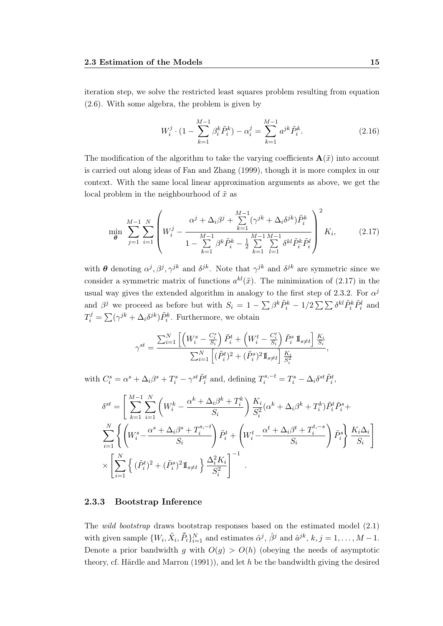iteration step, we solve the restricted least squares problem resulting from equation [\(2.6\)](#page-26-2). With some algebra, the problem is given by

$$
W_i^j \cdot (1 - \sum_{k=1}^{M-1} \beta_i^k \tilde{P}_i^k) - \alpha_i^j = \sum_{k=1}^{M-1} a^{jk} \tilde{P}_i^k.
$$
 (2.16)

The modification of the algorithm to take the varying coefficients  $\mathbf{A}(\tilde{x})$  into account is carried out along ideas of [Fan and Zhang](#page-105-1) [\(1999\)](#page-105-1), though it is more complex in our context. With the same local linear approximation arguments as above, we get the local problem in the neighbourhood of  $\tilde{x}$  as

<span id="page-30-1"></span>
$$
\min_{\theta} \sum_{j=1}^{M-1} \sum_{i=1}^{N} \left( W_i^j - \frac{\alpha^j + \Delta_i \beta^j + \sum_{k=1}^{M-1} (\gamma^{jk} + \Delta_i \delta^{jk}) \tilde{P}_i^k}{1 - \sum_{k=1}^{M-1} \beta^k \tilde{P}_i^k - \frac{1}{2} \sum_{k=1}^{M-1} \sum_{l=1}^{M-1} \delta^{kl} \tilde{P}_i^k \tilde{P}_i^l} \right)^2 K_i, \tag{2.17}
$$

with  $\theta$  denoting  $\alpha^j, \beta^j, \gamma^{jk}$  and  $\delta^{jk}$ . Note that  $\gamma^{jk}$  and  $\delta^{jk}$  are symmetric since we consider a symmetric matrix of functions  $a^{kl}(\tilde{x})$ . The minimization of [\(2.17\)](#page-30-1) in the usual way gives the extended algorithm in analogy to the first step of [2](#page-28-0).3.2. For  $\alpha^j$ and  $\beta^j$  we proceed as before but with  $S_i = 1 - \sum \beta^k \tilde{P}_i^k - 1/2 \sum \sum \delta^{kl} \tilde{P}_i^k \tilde{P}_i^l$  and  $T_i^j = \sum (\gamma^{jk} + \Delta_i \delta^{jk}) \tilde{P}_i^k$ . Furthermore, we obtain

$$
\gamma^{st} = \frac{\sum_{i=1}^N \left[ \left( W_i^s - \frac{C_i^s}{S_i} \right) \tilde{P}_i^t + \left( W_i^t - \frac{C_i^t}{S_i} \right) \tilde{P}_i^s \mathbb{I}_{s \neq t} \right] \frac{K_i}{S_i}}{\sum_{i=1}^N \left[ (\tilde{P}_i^t)^2 + (\tilde{P}_i^s)^2 \mathbb{I}_{s \neq t} \right] \frac{K_i}{S_i^2}},
$$

with  $C_i^s = \alpha^s + \Delta_i \beta^s + T_i^s - \gamma^{st} \tilde{P}_i^t$  and, defining  $T_i^{s,-t} = T_i^s - \Delta_i \delta^{st} \tilde{P}_i^t$ ,

$$
\delta^{st} = \left[ \sum_{k=1}^{M-1} \sum_{i=1}^{N} \left( W_i^k - \frac{\alpha^k + \Delta_i \beta^k + T_i^k}{S_i} \right) \frac{K_i}{S_i^2} (\alpha^k + \Delta_i \beta^k + T_i^k) \tilde{P}_i^t \tilde{P}_i^s + \sum_{i=1}^{N} \left\{ \left( W_i^s - \frac{\alpha^s + \Delta_i \beta^s + T_i^{s,-t}}{S_i} \right) \tilde{P}_i^t + \left( W_i^t - \frac{\alpha^t + \Delta_i \beta^t + T_i^{t,-s}}{S_i} \right) \tilde{P}_i^s \right\} \frac{K_i \Delta_i}{S_i} \right] \times \left[ \sum_{i=1}^{N} \left\{ (\tilde{P}_i^t)^2 + (\tilde{P}_i^s)^2 \mathbb{I}_{s \neq t} \right\} \frac{\Delta_i^2 K_i}{S_i^2} \right]^{-1} .
$$

#### <span id="page-30-0"></span>2.3.3 Bootstrap Inference

The wild bootstrap draws bootstrap responses based on the estimated model [\(2.1\)](#page-23-3) with given sample  $\{W_i, \tilde{X}_i, \tilde{P}_i\}_{i=1}^N$  and estimates  $\hat{\alpha}^j$ ,  $\hat{\beta}^j$  and  $\hat{a}^{jk}$ ,  $k, j = 1, ..., M - 1$ . Denote a prior bandwidth g with  $O(g) > O(h)$  (obeying the needs of asymptotic theory, cf. [Härdle and Marron](#page-106-5)  $(1991)$ , and let h be the bandwidth giving the desired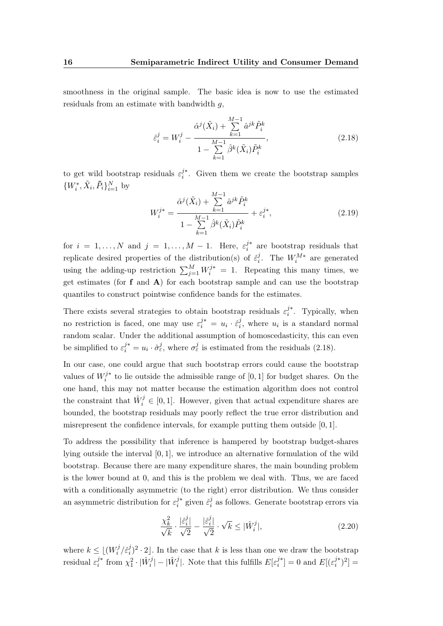smoothness in the original sample. The basic idea is now to use the estimated residuals from an estimate with bandwidth g,

<span id="page-31-0"></span>
$$
\hat{\varepsilon}_{i}^{j} = W_{i}^{j} - \frac{\hat{\alpha}^{j}(\tilde{X}_{i}) + \sum_{k=1}^{M-1} \hat{a}^{jk} \tilde{P}_{i}^{k}}{1 - \sum_{k=1}^{M-1} \hat{\beta}^{k}(\tilde{X}_{i}) \tilde{P}_{i}^{k}},
$$
\n(2.18)

to get wild bootstrap residuals  $\varepsilon_i^{j*}$  $i^*$ . Given them we create the bootstrap samples  $\{W_i^*, \tilde{X}_i, \tilde{P}_i\}_{i=1}^N$  by

$$
W_i^{j*} = \frac{\hat{\alpha}^j(\tilde{X}_i) + \sum_{k=1}^{M-1} \hat{a}^{jk} \tilde{P}_i^k}{1 - \sum_{k=1}^{M-1} \hat{\beta}^k(\tilde{X}_i) \tilde{P}_i^k} + \varepsilon_i^{j*},
$$
\n(2.19)

for  $i = 1, ..., N$  and  $j = 1, ..., M - 1$ . Here,  $\varepsilon_i^{j*}$  $i^{j*}$  are bootstrap residuals that replicate desired properties of the distribution(s) of  $\hat{\varepsilon}_i^j$  $i$ . The  $W_i^{M*}$  are generated using the adding-up restriction  $\sum_{j=1}^{M} W_i^{j*} = 1$ . Repeating this many times, we get estimates (for  $f$  and  $\bf{A}$ ) for each bootstrap sample and can use the bootstrap quantiles to construct pointwise confidence bands for the estimates.

There exists several strategies to obtain bootstrap residuals  $\varepsilon_i^{j*}$  $i^*$ . Typically, when no restriction is faced, one may use  $\varepsilon_i^{j*} = u_i \cdot \hat{\varepsilon}_i^j$  $i<sub>i</sub>$ , where  $u<sub>i</sub>$  is a standard normal random scalar. Under the additional assumption of homoscedasticity, this can even be simplified to  $\varepsilon_i^{j*} = u_i \cdot \hat{\sigma}_{\varepsilon}^j$ , where  $\sigma_{\varepsilon}^j$  is estimated from the residuals [\(2.18\)](#page-31-0).

In our case, one could argue that such bootstrap errors could cause the bootstrap values of  $W_i^{j*}$  $t_i^{j*}$  to lie outside the admissible range of  $[0, 1]$  for budget shares. On the one hand, this may not matter because the estimation algorithm does not control the constraint that  $\hat{W}_i^j \in [0,1]$ . However, given that actual expenditure shares are bounded, the bootstrap residuals may poorly reflect the true error distribution and misrepresent the confidence intervals, for example putting them outside [0, 1].

To address the possibility that inference is hampered by bootstrap budget-shares lying outside the interval [0, 1], we introduce an alternative formulation of the wild bootstrap. Because there are many expenditure shares, the main bounding problem is the lower bound at 0, and this is the problem we deal with. Thus, we are faced with a conditionally asymmetric (to the right) error distribution. We thus consider an asymmetric distribution for  $\varepsilon_i^{j*}$  $_{i}^{j*}$  given  $\hat{\varepsilon}_{i}^{j}$  $i<sub>i</sub>$  as follows. Generate bootstrap errors via

<span id="page-31-1"></span>
$$
\frac{\chi_k^2}{\sqrt{k}} \cdot \frac{|\hat{\varepsilon}_i^j|}{\sqrt{2}} - \frac{|\hat{\varepsilon}_i^j|}{\sqrt{2}} \cdot \sqrt{k} \le |\hat{W}_i^j|,\tag{2.20}
$$

where  $k \leq |(W_i^j)$  $\frac{j}{i}$  /  $\hat{\varepsilon}^j_i$  $\int_{i}^{j}$  2. In the case that k is less than one we draw the bootstrap residual  $\varepsilon_i^{j*}$  $j^*$  from  $\chi_1^2 \cdot |\hat{W}_i^j| - |\hat{W}_i^j|$ . Note that this fulfills  $E[\varepsilon_i^{j*}]$  $\binom{j^*}{i} = 0$  and  $E[(\varepsilon_i^{j^*})]$  $\binom{j*}{i}^2] =$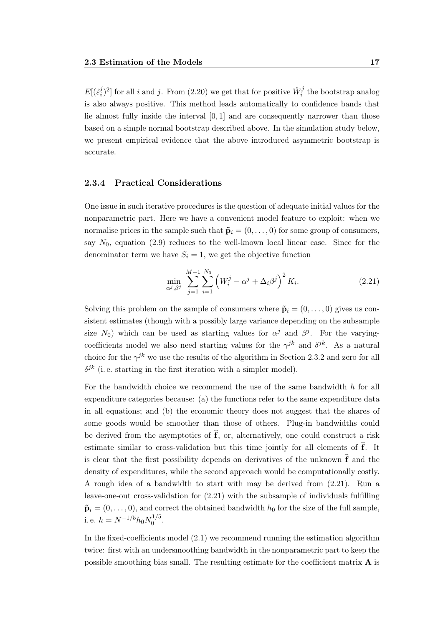$E[(\hat{\varepsilon}^j_i$  $[i]$ <sup>j</sup>)<sup>2</sup>] for all *i* and *j*. From [\(2.20\)](#page-31-1) we get that for positive  $\hat{W}_i^j$  the bootstrap analog is also always positive. This method leads automatically to confidence bands that lie almost fully inside the interval [0, 1] and are consequently narrower than those based on a simple normal bootstrap described above. In the simulation study below, we present empirical evidence that the above introduced asymmetric bootstrap is accurate.

### <span id="page-32-0"></span>2.3.4 Practical Considerations

One issue in such iterative procedures is the question of adequate initial values for the nonparametric part. Here we have a convenient model feature to exploit: when we normalise prices in the sample such that  $\tilde{\mathbf{p}}_i = (0, \ldots, 0)$  for some group of consumers, say  $N_0$ , equation [\(2.9\)](#page-28-1) reduces to the well-known local linear case. Since for the denominator term we have  $S_i = 1$ , we get the objective function

<span id="page-32-1"></span>
$$
\min_{\alpha^j, \beta^j} \sum_{j=1}^{M-1} \sum_{i=1}^{N_0} \left( W_i^j - \alpha^j + \Delta_i \beta^j \right)^2 K_i.
$$
 (2.21)

Solving this problem on the sample of consumers where  $\tilde{\mathbf{p}}_i = (0, \ldots, 0)$  gives us consistent estimates (though with a possibly large variance depending on the subsample size  $N_0$ ) which can be used as starting values for  $\alpha^j$  and  $\beta^j$ . For the varyingcoefficients model we also need starting values for the  $\gamma^{jk}$  and  $\delta^{jk}$ . As a natural choice for the  $\gamma^{jk}$  we use the results of the algorithm in Section [2.3.2](#page-28-0) and zero for all  $\delta^{jk}$  (i.e. starting in the first iteration with a simpler model).

For the bandwidth choice we recommend the use of the same bandwidth h for all expenditure categories because: (a) the functions refer to the same expenditure data in all equations; and (b) the economic theory does not suggest that the shares of some goods would be smoother than those of others. Plug-in bandwidths could be derived from the asymptotics of  $\hat{\mathbf{f}}$ , or, alternatively, one could construct a risk estimate similar to cross-validation but this time jointly for all elements of  $\hat{\mathbf{f}}$ . It is clear that the first possibility depends on derivatives of the unknown  $\hat{\mathbf{f}}$  and the density of expenditures, while the second approach would be computationally costly. A rough idea of a bandwidth to start with may be derived from [\(2.21\)](#page-32-1). Run a leave-one-out cross-validation for [\(2.21\)](#page-32-1) with the subsample of individuals fulfilling  $\tilde{\mathbf{p}}_i = (0, \ldots, 0)$ , and correct the obtained bandwidth  $h_0$  for the size of the full sample, i. e.  $h = N^{-1/5} h_0 N_0^{1/5}$  $0^{1/3}$ 

In the fixed-coefficients model [\(2.1\)](#page-23-3) we recommend running the estimation algorithm twice: first with an undersmoothing bandwidth in the nonparametric part to keep the possible smoothing bias small. The resulting estimate for the coefficient matrix  $\bf{A}$  is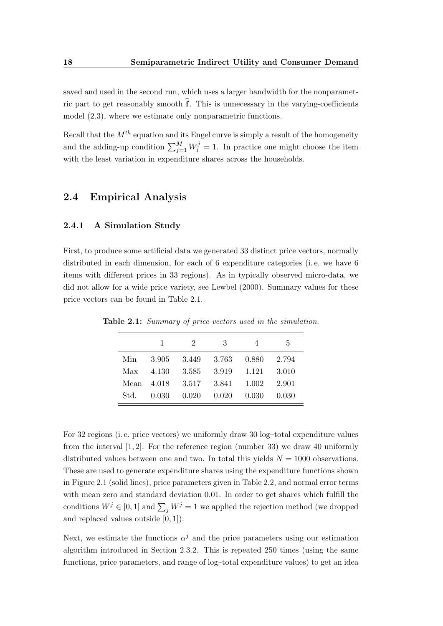saved and used in the second run, which uses a larger bandwidth for the nonparametric part to get reasonably smooth  $\hat{f}$ . This is unnecessary in the varying-coefficients model [\(2.3\)](#page-23-2), where we estimate only nonparametric functions.

Recall that the  $M<sup>th</sup>$  equation and its Engel curve is simply a result of the homogeneity and the adding-up condition  $\sum_{j=1}^{M} W_i^j = 1$ . In practice one might choose the item with the least variation in expenditure shares across the households.

## <span id="page-33-0"></span>2.4 Empirical Analysis

### <span id="page-33-1"></span>2.4.1 A Simulation Study

First, to produce some artificial data we generated 33 distinct price vectors, normally distributed in each dimension, for each of 6 expenditure categories (i. e. we have 6 items with different prices in 33 regions). As in typically observed micro-data, we did not allow for a wide price variety, see [Lewbel](#page-107-1) [\(2000\)](#page-107-1). Summary values for these price vectors can be found in Table [2.1.](#page-33-2)

|        | 1                 | $\mathcal{L}$                | -3 | 4     | 5.      |
|--------|-------------------|------------------------------|----|-------|---------|
| Min    |                   | 3.905 3.449 3.763 0.880      |    |       | 2.794   |
|        | $Max \quad 4.130$ | 3.585 3.919 1.121            |    |       | - 3.010 |
|        |                   | Mean 4.018 3.517 3.841 1.002 |    |       | 2.901   |
| Std. - |                   | $0.030$ $0.020$ $0.020$      |    | 0.030 | 0.030   |

<span id="page-33-2"></span>Table 2.1: Summary of price vectors used in the simulation.

For 32 regions (i. e. price vectors) we uniformly draw 30 log–total expenditure values from the interval [1, 2]. For the reference region (number 33) we draw 40 uniformly distributed values between one and two. In total this yields  $N = 1000$  observations. These are used to generate expenditure shares using the expenditure functions shown in Figure [2.1](#page-34-0) (solid lines), price parameters given in Table [2.2,](#page-35-0) and normal error terms with mean zero and standard deviation 0.01. In order to get shares which fulfill the conditions  $W^j \in [0,1]$  and  $\sum_j W^j = 1$  we applied the rejection method (we dropped and replaced values outside  $[0, 1]$ .

Next, we estimate the functions  $\alpha^{j}$  and the price parameters using our estimation algorithm introduced in Section [2.3.2.](#page-28-0) This is repeated 250 times (using the same functions, price parameters, and range of log–total expenditure values) to get an idea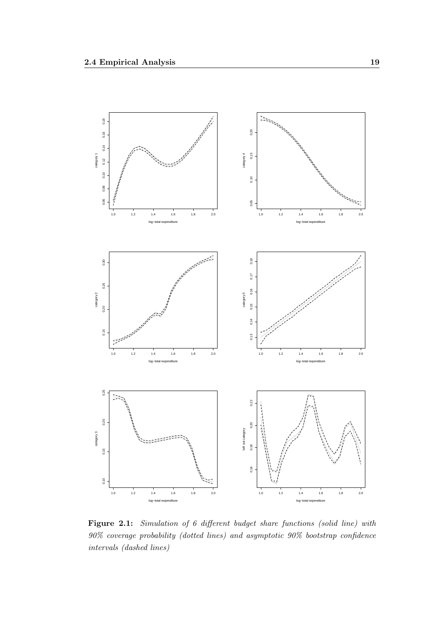<span id="page-34-0"></span>

Figure 2.1: Simulation of 6 different budget share functions (solid line) with 90% coverage probability (dotted lines) and asymptotic 90% bootstrap confidence intervals (dashed lines)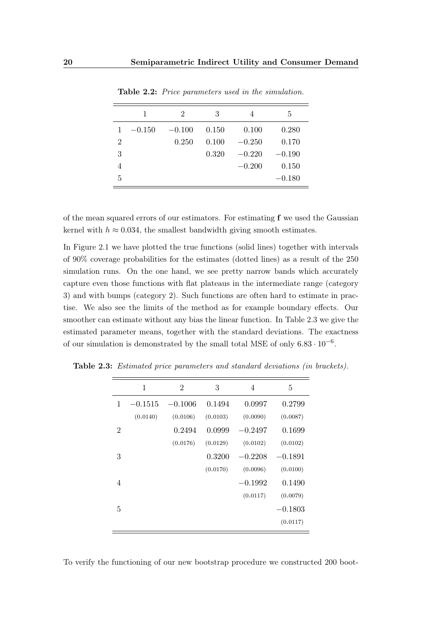<span id="page-35-0"></span>

|                | 1        | 2        | 3     | 4        | 5        |
|----------------|----------|----------|-------|----------|----------|
| $\mathbf{1}$   | $-0.150$ | $-0.100$ | 0.150 | 0.100    | 0.280    |
| $\overline{2}$ |          | 0.250    | 0.100 | $-0.250$ | 0.170    |
| 3              |          |          | 0.320 | $-0.220$ | $-0.190$ |
| 4              |          |          |       | $-0.200$ | 0.150    |
| 5              |          |          |       |          | $-0.180$ |

Table 2.2: Price parameters used in the simulation.

of the mean squared errors of our estimators. For estimating f we used the Gaussian kernel with  $h \approx 0.034$ , the smallest bandwidth giving smooth estimates.

In Figure [2.1](#page-34-0) we have plotted the true functions (solid lines) together with intervals of 90% coverage probabilities for the estimates (dotted lines) as a result of the 250 simulation runs. On the one hand, we see pretty narrow bands which accurately capture even those functions with flat plateaus in the intermediate range (category 3) and with bumps (category 2). Such functions are often hard to estimate in practise. We also see the limits of the method as for example boundary effects. Our smoother can estimate without any bias the linear function. In Table [2.3](#page-35-1) we give the estimated parameter means, together with the standard deviations. The exactness of our simulation is demonstrated by the small total MSE of only  $6.83 \cdot 10^{-6}$ .

|                | 1         | 2         | 3        | 4         | 5         |
|----------------|-----------|-----------|----------|-----------|-----------|
| 1              | $-0.1515$ | $-0.1006$ | 0.1494   | 0.0997    | 0.2799    |
|                | (0.0140)  | (0.0106)  | (0.0103) | (0.0090)  | (0.0087)  |
| $\overline{2}$ |           | 0.2494    | 0.0999   | $-0.2497$ | 0.1699    |
|                |           | (0.0176)  | (0.0129) | (0.0102)  | (0.0102)  |
| 3              |           |           | 0.3200   | $-0.2208$ | $-0.1891$ |
|                |           |           | (0.0170) | (0.0096)  | (0.0100)  |
| 4              |           |           |          | $-0.1992$ | 0.1490    |
|                |           |           |          | (0.0117)  | (0.0079)  |
| 5              |           |           |          |           | $-0.1803$ |
|                |           |           |          |           | (0.0117)  |

<span id="page-35-1"></span>Table 2.3: Estimated price parameters and standard deviations (in brackets).

To verify the functioning of our new bootstrap procedure we constructed 200 boot-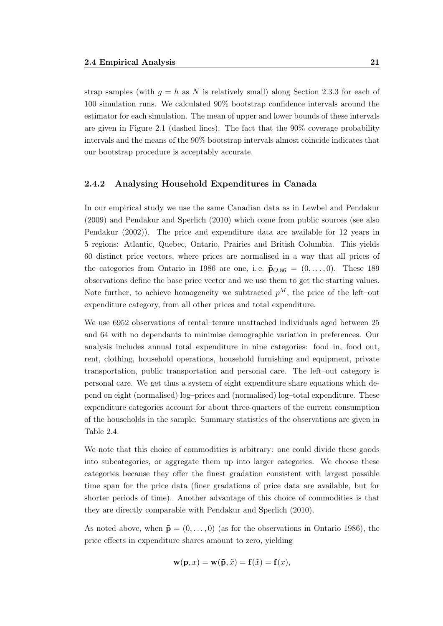strap samples (with  $q = h$  as N is relatively small) along Section [2.3.3](#page-30-0) for each of 100 simulation runs. We calculated 90% bootstrap confidence intervals around the estimator for each simulation. The mean of upper and lower bounds of these intervals are given in Figure [2.1](#page-34-0) (dashed lines). The fact that the 90% coverage probability intervals and the means of the 90% bootstrap intervals almost coincide indicates that our bootstrap procedure is acceptably accurate.

#### 2.4.2 Analysing Household Expenditures in Canada

In our empirical study we use the same Canadian data as in [Lewbel and Pendakur](#page-107-0) [\(2009\)](#page-107-0) and [Pendakur and Sperlich](#page-109-0) [\(2010\)](#page-109-0) which come from public sources (see also [Pendakur](#page-108-0) [\(2002\)](#page-108-0)). The price and expenditure data are available for 12 years in 5 regions: Atlantic, Quebec, Ontario, Prairies and British Columbia. This yields 60 distinct price vectors, where prices are normalised in a way that all prices of the categories from Ontario in 1986 are one, i.e.  $\tilde{\mathbf{p}}_{O,86} = (0,\ldots,0)$ . These 189 observations define the base price vector and we use them to get the starting values. Note further, to achieve homogeneity we subtracted  $p^M$ , the price of the left–out expenditure category, from all other prices and total expenditure.

We use 6952 observations of rental–tenure unattached individuals aged between 25 and 64 with no dependants to minimise demographic variation in preferences. Our analysis includes annual total–expenditure in nine categories: food–in, food–out, rent, clothing, household operations, household furnishing and equipment, private transportation, public transportation and personal care. The left–out category is personal care. We get thus a system of eight expenditure share equations which depend on eight (normalised) log–prices and (normalised) log–total expenditure. These expenditure categories account for about three-quarters of the current consumption of the households in the sample. Summary statistics of the observations are given in Table [2.4.](#page-37-0)

We note that this choice of commodities is arbitrary: one could divide these goods into subcategories, or aggregate them up into larger categories. We choose these categories because they offer the finest gradation consistent with largest possible time span for the price data (finer gradations of price data are available, but for shorter periods of time). Another advantage of this choice of commodities is that they are directly comparable with [Pendakur and Sperlich](#page-109-0) [\(2010\)](#page-109-0).

As noted above, when  $\tilde{\mathbf{p}} = (0, \ldots, 0)$  (as for the observations in Ontario 1986), the price effects in expenditure shares amount to zero, yielding

$$
\mathbf{w}(\mathbf{p},x) = \mathbf{w}(\tilde{\mathbf{p}},\tilde{x}) = \mathbf{f}(\tilde{x}) = \mathbf{f}(x),
$$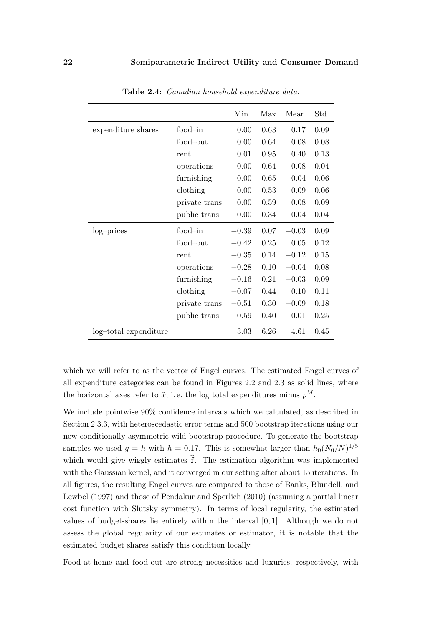<span id="page-37-0"></span>

|                       |               | Min     | Max  | Mean    | Std. |
|-----------------------|---------------|---------|------|---------|------|
| expenditure shares    | food-in       | 0.00    | 0.63 | 0.17    | 0.09 |
|                       | food-out      | 0.00    | 0.64 | 0.08    | 0.08 |
|                       | rent          | 0.01    | 0.95 | 0.40    | 0.13 |
|                       | operations    | 0.00    | 0.64 | 0.08    | 0.04 |
|                       | furnishing    | 0.00    | 0.65 | 0.04    | 0.06 |
|                       | clothing      | 0.00    | 0.53 | 0.09    | 0.06 |
|                       | private trans | 0.00    | 0.59 | 0.08    | 0.09 |
|                       | public trans  | 0.00    | 0.34 | 0.04    | 0.04 |
| log-prices            | food-in       | $-0.39$ | 0.07 | $-0.03$ | 0.09 |
|                       | food-out      | $-0.42$ | 0.25 | 0.05    | 0.12 |
|                       | rent          | $-0.35$ | 0.14 | $-0.12$ | 0.15 |
|                       | operations    | $-0.28$ | 0.10 | $-0.04$ | 0.08 |
|                       | furnishing    | $-0.16$ | 0.21 | $-0.03$ | 0.09 |
|                       | clothing      | $-0.07$ | 0.44 | 0.10    | 0.11 |
|                       | private trans | $-0.51$ | 0.30 | $-0.09$ | 0.18 |
|                       | public trans  | $-0.59$ | 0.40 | 0.01    | 0.25 |
| log-total expenditure |               | 3.03    | 6.26 | 4.61    | 0.45 |

Table 2.4: Canadian household expenditure data.

which we will refer to as the vector of Engel curves. The estimated Engel curves of all expenditure categories can be found in Figures [2.2](#page-38-0) and [2.3](#page-39-0) as solid lines, where the horizontal axes refer to  $\tilde{x}$ , i.e. the log total expenditures minus  $p^M$ .

We include pointwise  $90\%$  confidence intervals which we calculated, as described in Section [2.3.3,](#page-30-0) with heteroscedastic error terms and 500 bootstrap iterations using our new conditionally asymmetric wild bootstrap procedure. To generate the bootstrap samples we used  $g = h$  with  $h = 0.17$ . This is somewhat larger than  $h_0(N_0/N)^{1/5}$ which would give wiggly estimates  $\hat{f}$ . The estimation algorithm was implemented with the Gaussian kernel, and it converged in our setting after about 15 iterations. In all figures, the resulting Engel curves are compared to those of [Banks, Blundell, and](#page-102-0) [Lewbel](#page-102-0) [\(1997\)](#page-102-0) and those of [Pendakur and Sperlich](#page-109-0) [\(2010\)](#page-109-0) (assuming a partial linear cost function with Slutsky symmetry). In terms of local regularity, the estimated values of budget-shares lie entirely within the interval  $[0, 1]$ . Although we do not assess the global regularity of our estimates or estimator, it is notable that the estimated budget shares satisfy this condition locally.

Food-at-home and food-out are strong necessities and luxuries, respectively, with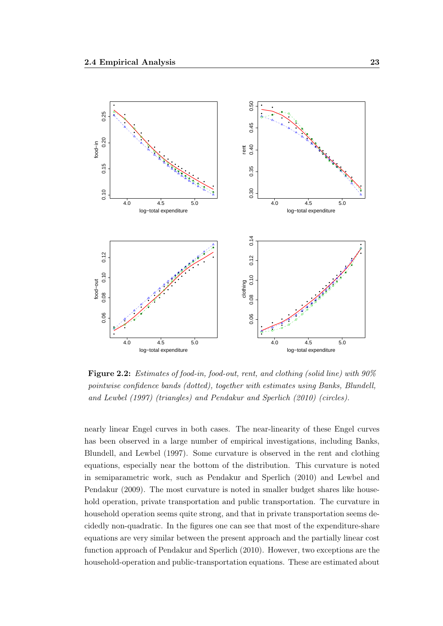<span id="page-38-0"></span>

Figure 2.2: Estimates of food-in, food-out, rent, and clothing (solid line) with  $90\%$ pointwise confidence bands (dotted), together with estimates using [Banks, Blundell,](#page-102-0) [and Lewbel](#page-102-0) [\(1997\)](#page-102-0) (triangles) and [Pendakur and Sperlich](#page-109-0) [\(2010\)](#page-109-0) (circles).

nearly linear Engel curves in both cases. The near-linearity of these Engel curves has been observed in a large number of empirical investigations, including [Banks,](#page-102-0) [Blundell, and Lewbel](#page-102-0) [\(1997\)](#page-102-0). Some curvature is observed in the rent and clothing equations, especially near the bottom of the distribution. This curvature is noted in semiparametric work, such as [Pendakur and Sperlich](#page-109-0) [\(2010\)](#page-109-0) and [Lewbel and](#page-107-0) [Pendakur](#page-107-0) [\(2009\)](#page-107-0). The most curvature is noted in smaller budget shares like household operation, private transportation and public transportation. The curvature in household operation seems quite strong, and that in private transportation seems decidedly non-quadratic. In the figures one can see that most of the expenditure-share equations are very similar between the present approach and the partially linear cost function approach of [Pendakur and Sperlich](#page-109-0) [\(2010\)](#page-109-0). However, two exceptions are the household-operation and public-transportation equations. These are estimated about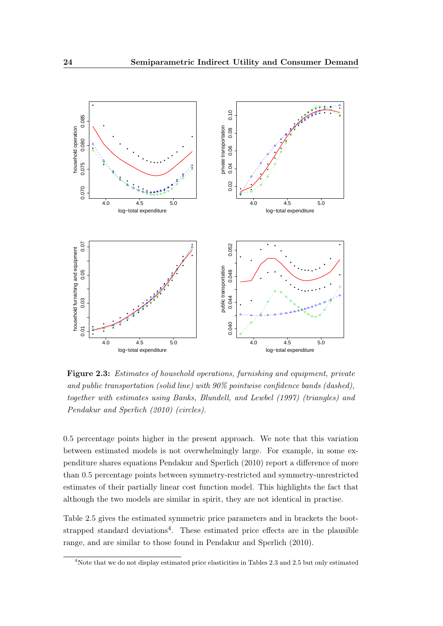<span id="page-39-0"></span>

Figure 2.3: Estimates of household operations, furnishing and equipment, private and public transportation (solid line) with 90% pointwise confidence bands (dashed), together with estimates using [Banks, Blundell, and Lewbel](#page-102-0) [\(1997\)](#page-102-0) (triangles) and [Pendakur and Sperlich](#page-109-0) [\(2010\)](#page-109-0) (circles).

0.5 percentage points higher in the present approach. We note that this variation between estimated models is not overwhelmingly large. For example, in some expenditure shares equations [Pendakur and Sperlich](#page-109-0) [\(2010\)](#page-109-0) report a difference of more than 0.5 percentage points between symmetry-restricted and symmetry-unrestricted estimates of their partially linear cost function model. This highlights the fact that although the two models are similar in spirit, they are not identical in practise.

Table [2.5](#page-40-0) gives the estimated symmetric price parameters and in brackets the bootstrapped standard deviations<sup>4</sup>. These estimated price effects are in the plausible range, and are similar to those found in [Pendakur and Sperlich](#page-109-0) [\(2010\)](#page-109-0).

<sup>4</sup>Note that we do not display estimated price elasticities in Tables [2.3](#page-35-0) and [2.5](#page-40-0) but only estimated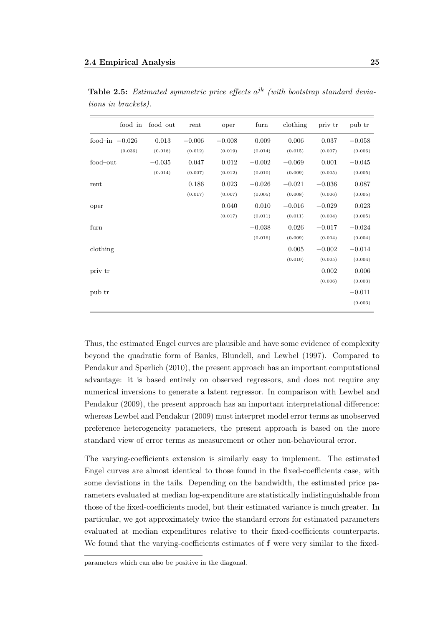| food-in          | food-out | rent     | oper     | furn     | clothing | priv tr  | pub tr   |
|------------------|----------|----------|----------|----------|----------|----------|----------|
| food-in $-0.026$ | 0.013    | $-0.006$ | $-0.008$ | 0.009    | 0.006    | 0.037    | $-0.058$ |
| (0.036)          | (0.018)  | (0.012)  | (0.019)  | (0.014)  | (0.015)  | (0.007)  | (0.006)  |
| food-out         | $-0.035$ | 0.047    | 0.012    | $-0.002$ | $-0.069$ | 0.001    | $-0.045$ |
|                  | (0.014)  | (0.007)  | (0.012)  | (0.010)  | (0.009)  | (0.005)  | (0.005)  |
| rent             |          | 0.186    | 0.023    | $-0.026$ | $-0.021$ | $-0.036$ | 0.087    |
|                  |          | (0.017)  | (0.007)  | (0.005)  | (0.008)  | (0.006)  | (0.005)  |
| oper             |          |          | 0.040    | 0.010    | $-0.016$ | $-0.029$ | 0.023    |
|                  |          |          | (0.017)  | (0.011)  | (0.011)  | (0.004)  | (0.005)  |
| furn             |          |          |          | $-0.038$ | 0.026    | $-0.017$ | $-0.024$ |
|                  |          |          |          | (0.016)  | (0.009)  | (0.004)  | (0.004)  |
| clothing         |          |          |          |          | 0.005    | $-0.002$ | $-0.014$ |
|                  |          |          |          |          | (0.010)  | (0.005)  | (0.004)  |
| priv tr          |          |          |          |          |          | 0.002    | 0.006    |
|                  |          |          |          |          |          | (0.006)  | (0.003)  |
| pub tr           |          |          |          |          |          |          | $-0.011$ |
|                  |          |          |          |          |          |          | (0.003)  |

<span id="page-40-0"></span>**Table 2.5:** Estimated symmetric price effects  $a^{jk}$  (with bootstrap standard deviations in brackets).

Thus, the estimated Engel curves are plausible and have some evidence of complexity beyond the quadratic form of [Banks, Blundell, and Lewbel](#page-102-0) [\(1997\)](#page-102-0). Compared to [Pendakur and Sperlich](#page-109-0) [\(2010\)](#page-109-0), the present approach has an important computational advantage: it is based entirely on observed regressors, and does not require any numerical inversions to generate a latent regressor. In comparison with [Lewbel and](#page-107-0) [Pendakur](#page-107-0) [\(2009\)](#page-107-0), the present approach has an important interpretational difference: whereas [Lewbel and Pendakur](#page-107-0) [\(2009\)](#page-107-0) must interpret model error terms as unobserved preference heterogeneity parameters, the present approach is based on the more standard view of error terms as measurement or other non-behavioural error.

The varying-coefficients extension is similarly easy to implement. The estimated Engel curves are almost identical to those found in the fixed-coefficients case, with some deviations in the tails. Depending on the bandwidth, the estimated price parameters evaluated at median log-expenditure are statistically indistinguishable from those of the fixed-coefficients model, but their estimated variance is much greater. In particular, we got approximately twice the standard errors for estimated parameters evaluated at median expenditures relative to their fixed-coefficients counterparts. We found that the varying-coefficients estimates of **f** were very similar to the fixed-

parameters which can also be positive in the diagonal.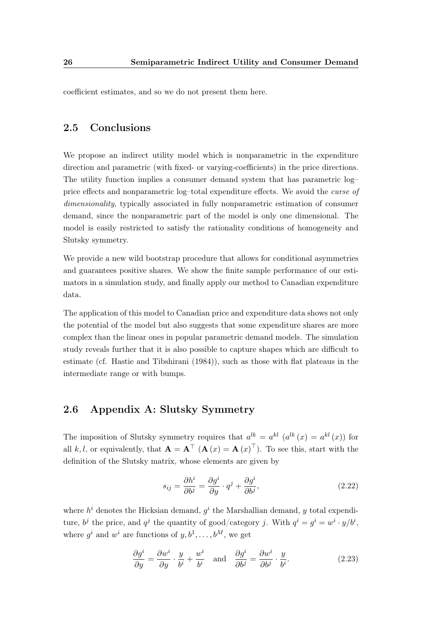coefficient estimates, and so we do not present them here.

## 2.5 Conclusions

We propose an indirect utility model which is nonparametric in the expenditure direction and parametric (with fixed- or varying-coefficients) in the price directions. The utility function implies a consumer demand system that has parametric log– price effects and nonparametric log–total expenditure effects. We avoid the curse of dimensionality, typically associated in fully nonparametric estimation of consumer demand, since the nonparametric part of the model is only one dimensional. The model is easily restricted to satisfy the rationality conditions of homogeneity and Slutsky symmetry.

We provide a new wild bootstrap procedure that allows for conditional asymmetries and guarantees positive shares. We show the finite sample performance of our estimators in a simulation study, and finally apply our method to Canadian expenditure data.

The application of this model to Canadian price and expenditure data shows not only the potential of the model but also suggests that some expenditure shares are more complex than the linear ones in popular parametric demand models. The simulation study reveals further that it is also possible to capture shapes which are difficult to estimate (cf. [Hastie and Tibshirani](#page-106-0) [\(1984\)](#page-106-0)), such as those with flat plateaus in the intermediate range or with bumps.

#### 2.6 Appendix A: Slutsky Symmetry

The imposition of Slutsky symmetry requires that  $a^{lk} = a^{kl} (a^{lk}(x) = a^{kl}(x))$  for all k, l, or equivalently, that  $\mathbf{A} = \mathbf{A}^\top (\mathbf{A}(x) = \mathbf{A}(x)^\top)$ . To see this, start with the definition of the Slutsky matrix, whose elements are given by

<span id="page-41-0"></span>
$$
s_{ij} = \frac{\partial h^i}{\partial b^j} = \frac{\partial g^i}{\partial y} \cdot q^j + \frac{\partial g^i}{\partial b^j},\tag{2.22}
$$

where  $h^i$  denotes the Hicksian demand,  $g^i$  the Marshallian demand, y total expenditure,  $b^j$  the price, and  $q^j$  the quantity of good/category j. With  $q^i = g^i = w^i \cdot y/b^i$ , where  $g^i$  and  $w^i$  are functions of  $y, b^1, \ldots, b^M$ , we get

<span id="page-41-1"></span>
$$
\frac{\partial g^i}{\partial y} = \frac{\partial w^i}{\partial y} \cdot \frac{y}{b^i} + \frac{w^i}{b^i} \quad \text{and} \quad \frac{\partial g^i}{\partial b^j} = \frac{\partial w^i}{\partial b^j} \cdot \frac{y}{b^i}.
$$
 (2.23)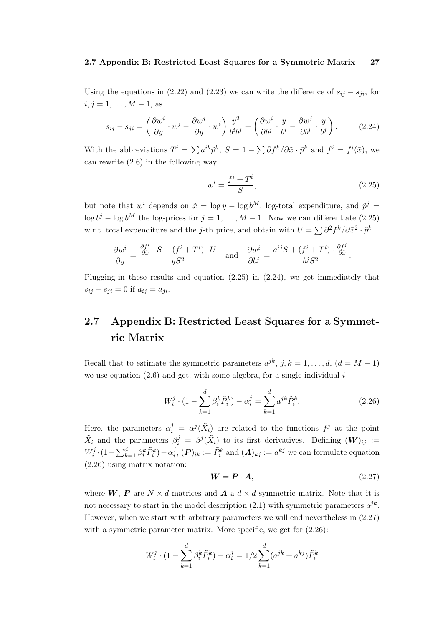Using the equations in [\(2.22\)](#page-41-0) and [\(2.23\)](#page-41-1) we can write the difference of  $s_{ij} - s_{ji}$ , for  $i, j = 1, \ldots, M - 1$ , as

<span id="page-42-1"></span>
$$
s_{ij} - s_{ji} = \left(\frac{\partial w^i}{\partial y} \cdot w^j - \frac{\partial w^j}{\partial y} \cdot w^i\right) \frac{y^2}{b^i b^j} + \left(\frac{\partial w^i}{\partial b^j} \cdot \frac{y}{b^i} - \frac{\partial w^j}{\partial b^i} \cdot \frac{y}{b^j}\right). \tag{2.24}
$$

With the abbreviations  $T^i = \sum a^{ik} \tilde{p}^k$ ,  $S = 1 - \sum \partial f^k / \partial \tilde{x} \cdot \tilde{p}^k$  and  $f^i = f^i(\tilde{x})$ , we can rewrite [\(2.6\)](#page-26-0) in the following way

<span id="page-42-0"></span>
$$
w^i = \frac{f^i + T^i}{S},\tag{2.25}
$$

but note that  $w^i$  depends on  $\tilde{x} = \log y - \log b^M$ , log-total expenditure, and  $\tilde{p}^j =$  $\log b^j - \log b^M$  the log-prices for  $j = 1, ..., M - 1$ . Now we can differentiate [\(2.25\)](#page-42-0) w.r.t. total expenditure and the j-th price, and obtain with  $U = \sum \partial^2 f^k / \partial \tilde{x}^2 \cdot \tilde{p}^k$ 

$$
\frac{\partial w^i}{\partial y} = \frac{\frac{\partial f^i}{\partial \tilde{x}} \cdot S + (f^i + T^i) \cdot U}{yS^2} \quad \text{and} \quad \frac{\partial w^i}{\partial b^j} = \frac{a^{ij}S + (f^i + T^i) \cdot \frac{\partial f^j}{\partial \tilde{x}}}{b^j S^2}.
$$

Plugging-in these results and equation [\(2.25\)](#page-42-0) in [\(2.24\)](#page-42-1), we get immediately that  $s_{ij} - s_{ji} = 0$  if  $a_{ij} = a_{ji}$ .

# 2.7 Appendix B: Restricted Least Squares for a Symmetric Matrix

Recall that to estimate the symmetric parameters  $a^{jk}$ ,  $j, k = 1, \ldots, d$ ,  $(d = M - 1)$ we use equation  $(2.6)$  and get, with some algebra, for a single individual i

<span id="page-42-2"></span>
$$
W_i^j \cdot (1 - \sum_{k=1}^d \beta_i^k \tilde{P}_i^k) - \alpha_i^j = \sum_{k=1}^d a^{jk} \tilde{P}_i^k.
$$
 (2.26)

Here, the parameters  $\alpha_i^j = \alpha_j(\tilde{X}_i)$  are related to the functions  $f^j$  at the point  $\tilde{X}_i$  and the parameters  $\beta_i^j = \beta^j(\tilde{X}_i)$  to its first derivatives. Defining  $(\boldsymbol{W})_{ij} :=$  $W_i^j$  $\tilde{r}_i^j \cdot (1 - \sum_{k=1}^d \beta_i^k \tilde{P}_i^k) - \alpha_i^j$  $i_j^j$ ,  $(P)_{ik} := \tilde{P}_i^k$  and  $(A)_{kj} := a^{kj}$  we can formulate equation [\(2.26\)](#page-42-2) using matrix notation:

<span id="page-42-3"></span>
$$
W = P \cdot A,\tag{2.27}
$$

where  $W, P$  are  $N \times d$  matrices and  $\boldsymbol{A}$  a  $d \times d$  symmetric matrix. Note that it is not necessary to start in the model description  $(2.1)$  with symmetric parameters  $a^{jk}$ . However, when we start with arbitrary parameters we will end nevertheless in [\(2.27\)](#page-42-3) with a symmetric parameter matrix. More specific, we get for  $(2.26)$ :

$$
W_i^j \cdot (1 - \sum_{k=1}^d \beta_i^k \tilde{P}_i^k) - \alpha_i^j = 1/2 \sum_{k=1}^d (a^{jk} + a^{kj}) \tilde{P}_i^k
$$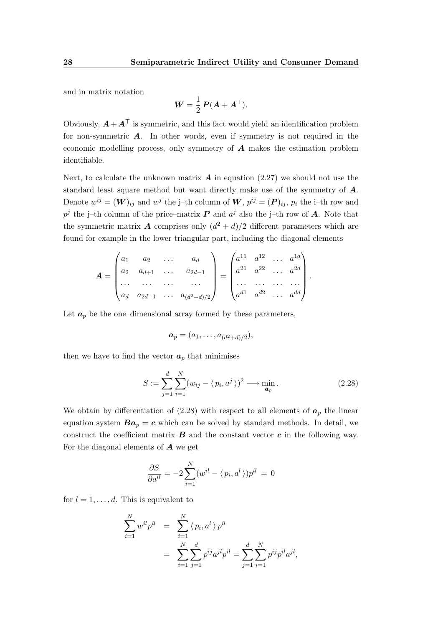and in matrix notation

$$
\boldsymbol{W} = \frac{1}{2} \, \boldsymbol{P} (\boldsymbol{A} + \boldsymbol{A}^\top).
$$

Obviously,  $\mathbf{A} + \mathbf{A}^{\top}$  is symmetric, and this fact would yield an identification problem for non-symmetric  $\boldsymbol{A}$ . In other words, even if symmetry is not required in the economic modelling process, only symmetry of A makes the estimation problem identifiable.

Next, to calculate the unknown matrix  $\boldsymbol{A}$  in equation [\(2.27\)](#page-42-3) we should not use the standard least square method but want directly make use of the symmetry of A. Denote  $w^{ij} = (\boldsymbol{W})_{ij}$  and  $w^j$  the j-th column of  $\boldsymbol{W}, p^{ij} = (\boldsymbol{P})_{ij}, p_i$  the i-th row and  $p^j$  the j–th column of the price–matrix  $P$  and  $a^j$  also the j–th row of  $A$ . Note that the symmetric matrix **A** comprises only  $(d^2 + d)/2$  different parameters which are found for example in the lower triangular part, including the diagonal elements

$$
\boldsymbol{A} = \begin{pmatrix} a_1 & a_2 & \dots & a_d \\ a_2 & a_{d+1} & \dots & a_{2d-1} \\ \dots & \dots & \dots & \dots \\ a_d & a_{2d-1} & \dots & a_{(d^2+d)/2} \end{pmatrix} = \begin{pmatrix} a^{11} & a^{12} & \dots & a^{1d} \\ a^{21} & a^{22} & \dots & a^{2d} \\ \dots & \dots & \dots & \dots \\ a^{d1} & a^{d2} & \dots & a^{dd} \end{pmatrix}.
$$

Let  $a_p$  be the one–dimensional array formed by these parameters,

$$
\boldsymbol{a}_p=(a_1,\ldots,a_{(d^2+d)/2}),
$$

then we have to find the vector  $a_p$  that minimises

<span id="page-43-0"></span>
$$
S := \sum_{j=1}^{d} \sum_{i=1}^{N} (w_{ij} - \langle p_i, a^j \rangle)^2 \longrightarrow \min_{\mathbf{a}_p}.
$$
 (2.28)

We obtain by differentiation of [\(2.28\)](#page-43-0) with respect to all elements of  $a_p$  the linear equation system  $Ba_p = c$  which can be solved by standard methods. In detail, we construct the coefficient matrix  $B$  and the constant vector  $c$  in the following way. For the diagonal elements of  $\boldsymbol{A}$  we get

$$
\frac{\partial S}{\partial a^{ll}} = -2 \sum_{i=1}^{N} (w^{il} - \langle p_i, a^l \rangle) p^{il} = 0
$$

for  $l = 1, \ldots, d$ . This is equivalent to

$$
\sum_{i=1}^{N} w^{il} p^{il} = \sum_{i=1}^{N} \langle p_i, a^l \rangle p^{il}
$$
  
= 
$$
\sum_{i=1}^{N} \sum_{j=1}^{d} p^{ij} a^{jl} p^{il} = \sum_{j=1}^{d} \sum_{i=1}^{N} p^{ij} p^{il} a^{jl},
$$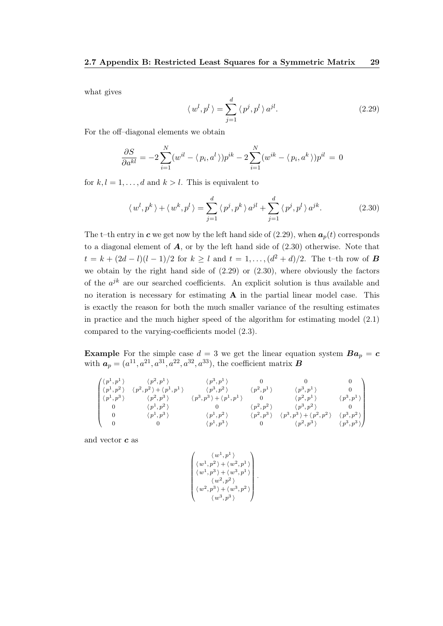what gives

<span id="page-44-0"></span>
$$
\langle w^l, p^l \rangle = \sum_{j=1}^d \langle p^j, p^l \rangle a^{jl}.
$$
 (2.29)

For the off–diagonal elements we obtain

$$
\frac{\partial S}{\partial a^{kl}} = -2 \sum_{i=1}^{N} (w^{il} - \langle p_i, a^l \rangle) p^{ik} - 2 \sum_{i=1}^{N} (w^{ik} - \langle p_i, a^k \rangle) p^{il} = 0
$$

for  $k, l = 1, \ldots, d$  and  $k > l$ . This is equivalent to

<span id="page-44-1"></span>
$$
\langle w^l, p^k \rangle + \langle w^k, p^l \rangle = \sum_{j=1}^d \langle p^j, p^k \rangle a^{jl} + \sum_{j=1}^d \langle p^j, p^l \rangle a^{jk}.
$$
 (2.30)

The t–th entry in c we get now by the left hand side of  $(2.29)$ , when  $a_p(t)$  corresponds to a diagonal element of  $\boldsymbol{A}$ , or by the left hand side of  $(2.30)$  otherwise. Note that  $t = k + (2d - l)(l - 1)/2$  for  $k \geq l$  and  $t = 1, ..., (d^2 + d)/2$ . The t-th row of **B** we obtain by the right hand side of  $(2.29)$  or  $(2.30)$ , where obviously the factors of the  $a^{jk}$  are our searched coefficients. An explicit solution is thus available and no iteration is necessary for estimating  $A$  in the partial linear model case. This is exactly the reason for both the much smaller variance of the resulting estimates in practice and the much higher speed of the algorithm for estimating model [\(2.1\)](#page-23-0) compared to the varying-coefficients model [\(2.3\)](#page-23-1).

**Example** For the simple case  $d = 3$  we get the linear equation system  $Ba_p = c$ with  $a_p = (a^{11}, a^{21}, a^{31}, a^{22}, a^{32}, a^{33})$ , the coefficient matrix **B** 

$$
\begin{pmatrix} \langle p^1, p^1 \rangle & \langle p^2, p^1 \rangle & \langle p^3, p^1 \rangle & 0 & 0 & 0 \\ \langle p^1, p^2 \rangle & \langle p^2, p^2 \rangle + \langle p^1, p^1 \rangle & \langle p^3, p^2 \rangle & \langle p^2, p^1 \rangle & \langle p^3, p^1 \rangle & 0 \\ \langle p^1, p^3 \rangle & \langle p^2, p^3 \rangle & \langle p^3, p^3 \rangle + \langle p^1, p^1 \rangle & 0 & \langle p^2, p^1 \rangle & \langle p^3, p^1 \rangle \\ 0 & \langle p^1, p^2 \rangle & 0 & \langle p^2, p^2 \rangle & \langle p^3, p^2 \rangle & 0 \\ 0 & \langle p^1, p^3 \rangle & \langle p^1, p^2 \rangle & \langle p^2, p^3 \rangle & \langle p^3, p^3 \rangle + \langle p^2, p^2 \rangle & \langle p^3, p^2 \rangle \\ 0 & 0 & \langle p^1, p^3 \rangle & 0 & \langle p^2, p^3 \rangle & \langle p^3, p^3 \rangle \end{pmatrix}
$$

and vector  $c$  as

$$
\begin{pmatrix} \langle\,w^1,p^1\,\rangle\\ \langle\,w^1,p^2\,\rangle+\langle\,w^2,p^1\,\rangle\\ \langle\,w^1,p^3\,\rangle+\langle\,w^3,p^1\,\rangle\\ \langle\,w^2,p^2\,\rangle\\ \langle\,w^2,p^3\,\rangle+\langle\,w^3,p^2\,\rangle\\ \langle\,w^3,p^3\,\rangle \end{pmatrix}
$$

.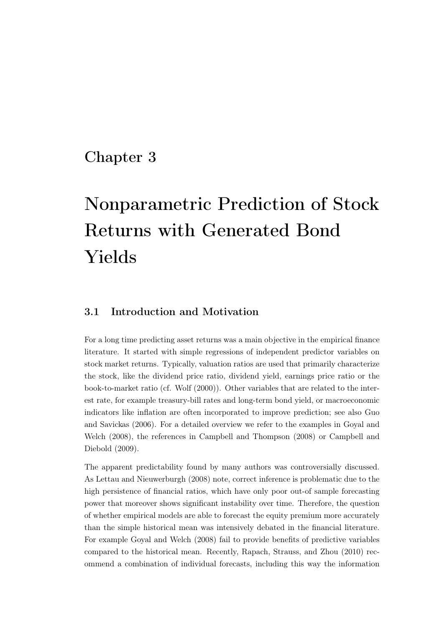# Chapter 3

# Nonparametric Prediction of Stock Returns with Generated Bond Yields

## <span id="page-46-0"></span>3.1 Introduction and Motivation

For a long time predicting asset returns was a main objective in the empirical finance literature. It started with simple regressions of independent predictor variables on stock market returns. Typically, valuation ratios are used that primarily characterize the stock, like the dividend price ratio, dividend yield, earnings price ratio or the book-to-market ratio (cf. [Wolf](#page-111-0) [\(2000\)](#page-111-0)). Other variables that are related to the interest rate, for example treasury-bill rates and long-term bond yield, or macroeconomic indicators like inflation are often incorporated to improve prediction; see also [Guo](#page-106-1) [and Savickas](#page-106-1) [\(2006\)](#page-106-1). For a detailed overview we refer to the examples in [Goyal and](#page-105-0) [Welch](#page-105-0) [\(2008\)](#page-105-0), the references in [Campbell and Thompson](#page-103-0) [\(2008\)](#page-103-0) or [Campbell and](#page-103-1) [Diebold](#page-103-1) [\(2009\)](#page-103-1).

The apparent predictability found by many authors was controversially discussed. As [Lettau and Nieuwerburgh](#page-107-1) [\(2008\)](#page-107-1) note, correct inference is problematic due to the high persistence of financial ratios, which have only poor out-of sample forecasting power that moreover shows significant instability over time. Therefore, the question of whether empirical models are able to forecast the equity premium more accurately than the simple historical mean was intensively debated in the financial literature. For example [Goyal and Welch](#page-105-0) [\(2008\)](#page-105-0) fail to provide benefits of predictive variables compared to the historical mean. Recently, [Rapach, Strauss, and Zhou](#page-109-1) [\(2010\)](#page-109-1) recommend a combination of individual forecasts, including this way the information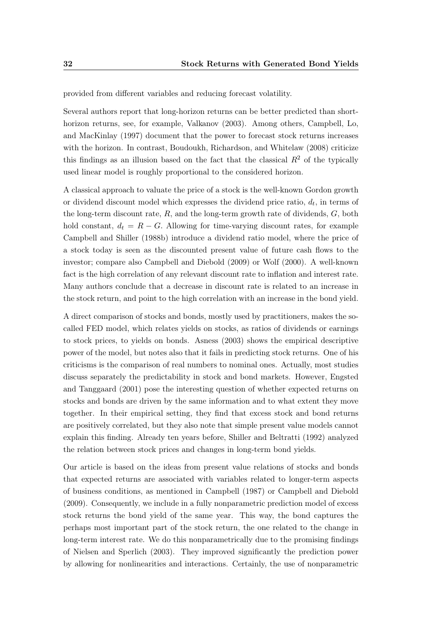provided from different variables and reducing forecast volatility.

Several authors report that long-horizon returns can be better predicted than shorthorizon returns, see, for example, [Valkanov](#page-111-1) [\(2003\)](#page-111-1). Among others, [Campbell, Lo,](#page-103-2) [and MacKinlay](#page-103-2) [\(1997\)](#page-103-2) document that the power to forecast stock returns increases with the horizon. In contrast, [Boudoukh, Richardson, and Whitelaw](#page-102-1) [\(2008\)](#page-102-1) criticize this findings as an illusion based on the fact that the classical  $R<sup>2</sup>$  of the typically used linear model is roughly proportional to the considered horizon.

A classical approach to valuate the price of a stock is the well-known Gordon growth or dividend discount model which expresses the dividend price ratio,  $d_t$ , in terms of the long-term discount rate,  $R$ , and the long-term growth rate of dividends,  $G$ , both hold constant,  $d_t = R - G$ . Allowing for time-varying discount rates, for example [Campbell and Shiller](#page-103-3) [\(1988b\)](#page-103-3) introduce a dividend ratio model, where the price of a stock today is seen as the discounted present value of future cash flows to the investor; compare also [Campbell and Diebold](#page-103-1) [\(2009\)](#page-103-1) or [Wolf](#page-111-0) [\(2000\)](#page-111-0). A well-known fact is the high correlation of any relevant discount rate to inflation and interest rate. Many authors conclude that a decrease in discount rate is related to an increase in the stock return, and point to the high correlation with an increase in the bond yield.

A direct comparison of stocks and bonds, mostly used by practitioners, makes the socalled FED model, which relates yields on stocks, as ratios of dividends or earnings to stock prices, to yields on bonds. [Asness](#page-102-2) [\(2003\)](#page-102-2) shows the empirical descriptive power of the model, but notes also that it fails in predicting stock returns. One of his criticisms is the comparison of real numbers to nominal ones. Actually, most studies discuss separately the predictability in stock and bond markets. However, [Engsted](#page-104-0) [and Tanggaard](#page-104-0) [\(2001\)](#page-104-0) pose the interesting question of whether expected returns on stocks and bonds are driven by the same information and to what extent they move together. In their empirical setting, they find that excess stock and bond returns are positively correlated, but they also note that simple present value models cannot explain this finding. Already ten years before, [Shiller and Beltratti](#page-110-0) [\(1992\)](#page-110-0) analyzed the relation between stock prices and changes in long-term bond yields.

Our article is based on the ideas from present value relations of stocks and bonds that expected returns are associated with variables related to longer-term aspects of business conditions, as mentioned in [Campbell](#page-103-4) [\(1987\)](#page-103-4) or [Campbell and Diebold](#page-103-1) [\(2009\)](#page-103-1). Consequently, we include in a fully nonparametric prediction model of excess stock returns the bond yield of the same year. This way, the bond captures the perhaps most important part of the stock return, the one related to the change in long-term interest rate. We do this nonparametrically due to the promising findings of [Nielsen and Sperlich](#page-108-1) [\(2003\)](#page-108-1). They improved significantly the prediction power by allowing for nonlinearities and interactions. Certainly, the use of nonparametric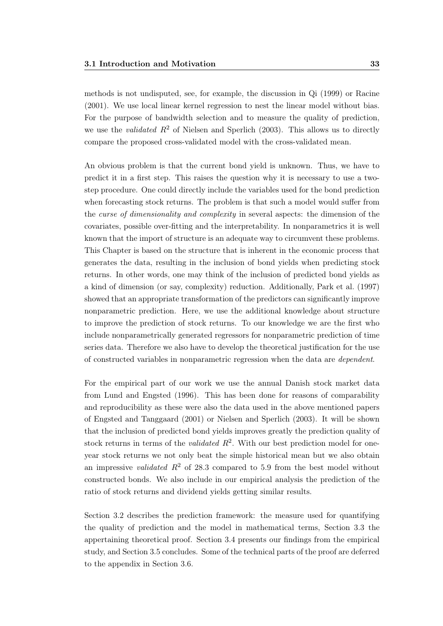methods is not undisputed, see, for example, the discussion in [Qi](#page-109-2) [\(1999\)](#page-109-2) or [Racine](#page-109-3) [\(2001\)](#page-109-3). We use local linear kernel regression to nest the linear model without bias. For the purpose of bandwidth selection and to measure the quality of prediction, we use the *validated*  $R^2$  of [Nielsen and Sperlich](#page-108-1) [\(2003\)](#page-108-1). This allows us to directly compare the proposed cross-validated model with the cross-validated mean.

An obvious problem is that the current bond yield is unknown. Thus, we have to predict it in a first step. This raises the question why it is necessary to use a twostep procedure. One could directly include the variables used for the bond prediction when forecasting stock returns. The problem is that such a model would suffer from the curse of dimensionality and complexity in several aspects: the dimension of the covariates, possible over-fitting and the interpretability. In nonparametrics it is well known that the import of structure is an adequate way to circumvent these problems. This Chapter is based on the structure that is inherent in the economic process that generates the data, resulting in the inclusion of bond yields when predicting stock returns. In other words, one may think of the inclusion of predicted bond yields as a kind of dimension (or say, complexity) reduction. Additionally, [Park et al.](#page-108-2) [\(1997\)](#page-108-2) showed that an appropriate transformation of the predictors can significantly improve nonparametric prediction. Here, we use the additional knowledge about structure to improve the prediction of stock returns. To our knowledge we are the first who include nonparametrically generated regressors for nonparametric prediction of time series data. Therefore we also have to develop the theoretical justification for the use of constructed variables in nonparametric regression when the data are dependent.

For the empirical part of our work we use the annual Danish stock market data from [Lund and Engsted](#page-107-2) [\(1996\)](#page-107-2). This has been done for reasons of comparability and reproducibility as these were also the data used in the above mentioned papers of [Engsted and Tanggaard](#page-104-0) [\(2001\)](#page-104-0) or [Nielsen and Sperlich](#page-108-1) [\(2003\)](#page-108-1). It will be shown that the inclusion of predicted bond yields improves greatly the prediction quality of stock returns in terms of the *validated*  $R^2$ . With our best prediction model for oneyear stock returns we not only beat the simple historical mean but we also obtain an impressive *validated*  $R^2$  of 28.3 compared to 5.9 from the best model without constructed bonds. We also include in our empirical analysis the prediction of the ratio of stock returns and dividend yields getting similar results.

Section [3.2](#page-49-0) describes the prediction framework: the measure used for quantifying the quality of prediction and the model in mathematical terms, Section [3.3](#page-52-0) the appertaining theoretical proof. Section [3.4](#page-56-0) presents our findings from the empirical study, and Section [3.5](#page-60-0) concludes. Some of the technical parts of the proof are deferred to the appendix in Section [3.6.](#page-61-0)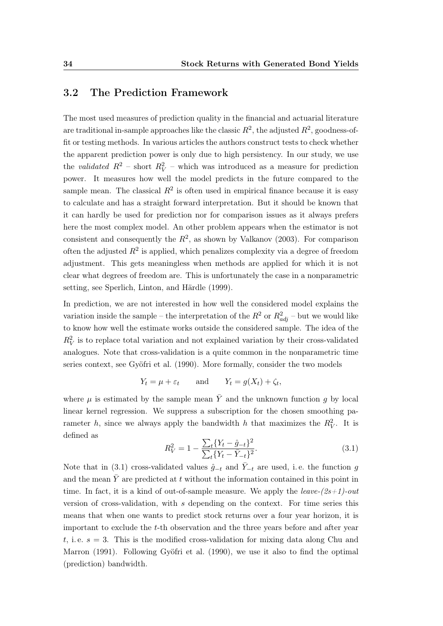#### <span id="page-49-0"></span>3.2 The Prediction Framework

The most used measures of prediction quality in the financial and actuarial literature are traditional in-sample approaches like the classic  $R^2$ , the adjusted  $R^2$ , goodness-offit or testing methods. In various articles the authors construct tests to check whether the apparent prediction power is only due to high persistency. In our study, we use the validated  $R^2$  – short  $R_V^2$  – which was introduced as a measure for prediction power. It measures how well the model predicts in the future compared to the sample mean. The classical  $R^2$  is often used in empirical finance because it is easy to calculate and has a straight forward interpretation. But it should be known that it can hardly be used for prediction nor for comparison issues as it always prefers here the most complex model. An other problem appears when the estimator is not consistent and consequently the  $R^2$ , as shown by [Valkanov](#page-111-1) [\(2003\)](#page-111-1). For comparison often the adjusted  $R^2$  is applied, which penalizes complexity via a degree of freedom adjustment. This gets meaningless when methods are applied for which it is not clear what degrees of freedom are. This is unfortunately the case in a nonparametric setting, see [Sperlich, Linton, and Härdle](#page-110-1) [\(1999\)](#page-110-1).

In prediction, we are not interested in how well the considered model explains the variation inside the sample – the interpretation of the  $R^2$  or  $R^2_{adj}$  – but we would like to know how well the estimate works outside the considered sample. The idea of the  $R_V^2$  is to replace total variation and not explained variation by their cross-validated analogues. Note that cross-validation is a quite common in the nonparametric time series context, see [Gyöfri et al.](#page-106-2) [\(1990\)](#page-106-2). More formally, consider the two models

$$
Y_t = \mu + \varepsilon_t
$$
 and  $Y_t = g(X_t) + \zeta_t$ ,

where  $\mu$  is estimated by the sample mean  $\bar{Y}$  and the unknown function g by local linear kernel regression. We suppress a subscription for the chosen smoothing parameter h, since we always apply the bandwidth h that maximizes the  $R_V^2$ . It is defined as

<span id="page-49-1"></span>
$$
R_V^2 = 1 - \frac{\sum_t \{Y_t - \hat{g}_{-t}\}^2}{\sum_t \{Y_t - \bar{Y}_{-t}\}^2}.
$$
\n(3.1)

Note that in [\(3.1\)](#page-49-1) cross-validated values  $\hat{q}_{-t}$  and  $\bar{Y}_{-t}$  are used, i.e. the function g and the mean  $\overline{Y}$  are predicted at t without the information contained in this point in time. In fact, it is a kind of out-of-sample measure. We apply the *leave-* $(2s+1)$ -out version of cross-validation, with s depending on the context. For time series this means that when one wants to predict stock returns over a four year horizon, it is important to exclude the t-th observation and the three years before and after year t, i.e.  $s = 3$ . This is the modified cross-validation for mixing data along [Chu and](#page-104-1) [Marron](#page-104-1) [\(1991\)](#page-104-1). Following [Gyöfri et al.](#page-106-2) [\(1990\)](#page-106-2), we use it also to find the optimal (prediction) bandwidth.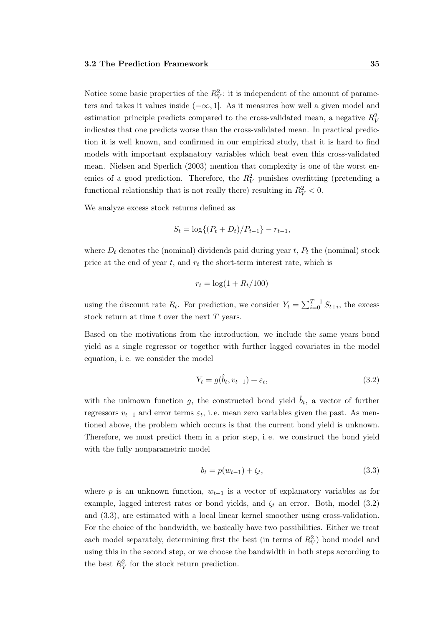Notice some basic properties of the  $R_V^2$ : it is independent of the amount of parameters and takes it values inside  $(-\infty, 1]$ . As it measures how well a given model and estimation principle predicts compared to the cross-validated mean, a negative  $R_V^2$ indicates that one predicts worse than the cross-validated mean. In practical prediction it is well known, and confirmed in our empirical study, that it is hard to find models with important explanatory variables which beat even this cross-validated mean. [Nielsen and Sperlich](#page-108-1) [\(2003\)](#page-108-1) mention that complexity is one of the worst enemies of a good prediction. Therefore, the  $R_V^2$  punishes overfitting (pretending a functional relationship that is not really there) resulting in  $R_V^2 < 0$ .

We analyze excess stock returns defined as

$$
S_t = \log\{(P_t + D_t)/P_{t-1}\} - r_{t-1},
$$

where  $D_t$  denotes the (nominal) dividends paid during year  $t$ ,  $P_t$  the (nominal) stock price at the end of year  $t$ , and  $r_t$  the short-term interest rate, which is

$$
r_t = \log(1 + R_t/100)
$$

using the discount rate  $R_t$ . For prediction, we consider  $Y_t = \sum_{i=0}^{T-1} S_{t+i}$ , the excess stock return at time  $t$  over the next  $T$  years.

Based on the motivations from the introduction, we include the same years bond yield as a single regressor or together with further lagged covariates in the model equation, i. e. we consider the model

<span id="page-50-0"></span>
$$
Y_t = g(\hat{b}_t, v_{t-1}) + \varepsilon_t, \tag{3.2}
$$

with the unknown function g, the constructed bond yield  $\hat{b}_t$ , a vector of further regressors  $v_{t-1}$  and error terms  $\varepsilon_t$ , i.e. mean zero variables given the past. As mentioned above, the problem which occurs is that the current bond yield is unknown. Therefore, we must predict them in a prior step, i. e. we construct the bond yield with the fully nonparametric model

<span id="page-50-1"></span>
$$
b_t = p(w_{t-1}) + \zeta_t,
$$
\n(3.3)

where p is an unknown function,  $w_{t-1}$  is a vector of explanatory variables as for example, lagged interest rates or bond yields, and  $\zeta_t$  an error. Both, model [\(3.2\)](#page-50-0) and [\(3.3\)](#page-50-1), are estimated with a local linear kernel smoother using cross-validation. For the choice of the bandwidth, we basically have two possibilities. Either we treat each model separately, determining first the best (in terms of  $R_V^2$ ) bond model and using this in the second step, or we choose the bandwidth in both steps according to the best  $R_V^2$  for the stock return prediction.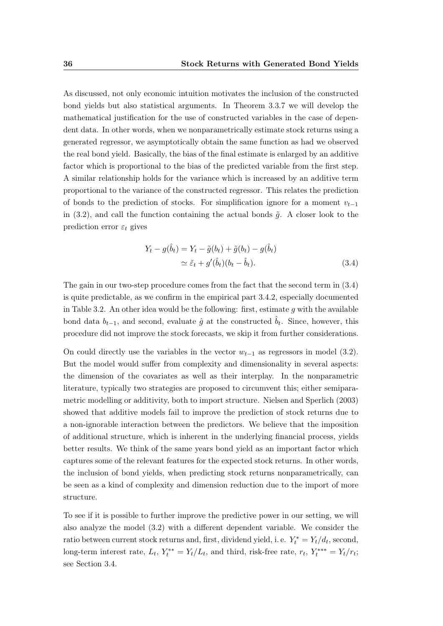As discussed, not only economic intuition motivates the inclusion of the constructed bond yields but also statistical arguments. In Theorem [3.3.7](#page-55-0) we will develop the mathematical justification for the use of constructed variables in the case of dependent data. In other words, when we nonparametrically estimate stock returns using a generated regressor, we asymptotically obtain the same function as had we observed the real bond yield. Basically, the bias of the final estimate is enlarged by an additive factor which is proportional to the bias of the predicted variable from the first step. A similar relationship holds for the variance which is increased by an additive term proportional to the variance of the constructed regressor. This relates the prediction of bonds to the prediction of stocks. For simplification ignore for a moment  $v_{t-1}$ in [\(3.2\)](#page-50-0), and call the function containing the actual bonds  $\tilde{g}$ . A closer look to the prediction error  $\varepsilon_t$  gives

<span id="page-51-0"></span>
$$
Y_t - g(\hat{b}_t) = Y_t - \tilde{g}(b_t) + \tilde{g}(b_t) - g(\hat{b}_t)
$$
  
\n
$$
\simeq \tilde{\varepsilon}_t + g'(\hat{b}_t)(b_t - \hat{b}_t). \tag{3.4}
$$

The gain in our two-step procedure comes from the fact that the second term in [\(3.4\)](#page-51-0) is quite predictable, as we confirm in the empirical part [3.4.2,](#page-56-1) especially documented in Table [3.2.](#page-57-0) An other idea would be the following: first, estimate q with the available bond data  $b_{t-1}$ , and second, evaluate  $\hat{g}$  at the constructed  $\hat{b}_t$ . Since, however, this procedure did not improve the stock forecasts, we skip it from further considerations.

On could directly use the variables in the vector  $w_{t-1}$  as regressors in model [\(3.2\)](#page-50-0). But the model would suffer from complexity and dimensionality in several aspects: the dimension of the covariates as well as their interplay. In the nonparametric literature, typically two strategies are proposed to circumvent this; either semiparametric modelling or additivity, both to import structure. [Nielsen and Sperlich](#page-108-1) [\(2003\)](#page-108-1) showed that additive models fail to improve the prediction of stock returns due to a non-ignorable interaction between the predictors. We believe that the imposition of additional structure, which is inherent in the underlying financial process, yields better results. We think of the same years bond yield as an important factor which captures some of the relevant features for the expected stock returns. In other words, the inclusion of bond yields, when predicting stock returns nonparametrically, can be seen as a kind of complexity and dimension reduction due to the import of more structure.

To see if it is possible to further improve the predictive power in our setting, we will also analyze the model [\(3.2\)](#page-50-0) with a different dependent variable. We consider the ratio between current stock returns and, first, dividend yield, i. e.  $Y_t^* = Y_t/d_t$ , second, long-term interest rate,  $L_t$ ,  $Y_t^{**} = Y_t/L_t$ , and third, risk-free rate,  $r_t$ ,  $Y_t^{***} = Y_t/r_t$ ; see Section [3.4.](#page-56-0)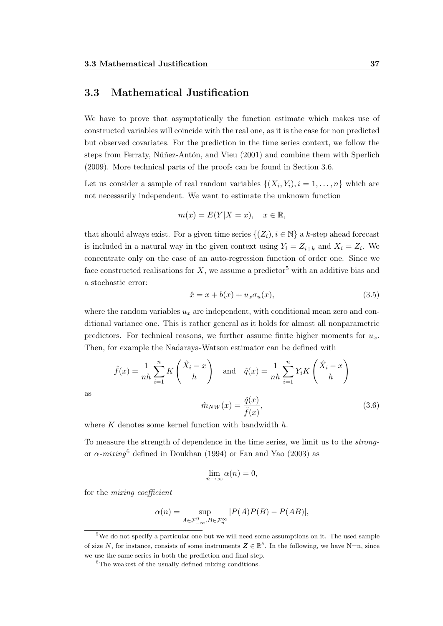#### <span id="page-52-0"></span>3.3 Mathematical Justification

We have to prove that asymptotically the function estimate which makes use of constructed variables will coincide with the real one, as it is the case for non predicted but observed covariates. For the prediction in the time series context, we follow the steps from [Ferraty, Núñez-Antón, and Vieu](#page-105-1) [\(2001\)](#page-105-1) and combine them with [Sperlich](#page-110-2) [\(2009\)](#page-110-2). More technical parts of the proofs can be found in Section [3.6.](#page-61-0)

Let us consider a sample of real random variables  $\{(X_i, Y_i), i = 1, \ldots, n\}$  which are not necessarily independent. We want to estimate the unknown function

$$
m(x) = E(Y|X = x), \quad x \in \mathbb{R},
$$

that should always exist. For a given time series  $\{(Z_i), i \in \mathbb{N}\}\$ a k-step ahead forecast is included in a natural way in the given context using  $Y_i = Z_{i+k}$  and  $X_i = Z_i$ . We concentrate only on the case of an auto-regression function of order one. Since we face constructed realisations for X, we assume a predictor<sup>5</sup> with an additive bias and a stochastic error:

<span id="page-52-2"></span>
$$
\hat{x} = x + b(x) + u_x \sigma_u(x),\tag{3.5}
$$

where the random variables  $u_x$  are independent, with conditional mean zero and conditional variance one. This is rather general as it holds for almost all nonparametric predictors. For technical reasons, we further assume finite higher moments for  $u_x$ . Then, for example the Nadaraya-Watson estimator can be defined with

$$
\hat{f}(x) = \frac{1}{nh} \sum_{i=1}^{n} K\left(\frac{\hat{X}_i - x}{h}\right) \quad \text{and} \quad \hat{q}(x) = \frac{1}{nh} \sum_{i=1}^{n} Y_i K\left(\frac{\hat{X}_i - x}{h}\right)
$$
\n
$$
\hat{m}_{NW}(x) = \frac{\hat{q}(x)}{\hat{f}(x)},\tag{3.6}
$$

as

where  $K$  denotes some kernel function with bandwidth  $h$ .

To measure the strength of dependence in the time series, we limit us to the strongor  $\alpha$ -mixing<sup>6</sup> defined in [Doukhan](#page-104-2) [\(1994\)](#page-104-2) or [Fan and Yao](#page-105-2) [\(2003\)](#page-105-2) as

<span id="page-52-1"></span>
$$
\lim_{n \to \infty} \alpha(n) = 0,
$$

for the mixing coefficient

$$
\alpha(n) = \sup_{A \in \mathcal{F}_{-\infty}^0, B \in \mathcal{F}_n^{\infty}} |P(A)P(B) - P(AB)|,
$$

<sup>5</sup>We do not specify a particular one but we will need some assumptions on it. The used sample of size N, for instance, consists of some instruments  $\mathbf{Z} \in \mathbb{R}^{\delta}$ . In the following, we have N=n, since we use the same series in both the prediction and final step.

<sup>&</sup>lt;sup>6</sup>The weakest of the usually defined mixing conditions.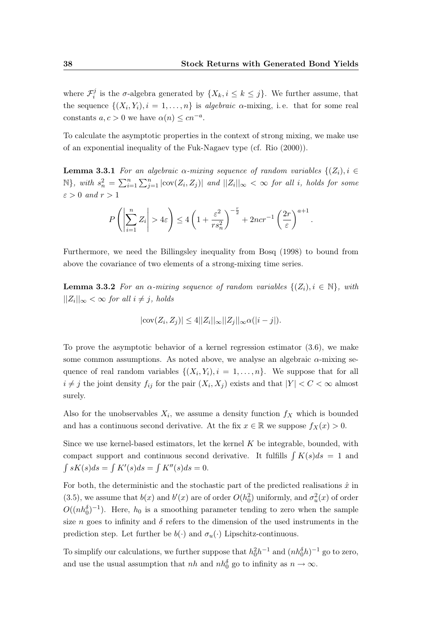where  $\mathcal{F}_i^j$ <sup>*i*</sup> is the  $\sigma$ -algebra generated by  $\{X_k, i \leq k \leq j\}$ . We further assume, that the sequence  $\{(X_i, Y_i), i = 1, \ldots, n\}$  is algebraic  $\alpha$ -mixing, i.e. that for some real constants  $a, c > 0$  we have  $\alpha(n) \leq c n^{-a}$ .

To calculate the asymptotic properties in the context of strong mixing, we make use of an exponential inequality of the Fuk-Nagaev type (cf. [Rio](#page-109-4) [\(2000\)](#page-109-4)).

**Lemma 3.3.1** For an algebraic  $\alpha$ -mixing sequence of random variables  $\{(Z_i), i \in$  $\mathbb{N}$ , with  $s_n^2 = \sum_{i=1}^n \sum_{j=1}^n |\text{cov}(Z_i, Z_j)|$  and  $||Z_i||_{\infty} < \infty$  for all i, holds for some  $\varepsilon > 0$  and  $r > 1$ 

<span id="page-53-1"></span>
$$
P\left(\left|\sum_{i=1}^n Z_i\right| > 4\varepsilon\right) \le 4\left(1 + \frac{\varepsilon^2}{rs_n^2}\right)^{-\frac{r}{2}} + 2ncr^{-1}\left(\frac{2r}{\varepsilon}\right)^{a+1}.
$$

Furthermore, we need the Billingsley inequality from [Bosq](#page-102-3) [\(1998\)](#page-102-3) to bound from above the covariance of two elements of a strong-mixing time series.

**Lemma 3.3.2** For an  $\alpha$ -mixing sequence of random variables  $\{(Z_i), i \in \mathbb{N}\}\$ , with  $||Z_i||_{\infty} < \infty$  for all  $i \neq j$ , holds

<span id="page-53-0"></span>
$$
|\mathrm{cov}(Z_i, Z_j)| \le 4||Z_i||_{\infty}||Z_j||_{\infty} \alpha(|i - j|).
$$

To prove the asymptotic behavior of a kernel regression estimator [\(3.6\)](#page-52-1), we make some common assumptions. As noted above, we analyse an algebraic  $\alpha$ -mixing sequence of real random variables  $\{(X_i, Y_i), i = 1, \ldots, n\}$ . We suppose that for all  $i \neq j$  the joint density  $f_{ij}$  for the pair  $(X_i, X_j)$  exists and that  $|Y| < C < \infty$  almost surely.

Also for the unobservables  $X_i$ , we assume a density function  $f_X$  which is bounded and has a continuous second derivative. At the fix  $x \in \mathbb{R}$  we suppose  $f_X(x) > 0$ .

Since we use kernel-based estimators, let the kernel  $K$  be integrable, bounded, with compact support and continuous second derivative. It fulfills  $\int K(s)ds = 1$  and  $\int sK(s)ds = \int K'(s)ds = \int K''(s)ds = 0.$ 

For both, the deterministic and the stochastic part of the predicted realisations  $\hat{x}$  in [\(3.5\)](#page-52-2), we assume that  $b(x)$  and  $b'(x)$  are of order  $O(h_0^2)$  uniformly, and  $\sigma_u^2(x)$  of order  $O((nh_0^{\delta})^{-1})$ . Here,  $h_0$  is a smoothing parameter tending to zero when the sample size n goes to infinity and  $\delta$  refers to the dimension of the used instruments in the prediction step. Let further be  $b(\cdot)$  and  $\sigma_u(\cdot)$  Lipschitz-continuous.

To simplify our calculations, we further suppose that  $h_0^2 h^{-1}$  and  $(nh_0^{\delta}h)^{-1}$  go to zero, and use the usual assumption that  $nh$  and  $nh_0^{\delta}$  go to infinity as  $n \to \infty$ .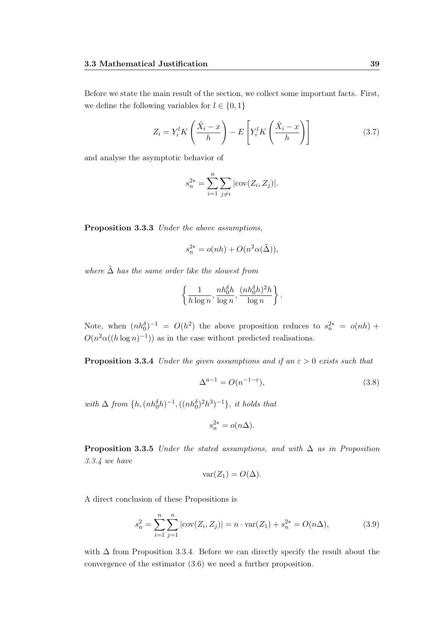Before we state the main result of the section, we collect some important facts. First, we define the following variables for  $l \in \{0, 1\}$ 

<span id="page-54-2"></span>
$$
Z_i = Y_i^l K\left(\frac{\hat{X}_i - x}{h}\right) - E\left[Y_i^l K\left(\frac{\hat{X}_i - x}{h}\right)\right]
$$
(3.7)

and analyse the asymptotic behavior of

$$
s_n^{2*} = \sum_{i=1}^n \sum_{j \neq i} |\text{cov}(Z_i, Z_j)|.
$$

<span id="page-54-1"></span>Proposition 3.3.3 Under the above assumptions,

$$
s_n^{2*} = o(nh) + O(n^2 \alpha(\tilde{\Delta})),
$$

where  $\tilde{\Delta}$  has the same order like the slowest from

$$
\left\{\frac{1}{h\log n}, \frac{nh_0^{\delta}h}{\log n}, \frac{(nh_0^{\delta}h)^2h}{\log n}\right\}.
$$

Note, when  $(nh_0^{\delta})^{-1} = O(h^2)$  the above proposition reduces to  $s_n^{2*} = o(nh)$  +  $O(n^2\alpha((h\log n)^{-1}))$  as in the case without predicted realisations.

**Proposition 3.3.4** Under the given assumptions and if an  $\varepsilon > 0$  exists such that

<span id="page-54-3"></span><span id="page-54-0"></span>
$$
\Delta^{a-1} = O(n^{-1-\varepsilon}),\tag{3.8}
$$

with  $\Delta$  from  $\{h, (nh_0^{\delta}h)^{-1}, ((nh_0^{\delta})^2h^3)^{-1}\},$  it holds that

$$
s_n^{2*} = o(n\Delta).
$$

<span id="page-54-4"></span>**Proposition 3.3.5** Under the stated assumptions, and with  $\Delta$  as in Proposition [3.3.4](#page-54-0) we have

<span id="page-54-6"></span><span id="page-54-5"></span>
$$
var(Z_1) = O(\Delta).
$$

A direct conclusion of these Propositions is

$$
s_n^2 = \sum_{i=1}^n \sum_{j=1}^n |\text{cov}(Z_i, Z_j)| = n \cdot \text{var}(Z_1) + s_n^{2*} = O(n\Delta),\tag{3.9}
$$

with  $\Delta$  from Proposition [3.3.4.](#page-54-0) Before we can directly specify the result about the convergence of the estimator [\(3.6\)](#page-52-1) we need a further proposition.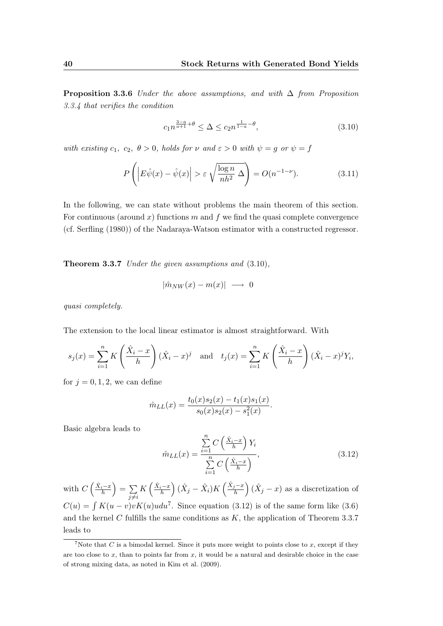**Proposition 3.3.6** Under the above assumptions, and with  $\Delta$  from Proposition [3.3.4](#page-54-0) that verifies the condition

<span id="page-55-3"></span><span id="page-55-1"></span>
$$
c_1 n^{\frac{3-a}{a+1} + \theta} \le \Delta \le c_2 n^{\frac{1}{1-a} - \theta},\tag{3.10}
$$

with existing  $c_1, c_2, \theta > 0$ , holds for  $\nu$  and  $\varepsilon > 0$  with  $\psi = g$  or  $\psi = f$ 

$$
P\left(\left|E\hat{\psi}(x) - \hat{\psi}(x)\right| > \varepsilon \sqrt{\frac{\log n}{nh^2}} \Delta\right) = O(n^{-1-\nu}).\tag{3.11}
$$

In the following, we can state without problems the main theorem of this section. For continuous (around x) functions m and f we find the quasi complete convergence (cf. [Serfling](#page-110-3) [\(1980\)](#page-110-3)) of the Nadaraya-Watson estimator with a constructed regressor.

<span id="page-55-0"></span>Theorem 3.3.7 Under the given assumptions and [\(3.10\)](#page-55-1),

$$
|\hat{m}_{NW}(x) - m(x)| \longrightarrow 0
$$

quasi completely.

The extension to the local linear estimator is almost straightforward. With

$$
s_j(x) = \sum_{i=1}^n K\left(\frac{\hat{X}_i - x}{h}\right)(\hat{X}_i - x)^j \quad \text{and} \quad t_j(x) = \sum_{i=1}^n K\left(\frac{\hat{X}_i - x}{h}\right)(\hat{X}_i - x)^j Y_i,
$$

for  $j = 0, 1, 2$ , we can define

$$
\hat{m}_{LL}(x) = \frac{t_0(x)s_2(x) - t_1(x)s_1(x)}{s_0(x)s_2(x) - s_1^2(x)}.
$$

Basic algebra leads to

<span id="page-55-2"></span>
$$
\hat{m}_{LL}(x) = \frac{\sum_{i=1}^{n} C\left(\frac{\hat{X}_i - x}{h}\right) Y_i}{\sum_{i=1}^{n} C\left(\frac{\hat{X}_i - x}{h}\right)},\tag{3.12}
$$

with  $C\left(\frac{\hat{X}_i-x}{h}\right)=\sum_{i=1}^n$  $j\neq i$  $K\left(\frac{\hat{X}_i-x}{h}\right)(\hat{X}_j-\hat{X}_i)K\left(\frac{\hat{X}_j-x}{h}\right)$  $\left(\hat{X}_j - x\right)$  as a discretization of  $C(u) = \int K(u-v)vK(u)udu^7$ . Since equation [\(3.12\)](#page-55-2) is of the same form like [\(3.6\)](#page-52-1) and the kernel  $C$  fulfills the same conditions as  $K$ , the application of Theorem [3.3.7](#page-55-0) leads to

<sup>&</sup>lt;sup>7</sup>Note that C is a bimodal kernel. Since it puts more weight to points close to x, except if they are too close to  $x$ , than to points far from  $x$ , it would be a natural and desirable choice in the case of strong mixing data, as noted in [Kim et al.](#page-107-3) [\(2009\)](#page-107-3).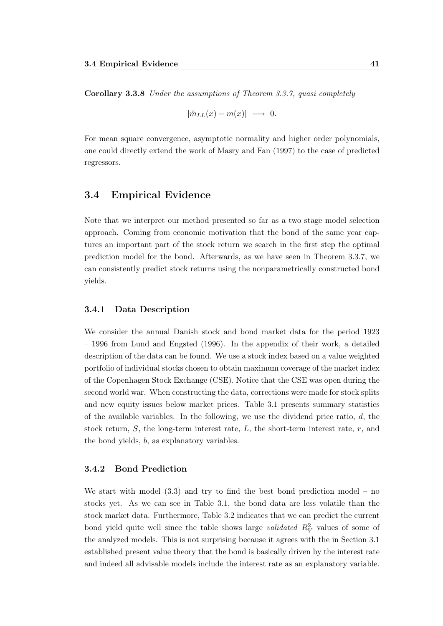Corollary 3.3.8 Under the assumptions of Theorem [3.3.7,](#page-55-0) quasi completely

$$
|\hat{m}_{LL}(x) - m(x)| \longrightarrow 0.
$$

For mean square convergence, asymptotic normality and higher order polynomials, one could directly extend the work of [Masry and Fan](#page-108-3) [\(1997\)](#page-108-3) to the case of predicted regressors.

#### <span id="page-56-0"></span>3.4 Empirical Evidence

Note that we interpret our method presented so far as a two stage model selection approach. Coming from economic motivation that the bond of the same year captures an important part of the stock return we search in the first step the optimal prediction model for the bond. Afterwards, as we have seen in Theorem [3.3.7,](#page-55-0) we can consistently predict stock returns using the nonparametrically constructed bond yields.

#### 3.4.1 Data Description

We consider the annual Danish stock and bond market data for the period 1923 – 1996 from [Lund and Engsted](#page-107-2) [\(1996\)](#page-107-2). In the appendix of their work, a detailed description of the data can be found. We use a stock index based on a value weighted portfolio of individual stocks chosen to obtain maximum coverage of the market index of the Copenhagen Stock Exchange (CSE). Notice that the CSE was open during the second world war. When constructing the data, corrections were made for stock splits and new equity issues below market prices. Table [3.1](#page-57-1) presents summary statistics of the available variables. In the following, we use the dividend price ratio,  $d$ , the stock return,  $S$ , the long-term interest rate,  $L$ , the short-term interest rate,  $r$ , and the bond yields, b, as explanatory variables.

#### <span id="page-56-1"></span>3.4.2 Bond Prediction

We start with model  $(3.3)$  and try to find the best bond prediction model – no stocks yet. As we can see in Table [3.1,](#page-57-1) the bond data are less volatile than the stock market data. Furthermore, Table [3.2](#page-57-0) indicates that we can predict the current bond yield quite well since the table shows large *validated*  $R_V^2$  values of some of the analyzed models. This is not surprising because it agrees with the in Section [3.1](#page-46-0) established present value theory that the bond is basically driven by the interest rate and indeed all advisable models include the interest rate as an explanatory variable.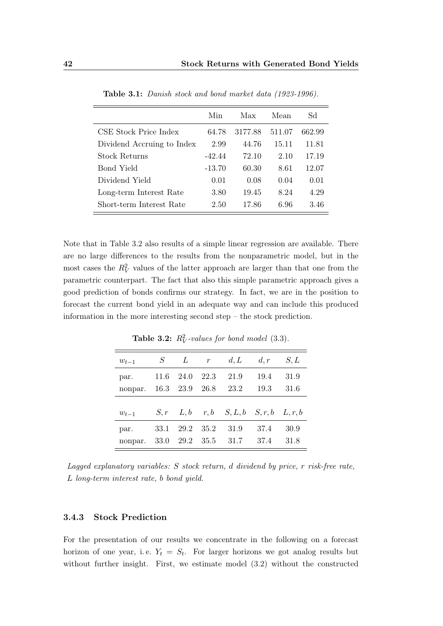<span id="page-57-1"></span>

|                            | Min      | Max     | Mean   | Sd     |
|----------------------------|----------|---------|--------|--------|
| CSE Stock Price Index      | 64.78    | 3177.88 | 511.07 | 662.99 |
| Dividend Accruing to Index | 2.99     | 44.76   | 15.11  | 11.81  |
| <b>Stock Returns</b>       | -42.44   | 72.10   | 2.10   | 17.19  |
| Bond Yield                 | $-13.70$ | 60.30   | 8.61   | 12.07  |
| Dividend Yield             | 0.01     | 0.08    | 0.04   | 0.01   |
| Long-term Interest Rate    | 3.80     | 19.45   | 8.24   | 4.29   |
| Short-term Interest Rate   | 2.50     | 17.86   | 6.96   | 3.46   |

Table 3.1: Danish stock and bond market data (1923-1996).

Note that in Table [3.2](#page-57-0) also results of a simple linear regression are available. There are no large differences to the results from the nonparametric model, but in the most cases the  $R_V^2$  values of the latter approach are larger than that one from the parametric counterpart. The fact that also this simple parametric approach gives a good prediction of bonds confirms our strategy. In fact, we are in the position to forecast the current bond yield in an adequate way and can include this produced information in the more interesting second step – the stock prediction.

<span id="page-57-0"></span>

| $w_{t-1}$       | S            | L            | $\mathcal{r}$ | d, L                                                                   | d, r         | S, L         |
|-----------------|--------------|--------------|---------------|------------------------------------------------------------------------|--------------|--------------|
| par.<br>nonpar. | 11.6<br>16.3 | 24.0<br>23.9 | 22.3<br>26.8  | 21.9<br>23.2                                                           | 19.4<br>19.3 | 31.9<br>31.6 |
|                 |              |              |               |                                                                        |              |              |
| $w_{t-1}$       |              |              |               | $S, r \quad L, b \quad r, b \quad S, L, b \quad S, r, b \quad L, r, b$ |              |              |
| par.            | 33.1         | 29.2         | 35.2          | 31.9                                                                   | 37.4         | 30.9         |
| nonpar.         | 33.0         | 29.2         | 35.5          | 31.7                                                                   | 37.4         | 31.8         |

**Table 3.2:**  $R_V^2$ -values for bond model [\(3.3\)](#page-50-1).

Lagged explanatory variables: S stock return, d dividend by price, r risk-free rate, L long-term interest rate, b bond yield.

#### 3.4.3 Stock Prediction

For the presentation of our results we concentrate in the following on a forecast horizon of one year, i.e.  $Y_t = S_t$ . For larger horizons we got analog results but without further insight. First, we estimate model [\(3.2\)](#page-50-0) without the constructed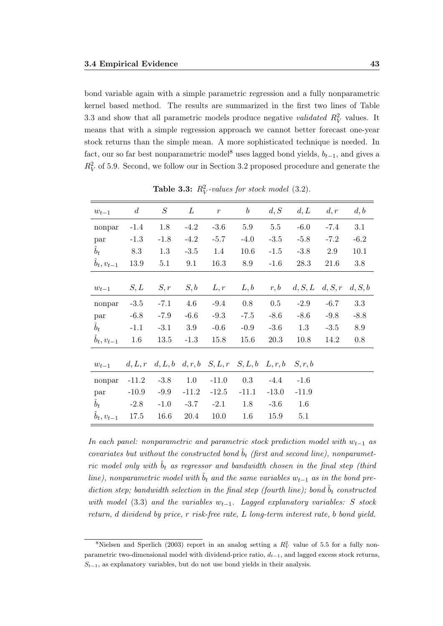bond variable again with a simple parametric regression and a fully nonparametric kernel based method. The results are summarized in the first two lines of Table [3.3](#page-58-0) and show that all parametric models produce negative *validated*  $R_V^2$  values. It means that with a simple regression approach we cannot better forecast one-year stock returns than the simple mean. A more sophisticated technique is needed. In fact, our so far best nonparametric model<sup>8</sup> uses lagged bond yields,  $b_{t-1}$ , and gives a  $R_V^2$  of 5.9. Second, we follow our in Section [3.2](#page-49-0) proposed procedure and generate the

<span id="page-58-0"></span>

| $w_{t-1}$            | $\overline{d}$ | $S_{\rm}$ | L        | $\boldsymbol{r}$                                  | $\boldsymbol{b}$ | d, S    | d, L    | d, r    | d, b    |
|----------------------|----------------|-----------|----------|---------------------------------------------------|------------------|---------|---------|---------|---------|
| nonpar               | $-1.4$         | 1.8       | $-4.2$   | $-3.6$                                            | $5.9\,$          | $5.5\,$ | $-6.0$  | $-7.4$  | 3.1     |
| par                  | $-1.3$         | $-1.8$    | $-4.2$   | $-5.7$                                            | $-4.0$           | $-3.5$  | $-5.8$  | $-7.2$  | $-6.2$  |
| $\hat{b}_t$          | 8.3            | 1.3       | $-3.5$   | 1.4                                               | 10.6             | $-1.5$  | $-3.8$  | 2.9     | 10.1    |
| $\hat{b}_t, v_{t-1}$ | $13.9\,$       | 5.1       | 9.1      | 16.3                                              | 8.9              | $-1.6$  | 28.3    | 21.6    | $3.8\,$ |
|                      |                |           |          |                                                   |                  |         |         |         |         |
| $w_{t-1}$            | S,L            | S,r       | S,b      | L, r                                              | L, b             | r, b    | d, S, L | d, S, r | d, S, b |
| nonpar               | $-3.5$         | $-7.1$    | 4.6      | $-9.4$                                            | 0.8              | $0.5\,$ | $-2.9$  | $-6.7$  | $3.3\,$ |
| par                  | $-6.8$         | $-7.9$    | $-6.6$   | $-9.3$                                            | $-7.5$           | $-8.6$  | $-8.6$  | $-9.8$  | $-8.8$  |
| $\hat{b}_t$          | $-1.1$         | $-3.1$    | 3.9      | $-0.6$                                            | $-0.9$           | $-3.6$  | 1.3     | $-3.5$  | $8.9\,$ |
| $\hat{b}_t, v_{t-1}$ | 1.6            | 13.5      | $-1.3$   | 15.8                                              | 15.6             | 20.3    | 10.8    | 14.2    | $0.8\,$ |
|                      |                |           |          |                                                   |                  |         |         |         |         |
| $w_{t-1}$            |                |           |          | $d, L, r$ $d, L, b$ $d, r, b$ $S, L, r$ $S, L, b$ |                  | L, r, b | S, r, b |         |         |
| nonpar               | $-11.2$        | $-3.8$    | 1.0      | $-11.0$                                           | 0.3              | $-4.4$  | $-1.6$  |         |         |
| par                  | $-10.9$        | $-9.9$    | $-11.2$  | $-12.5$                                           | $-11.1$          | $-13.0$ | $-11.9$ |         |         |
| $\hat{b}_t$          | $-2.8$         | $-1.0$    | $-3.7$   | $-2.1$                                            | 1.8              | $-3.6$  | 1.6     |         |         |
| $\hat{b}_t, v_{t-1}$ | 17.5           | 16.6      | $20.4\,$ | 10.0                                              | 1.6              | 15.9    | 5.1     |         |         |

**Table 3.3:**  $R_V^2$ -values for stock model [\(3.2\)](#page-50-0).

In each panel: nonparametric and parametric stock prediction model with  $w_{t-1}$  as covariates but without the constructed bond  $\hat{b}_t$  (first and second line), nonparametric model only with  $\hat{b}_t$  as regressor and bandwidth chosen in the final step (third line), nonparametric model with  $\hat{b}_t$  and the same variables  $w_{t-1}$  as in the bond prediction step; bandwidth selection in the final step (fourth line); bond  $\hat{b}_t$  constructed with model [\(3.3\)](#page-50-1) and the variables  $w_{t-1}$ . Lagged explanatory variables: S stock return, d dividend by price, r risk-free rate, L long-term interest rate, b bond yield.

<sup>&</sup>lt;sup>8</sup>[Nielsen and Sperlich](#page-108-1) [\(2003\)](#page-108-1) report in an analog setting a  $R_V^2$  value of 5.5 for a fully nonparametric two-dimensional model with dividend-price ratio,  $d_{t-1}$ , and lagged excess stock returns,  $S_{t-1}$ , as explanatory variables, but do not use bond yields in their analysis.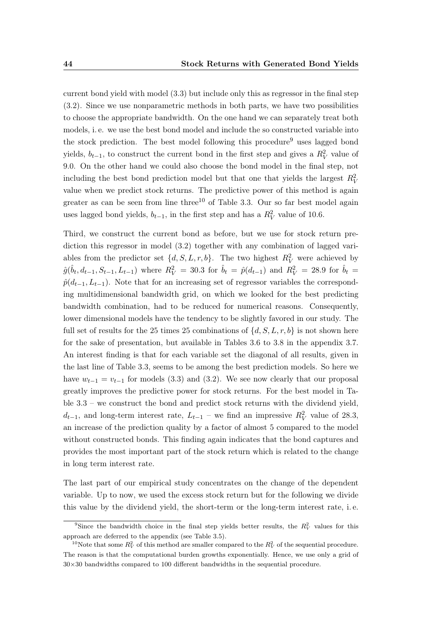current bond yield with model [\(3.3\)](#page-50-1) but include only this as regressor in the final step [\(3.2\)](#page-50-0). Since we use nonparametric methods in both parts, we have two possibilities to choose the appropriate bandwidth. On the one hand we can separately treat both models, i. e. we use the best bond model and include the so constructed variable into the stock prediction. The best model following this procedure<sup>9</sup> uses lagged bond yields,  $b_{t-1}$ , to construct the current bond in the first step and gives a  $R_V^2$  value of 9.0. On the other hand we could also choose the bond model in the final step, not including the best bond prediction model but that one that yields the largest  $R_V^2$ value when we predict stock returns. The predictive power of this method is again greater as can be seen from line three<sup>10</sup> of Table [3.3.](#page-58-0) Our so far best model again uses lagged bond yields,  $b_{t-1}$ , in the first step and has a  $R_V^2$  value of 10.6.

Third, we construct the current bond as before, but we use for stock return prediction this regressor in model [\(3.2\)](#page-50-0) together with any combination of lagged variables from the predictor set  $\{d, S, L, r, b\}$ . The two highest  $R_V^2$  were achieved by  $\hat{g}(\hat{b}_t, d_{t-1}, S_{t-1}, L_{t-1})$  where  $R_V^2 = 30.3$  for  $\hat{b}_t = \hat{p}(d_{t-1})$  and  $R_V^2 = 28.9$  for  $\hat{b}_t =$  $\hat{p}(d_{t-1}, L_{t-1})$ . Note that for an increasing set of regressor variables the corresponding multidimensional bandwidth grid, on which we looked for the best predicting bandwidth combination, had to be reduced for numerical reasons. Consequently, lower dimensional models have the tendency to be slightly favored in our study. The full set of results for the 25 times 25 combinations of  $\{d, S, L, r, b\}$  is not shown here for the sake of presentation, but available in Tables [3.6](#page-67-0) to [3.8](#page-69-0) in the appendix [3.7.](#page-66-0) An interest finding is that for each variable set the diagonal of all results, given in the last line of Table [3.3,](#page-58-0) seems to be among the best prediction models. So here we have  $w_{t-1} = v_{t-1}$  for models [\(3.3\)](#page-50-1) and [\(3.2\)](#page-50-0). We see now clearly that our proposal greatly improves the predictive power for stock returns. For the best model in Table [3.3](#page-58-0) – we construct the bond and predict stock returns with the dividend yield,  $d_{t-1}$ , and long-term interest rate,  $L_{t-1}$  – we find an impressive  $R_V^2$  value of 28.3, an increase of the prediction quality by a factor of almost 5 compared to the model without constructed bonds. This finding again indicates that the bond captures and provides the most important part of the stock return which is related to the change in long term interest rate.

The last part of our empirical study concentrates on the change of the dependent variable. Up to now, we used the excess stock return but for the following we divide this value by the dividend yield, the short-term or the long-term interest rate, i. e.

<sup>&</sup>lt;sup>9</sup>Since the bandwidth choice in the final step yields better results, the  $R_V^2$  values for this approach are deferred to the appendix (see Table [3.5\)](#page-66-1).

<sup>&</sup>lt;sup>10</sup>Note that some  $R_V^2$  of this method are smaller compared to the  $R_V^2$  of the sequential procedure. The reason is that the computational burden growths exponentially. Hence, we use only a grid of  $30\times30$  bandwidths compared to 100 different bandwidths in the sequential procedure.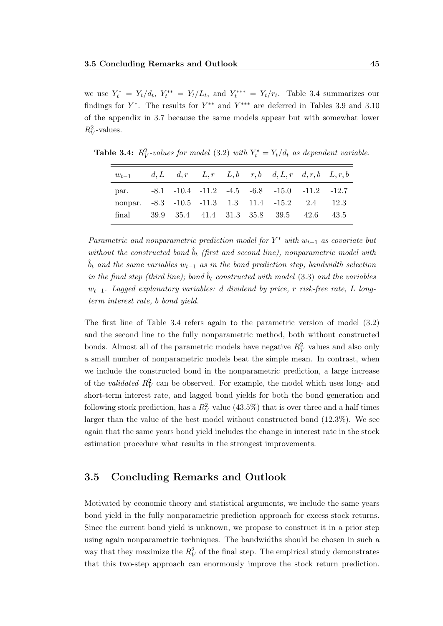we use  $Y_t^* = Y_t/d_t$ ,  $Y_t^{**} = Y_t/L_t$ , and  $Y_t^{***} = Y_t/r_t$ . Table [3.4](#page-60-1) summarizes our findings for  $Y^*$ . The results for  $Y^{**}$  and  $Y^{***}$  are deferred in Tables [3.9](#page-70-0) and [3.10](#page-71-0) of the appendix in [3.7](#page-66-0) because the same models appear but with somewhat lower  $R_V^2$ -values.

| $w_{t-1}$                                        |  |  | $d, L$ $d, r$ $L, r$ $L, b$ $r, b$ $d, L, r$ $d, r, b$ $L, r, b$ |  |
|--------------------------------------------------|--|--|------------------------------------------------------------------|--|
| par.                                             |  |  | $-8.1$ $-10.4$ $-11.2$ $-4.5$ $-6.8$ $-15.0$ $-11.2$ $-12.7$     |  |
| nonpar. -8.3 -10.5 -11.3 1.3 11.4 -15.2 2.4 12.3 |  |  |                                                                  |  |
| final 39.9 35.4 41.4 31.3 35.8 39.5 42.6 43.5    |  |  |                                                                  |  |

<span id="page-60-1"></span>**Table 3.4:**  $R_V^2$ -values for model [\(3.2\)](#page-50-0) with  $Y_t^* = Y_t/d_t$  as dependent variable.

Parametric and nonparametric prediction model for  $Y^*$  with  $w_{t-1}$  as covariate but without the constructed bond  $\hat{b}_t$  (first and second line), nonparametric model with  $\hat{b}_t$  and the same variables  $w_{t-1}$  as in the bond prediction step; bandwidth selection in the final step (third line); bond  $\hat{b}_t$  constructed with model [\(3.3\)](#page-50-1) and the variables  $w_{t-1}$ . Lagged explanatory variables: d dividend by price, r risk-free rate, L longterm interest rate, b bond yield.

The first line of Table [3.4](#page-60-1) refers again to the parametric version of model [\(3.2\)](#page-50-0) and the second line to the fully nonparametric method, both without constructed bonds. Almost all of the parametric models have negative  $R_V^2$  values and also only a small number of nonparametric models beat the simple mean. In contrast, when we include the constructed bond in the nonparametric prediction, a large increase of the *validated*  $R_V^2$  can be observed. For example, the model which uses long- and short-term interest rate, and lagged bond yields for both the bond generation and following stock prediction, has a  $R_V^2$  value (43.5%) that is over three and a half times larger than the value of the best model without constructed bond (12.3%). We see again that the same years bond yield includes the change in interest rate in the stock estimation procedure what results in the strongest improvements.

#### <span id="page-60-0"></span>3.5 Concluding Remarks and Outlook

Motivated by economic theory and statistical arguments, we include the same years bond yield in the fully nonparametric prediction approach for excess stock returns. Since the current bond yield is unknown, we propose to construct it in a prior step using again nonparametric techniques. The bandwidths should be chosen in such a way that they maximize the  $R_V^2$  of the final step. The empirical study demonstrates that this two-step approach can enormously improve the stock return prediction.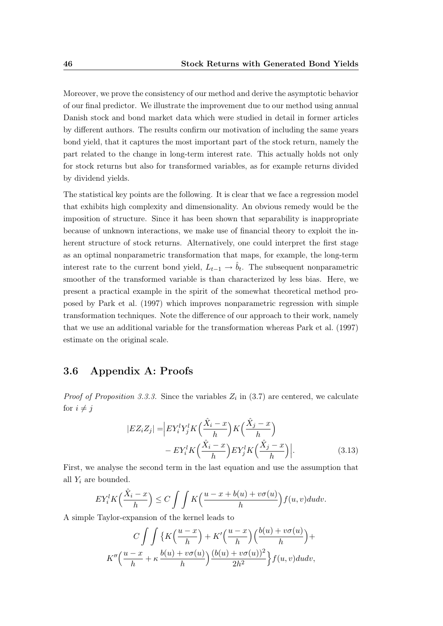Moreover, we prove the consistency of our method and derive the asymptotic behavior of our final predictor. We illustrate the improvement due to our method using annual Danish stock and bond market data which were studied in detail in former articles by different authors. The results confirm our motivation of including the same years bond yield, that it captures the most important part of the stock return, namely the part related to the change in long-term interest rate. This actually holds not only for stock returns but also for transformed variables, as for example returns divided by dividend yields.

The statistical key points are the following. It is clear that we face a regression model that exhibits high complexity and dimensionality. An obvious remedy would be the imposition of structure. Since it has been shown that separability is inappropriate because of unknown interactions, we make use of financial theory to exploit the inherent structure of stock returns. Alternatively, one could interpret the first stage as an optimal nonparametric transformation that maps, for example, the long-term interest rate to the current bond yield,  $L_{t-1} \to \hat{b}_t$ . The subsequent nonparametric smoother of the transformed variable is than characterized by less bias. Here, we present a practical example in the spirit of the somewhat theoretical method proposed by [Park et al.](#page-108-2) [\(1997\)](#page-108-2) which improves nonparametric regression with simple transformation techniques. Note the difference of our approach to their work, namely that we use an additional variable for the transformation whereas [Park et al.](#page-108-2) [\(1997\)](#page-108-2) estimate on the original scale.

## <span id="page-61-0"></span>3.6 Appendix A: Proofs

*Proof of Proposition [3.3.3.](#page-54-1)* Since the variables  $Z_i$  in [\(3.7\)](#page-54-2) are centered, we calculate for  $i \neq j$ 

$$
|EZ_iZ_j| = \left| EY_i^l Y_j^l K\left(\frac{\hat{X}_i - x}{h}\right) K\left(\frac{\hat{X}_j - x}{h}\right) - EY_i^l K\left(\frac{\hat{X}_i - x}{h}\right) EY_j^l K\left(\frac{\hat{X}_j - x}{h}\right) \right|.
$$
\n(3.13)

First, we analyse the second term in the last equation and use the assumption that all  $Y_i$  are bounded.

$$
EY_i^lK\left(\frac{\hat{X}_i - x}{h}\right) \le C \int \int K\left(\frac{u - x + b(u) + v\sigma(u)}{h}\right) f(u, v) du dv.
$$

A simple Taylor-expansion of the kernel leads to

$$
C \int \int \left\{ K\left(\frac{u-x}{h}\right) + K'\left(\frac{u-x}{h}\right)\left(\frac{b(u)+v\sigma(u)}{h}\right) + K''\left(\frac{u-x}{h} + \kappa \frac{b(u)+v\sigma(u)}{h}\right) \frac{(b(u)+v\sigma(u))^2}{2h^2} \right\} f(u,v) du dv,
$$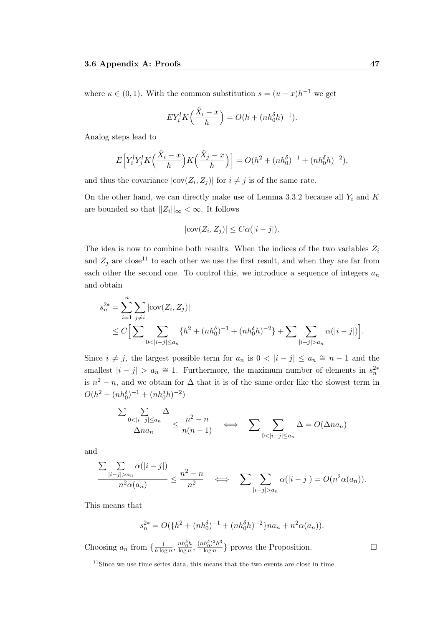where  $\kappa \in (0,1)$ . With the common substitution  $s = (u-x)h^{-1}$  we get

$$
EY_i^l K\left(\frac{\hat{X}_i - x}{h}\right) = O(h + (nh_0^{\delta}h)^{-1}).
$$

Analog steps lead to

$$
E\Big[Y_i^l Y_j^l K\Big(\frac{\hat{X}_i - x}{h}\Big) K\Big(\frac{\hat{X}_j - x}{h}\Big)\Big] = O(h^2 + (nh_0^{\delta})^{-1} + (nh_0^{\delta}h)^{-2}),
$$

and thus the covariance  $|\text{cov}(Z_i, Z_j)|$  for  $i \neq j$  is of the same rate.

On the other hand, we can directly make use of Lemma [3.3.2](#page-53-0) because all  $Y_i$  and  $K$ are bounded so that  $||Z_i||_{\infty} < \infty$ . It follows

$$
|\mathrm{cov}(Z_i, Z_j)| \le C\alpha(|i - j|).
$$

The idea is now to combine both results. When the indices of the two variables  $Z_i$ and  $Z_i$  are close<sup>11</sup> to each other we use the first result, and when they are far from each other the second one. To control this, we introduce a sequence of integers  $a_n$ and obtain

$$
s_n^{2*} = \sum_{i=1}^n \sum_{j \neq i} |\text{cov}(Z_i, Z_j)|
$$
  
 
$$
\leq C \Big[ \sum_{0 < |i-j| \leq a_n} \{ h^2 + (nh_0^{\delta})^{-1} + (nh_0^{\delta}h)^{-2} \} + \sum_{|i-j| > a_n} \alpha(|i-j|) \Big].
$$

Since  $i \neq j$ , the largest possible term for  $a_n$  is  $0 < |i - j| \leq a_n \approx n - 1$  and the smallest  $|i - j| > a_n \approx 1$ . Furthermore, the maximum number of elements in  $s_n^{2*}$ is  $n^2 - n$ , and we obtain for  $\Delta$  that it is of the same order like the slowest term in  $O(h^2 + (nh_0^{\delta})^{-1} + (nh_0^{\delta}h)^{-2})$ 

$$
\frac{\sum_{0 < |i-j| \le a_n} \Delta}{\Delta n a_n} \le \frac{n^2 - n}{n(n-1)} \quad \Longleftrightarrow \quad \sum_{0 < |i-j| \le a_n} \Delta = O(\Delta n a_n)
$$

and

$$
\frac{\sum_{|i-j|>a_n}\alpha(|i-j|)}{n^2\alpha(a_n)}\leq \frac{n^2-n}{n^2}\quad\Longleftrightarrow\quad \sum_{|i-j|>a_n}\alpha(|i-j|)=O(n^2\alpha(a_n)).
$$

This means that

$$
s_n^{2*} = O({h2 + (nh0δ)-1 + (nh0δh)-2}na_n + n2α(a_n)).
$$

Choosing  $a_n$  from  $\{\frac{1}{h\log n}\}$  $\frac{1}{h\log n}, \frac{nh_0^{\delta}h}{\log n}$  $\frac{nh_0^{\delta}h}{\log n}, \frac{(nh_0^{\delta})^2h^3}{\log n}$  $\frac{h_0^o)^2 h^o}{\log n}$  proves the Proposition.

<sup>&</sup>lt;sup>11</sup>Since we use time series data, this means that the two events are close in time.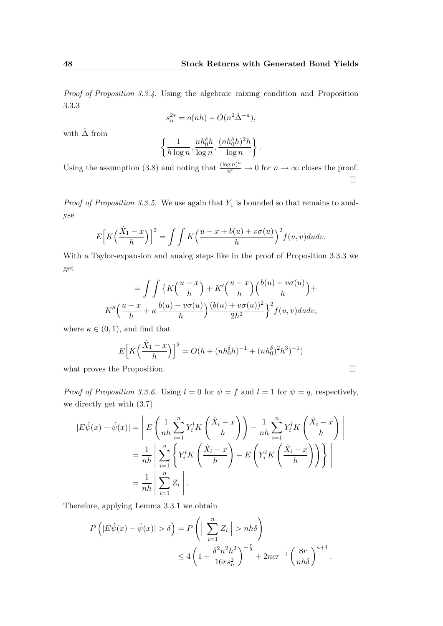Proof of Proposition [3.3.4.](#page-54-0) Using the algebraic mixing condition and Proposition [3.3.3](#page-54-1)

$$
s_n^{2*} = o(nh) + O(n^2\tilde{\Delta}^{-a}),
$$

with  $\tilde{\Delta}$  from

$$
\left\{\frac{1}{h\log n}, \frac{nh_0^{\delta}h}{\log n}, \frac{(nh_0^{\delta}h)^2h}{\log n}\right\}.
$$

Using the assumption [\(3.8\)](#page-54-3) and noting that  $\frac{(\log n)^a}{n^{\varepsilon}} \to 0$  for  $n \to \infty$  closes the proof.  $\Box$ 

*Proof of Proposition [3.3.5.](#page-54-4)* We use again that  $Y_1$  is bounded so that remains to analyse

$$
E\left[K\left(\frac{\hat{X}_1 - x}{h}\right)\right]^2 = \int\int K\left(\frac{u - x + b(u) + v\sigma(u)}{h}\right)^2 f(u, v) du dv.
$$

With a Taylor-expansion and analog steps like in the proof of Proposition [3.3.3](#page-54-1) we get

$$
= \int \int \left\{ K\left(\frac{u-x}{h}\right) + K'\left(\frac{u-x}{h}\right) \left(\frac{b(u)+v\sigma(u)}{h}\right) + K''\left(\frac{u-x}{h} + \kappa \frac{b(u)+v\sigma(u)}{h}\right) \frac{(b(u)+v\sigma(u))^2}{2h^2} \right\}^2 f(u,v) du dv,
$$

where  $\kappa \in (0,1)$ , and find that

$$
E\left[K\left(\frac{\hat{X}_1 - x}{h}\right)\right]^2 = O(h + (nh_0^{\delta}h)^{-1} + (nh_0^{\delta})^2h^3)^{-1})
$$

what proves the Proposition.

*Proof of Proposition [3.3.6.](#page-54-5)* Using  $l = 0$  for  $\psi = f$  and  $l = 1$  for  $\psi = q$ , respectively, we directly get with [\(3.7\)](#page-54-2)

$$
|E\hat{\psi}(x) - \hat{\psi}(x)| = \left| E\left(\frac{1}{nh} \sum_{i=1}^{n} Y_i^l K\left(\frac{\hat{X}_i - x}{h}\right)\right) - \frac{1}{nh} \sum_{i=1}^{n} Y_i^l K\left(\frac{\hat{X}_i - x}{h}\right) \right|
$$
  

$$
= \frac{1}{nh} \left| \sum_{i=1}^{n} \left\{ Y_i^l K\left(\frac{\hat{X}_i - x}{h}\right) - E\left(Y_i^l K\left(\frac{\hat{X}_i - x}{h}\right)\right) \right\} \right|
$$
  

$$
= \frac{1}{nh} \left| \sum_{i=1}^{n} Z_i \right|.
$$

Therefore, applying Lemma [3.3.1](#page-53-1) we obtain

$$
P\left(|E\hat{\psi}(x) - \hat{\psi}(x)| > \delta\right) = P\left(\left|\sum_{i=1}^{n} Z_i\right| > nh\delta\right)
$$
  

$$
\leq 4\left(1 + \frac{\delta^2 n^2 h^2}{16rs_n^2}\right)^{-\frac{r}{2}} + 2ncr^{-1}\left(\frac{8r}{nh\delta}\right)^{a+1}.
$$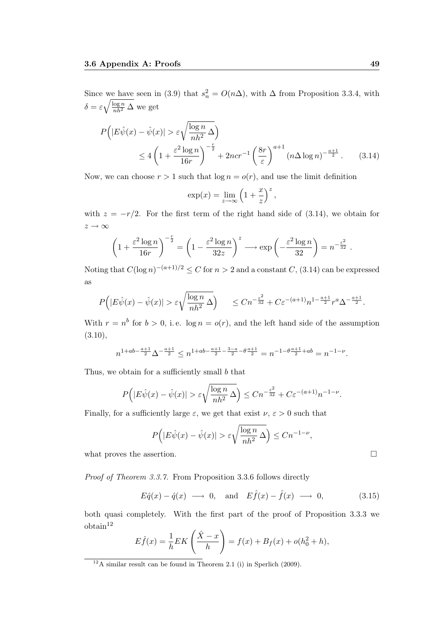Since we have seen in [\(3.9\)](#page-54-6) that  $s_n^2 = O(n\Delta)$ , with  $\Delta$  from Proposition [3.3.4,](#page-54-0) with  $\delta = \varepsilon \sqrt{\frac{\log n}{nh^2} \Delta}$  we get

$$
P(|E\hat{\psi}(x) - \hat{\psi}(x)| > \varepsilon \sqrt{\frac{\log n}{nh^2} \Delta}
$$
  
\n
$$
\leq 4\left(1 + \frac{\varepsilon^2 \log n}{16r}\right)^{-\frac{r}{2}} + 2ncr^{-1} \left(\frac{8r}{\varepsilon}\right)^{a+1} (n\Delta \log n)^{-\frac{a+1}{2}}.
$$
 (3.14)

Now, we can choose  $r > 1$  such that  $\log n = o(r)$ , and use the limit definition

<span id="page-64-0"></span>
$$
\exp(x) = \lim_{z \to \infty} \left( 1 + \frac{x}{z} \right)^z,
$$

with  $z = -r/2$ . For the first term of the right hand side of [\(3.14\)](#page-64-0), we obtain for  $z \rightarrow \infty$ 

$$
\left(1 + \frac{\varepsilon^2 \log n}{16r}\right)^{-\frac{r}{2}} = \left(1 - \frac{\varepsilon^2 \log n}{32z}\right)^z \longrightarrow \exp\left(-\frac{\varepsilon^2 \log n}{32}\right) = n^{-\frac{\varepsilon^2}{32}}.
$$

Noting that  $C(\log n)^{-(a+1)/2} \leq C$  for  $n > 2$  and a constant  $C$ , [\(3.14\)](#page-64-0) can be expressed as

$$
P(|E\hat{\psi}(x) - \hat{\psi}(x)| > \varepsilon \sqrt{\frac{\log n}{nh^2} \Delta} \Big) \le Cn^{-\frac{\varepsilon^2}{32}} + C\varepsilon^{-(a+1)} n^{1-\frac{a+1}{2}} r^a \Delta^{-\frac{a+1}{2}}.
$$

With  $r = n^b$  for  $b > 0$ , i.e.  $\log n = o(r)$ , and the left hand side of the assumption  $(3.10),$  $(3.10),$ 

$$
n^{1+ab-\frac{a+1}{2}}\Delta^{-\frac{a+1}{2}}\leq n^{1+ab-\frac{a+1}{2}-\frac{3-a}{2}-\theta\frac{a+1}{2}}=n^{-1-\theta\frac{a+1}{2}+ab}=n^{-1-\nu}.
$$

Thus, we obtain for a sufficiently small b that

$$
P(|E\hat{\psi}(x) - \hat{\psi}(x)| > \varepsilon \sqrt{\frac{\log n}{nh^2} \Delta} \le Cn^{-\frac{\varepsilon^2}{32}} + C\varepsilon^{-(a+1)}n^{-1-\nu}.
$$

Finally, for a sufficiently large  $\varepsilon$ , we get that exist  $\nu, \varepsilon > 0$  such that

<span id="page-64-1"></span>
$$
P(|E\hat{\psi}(x) - \hat{\psi}(x)| > \varepsilon \sqrt{\frac{\log n}{nh^2}} \,\Delta \Big) \le Cn^{-1-\nu},
$$

what proves the assertion.  $\Box$ 

Proof of Theorem [3.3.7.](#page-55-0) From Proposition [3.3.6](#page-54-5) follows directly

$$
E\hat{q}(x) - \hat{q}(x) \longrightarrow 0
$$
, and  $E\hat{f}(x) - \hat{f}(x) \longrightarrow 0$ , (3.15)

both quasi completely. With the first part of the proof of Proposition [3.3.3](#page-54-1) we  $obtain<sup>12</sup>$ 

$$
E\hat{f}(x) = \frac{1}{h}EK\left(\frac{\hat{X} - x}{h}\right) = f(x) + B_f(x) + o(h_0^2 + h),
$$

 $12A$  similar result can be found in Theorem 2.1 (i) in [Sperlich](#page-110-2) [\(2009\)](#page-110-2).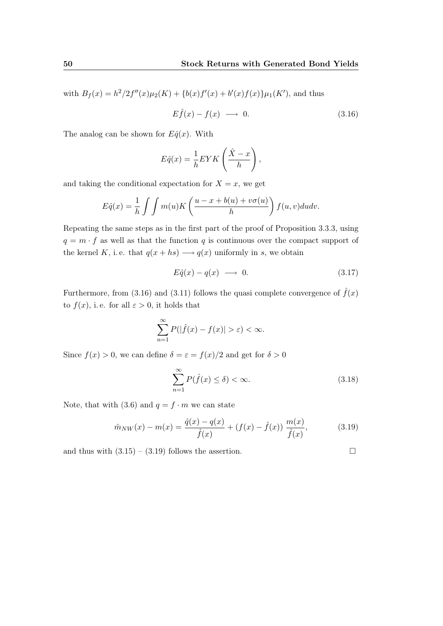with  $B_f(x) = h^2/2f''(x)\mu_2(K) + \{b(x)f'(x) + b'(x)f(x)\}\mu_1(K')$ , and thus

<span id="page-65-0"></span>
$$
E\hat{f}(x) - f(x) \longrightarrow 0. \tag{3.16}
$$

The analog can be shown for  $E\hat{q}(x)$ . With

$$
E\hat{q}(x) = \frac{1}{h}EYK\left(\frac{\hat{X} - x}{h}\right),\,
$$

and taking the conditional expectation for  $X = x$ , we get

$$
E\hat{q}(x) = \frac{1}{h} \int \int m(u)K\left(\frac{u-x+b(u)+v\sigma(u)}{h}\right) f(u,v)dudv.
$$

Repeating the same steps as in the first part of the proof of Proposition [3.3.3,](#page-54-1) using  $q = m \cdot f$  as well as that the function q is continuous over the compact support of the kernel K, i.e. that  $q(x + hs) \longrightarrow q(x)$  uniformly in s, we obtain

$$
E\hat{q}(x) - q(x) \longrightarrow 0. \tag{3.17}
$$

Furthermore, from [\(3.16\)](#page-65-0) and [\(3.11\)](#page-55-3) follows the quasi complete convergence of  $\hat{f}(x)$ to  $f(x)$ , i.e. for all  $\varepsilon > 0$ , it holds that

$$
\sum_{n=1}^{\infty} P(|\hat{f}(x) - f(x)| > \varepsilon) < \infty.
$$

Since  $f(x) > 0$ , we can define  $\delta = \varepsilon = f(x)/2$  and get for  $\delta > 0$ 

$$
\sum_{n=1}^{\infty} P(\hat{f}(x) \le \delta) < \infty. \tag{3.18}
$$

Note, that with [\(3.6\)](#page-52-1) and  $q = f \cdot m$  we can state

<span id="page-65-1"></span>
$$
\hat{m}_{NW}(x) - m(x) = \frac{\hat{q}(x) - q(x)}{\hat{f}(x)} + (f(x) - \hat{f}(x)) \frac{m(x)}{\hat{f}(x)},
$$
\n(3.19)

and thus with  $(3.15) - (3.19)$  $(3.15) - (3.19)$  $(3.15) - (3.19)$  follows the assertion.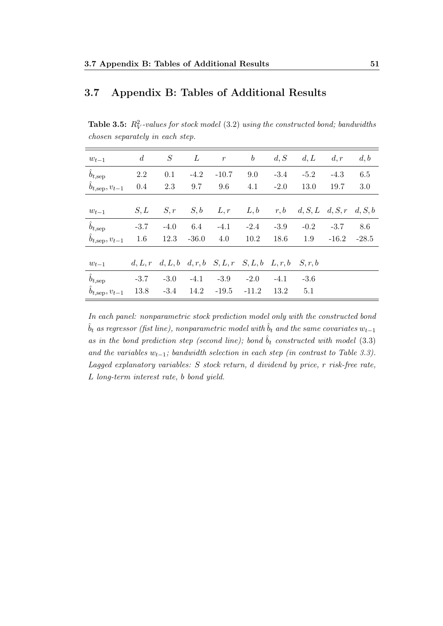# <span id="page-66-0"></span>3.7 Appendix B: Tables of Additional Results

<span id="page-66-1"></span>**Table 3.5:**  $R_V^2$ -values for stock model [\(3.2\)](#page-50-0) using the constructed bond; bandwidths chosen separately in each step.

| $w_{t-1}$                   | $\boldsymbol{d}$ | S      | L       | $\boldsymbol{r}$                      | $\boldsymbol{b}$ | d, S    | d, L                    | d, r    | d, b    |
|-----------------------------|------------------|--------|---------|---------------------------------------|------------------|---------|-------------------------|---------|---------|
| $\hat{b}_{t,\text{sep}}$    | 2.2              | 0.1    | $-4.2$  | $-10.7$                               | 9.0              | $-3.4$  | $-5.2$                  | $-4.3$  | 6.5     |
| $b_{t,\text{sep}}, v_{t-1}$ | 0.4              | 2.3    | 9.7     | 9.6                                   | 4.1              | $-2.0$  | 13.0                    | 19.7    | 3.0     |
|                             |                  |        |         |                                       |                  |         |                         |         |         |
| $w_{t-1}$                   | S, L             | S, r   | S, b    | L, r                                  | L, b             | r, b    | $d, S, L \quad d, S, r$ |         | d, S, b |
| $\hat{b}_{t,\text{sep}}$    | $-3.7$           | $-4.0$ | 6.4     | $-4.1$                                | $-2.4$           | $-3.9$  | $-0.2$                  | $-3.7$  | 8.6     |
| $b_{t,\text{sep}}, v_{t-1}$ | 1.6              | 12.3   | $-36.0$ | 4.0                                   | 10.2             | 18.6    | 1.9                     | $-16.2$ | $-28.5$ |
|                             |                  |        |         |                                       |                  |         |                         |         |         |
| $w_{t-1}$                   | d, L, r          |        |         | $d, L, b \quad d, r, b \quad S, L, r$ | S, L, b          | L, r, b | S, r, b                 |         |         |
| $\hat{b}_{t,\text{sep}}$    | $-3.7$           | $-3.0$ | $-4.1$  | $-3.9$                                | $-2.0$           | $-4.1$  | $-3.6$                  |         |         |
| $b_{t,\text{sep}}, v_{t-1}$ | 13.8             | $-3.4$ | 14.2    | $-19.5$                               | $-11.2$          | 13.2    | 5.1                     |         |         |

In each panel: nonparametric stock prediction model only with the constructed bond  $\hat{b}_t$  as regressor (fist line), nonparametric model with  $\hat{b}_t$  and the same covariates  $w_{t-1}$ as in the bond prediction step (second line); bond  $\hat{b}_t$  constructed with model [\(3.3\)](#page-50-1) and the variables  $w_{t-1}$ ; bandwidth selection in each step (in contrast to Table [3.3\)](#page-58-0). Lagged explanatory variables: S stock return, d dividend by price, r risk-free rate, L long-term interest rate, b bond yield.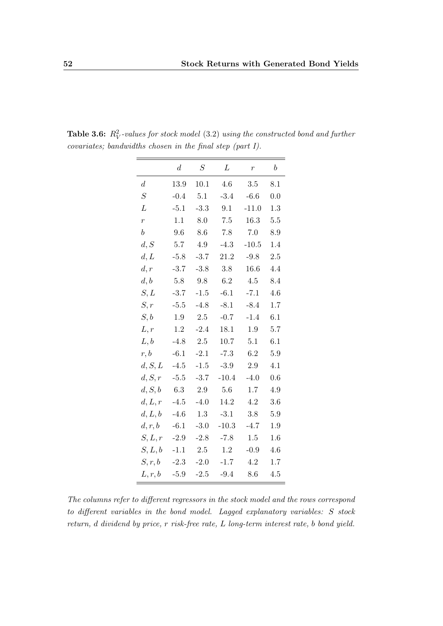|                  | $\boldsymbol{d}$ | $\cal S$ | L       | $\boldsymbol{r}$ | $\boldsymbol{b}$ |
|------------------|------------------|----------|---------|------------------|------------------|
| $\boldsymbol{d}$ | 13.9             | 10.1     | 4.6     | 3.5              | 8.1              |
| $\cal S$         | $-0.4$           | 5.1      | $-3.4$  | $-6.6$           | 0.0              |
| L                | $-5.1$           | $-3.3$   | 9.1     | $-11.0$          | 1.3              |
| $\overline{r}$   | 1.1              | 8.0      | $7.5\,$ | 16.3             | 5.5              |
| $\boldsymbol{b}$ | 9.6              | 8.6      | 7.8     | 7.0              | 8.9              |
| d, S             | 5.7              | 4.9      | $-4.3$  | $-10.5$          | 1.4              |
| d,L              | $-5.8$           | $-3.7$   | 21.2    | $-9.8$           | 2.5              |
| d, r             | $-3.7$           | $-3.8$   | 3.8     | 16.6             | 4.4              |
| d, b             | 5.8              | 9.8      | 6.2     | 4.5              | 8.4              |
| S,L              | $-3.7$           | $-1.5$   | $-6.1$  | $-7.1$           | 4.6              |
| S, r             | $-5.5$           | $-4.8$   | $-8.1$  | $-8.4$           | 1.7              |
| S, b             | 1.9              | 2.5      | $-0.7$  | $-1.4$           | 6.1              |
| L, r             | $1.2\,$          | $-2.4$   | 18.1    | 1.9              | 5.7              |
| L, b             | $-4.8$           | 2.5      | 10.7    | 5.1              | 6.1              |
| r, b             | $-6.1$           | $-2.1$   | $-7.3$  | 6.2              | 5.9              |
| d, S, L          | $-4.5$           | $-1.5$   | $-3.9$  | 2.9              | 4.1              |
| d, S, r          | $-5.5$           | $-3.7$   | $-10.4$ | $-4.0$           | 0.6              |
| d, S, b          | 6.3              | 2.9      | 5.6     | 1.7              | 4.9              |
| d, L, r          | $-4.5$           | $-4.0$   | 14.2    | 4.2              | 3.6              |
| d, L, b          | $-4.6$           | 1.3      | $-3.1$  | 3.8              | 5.9              |
| d, r, b          | $-6.1$           | $-3.0$   | $-10.3$ | $-4.7$           | 1.9              |
| S, L, r          | $-2.9$           | $-2.8$   | $-7.8$  | 1.5              | 1.6              |
| S, L, b          | $-1.1$           | 2.5      | 1.2     | $-0.9$           | 4.6              |
| S, r, b          | $-2.3$           | $-2.0$   | $-1.7$  | 4.2              | 1.7              |
| L,r,b            | $-5.9$           | $-2.5$   | $-9.4$  | 8.6              | 4.5              |

<span id="page-67-0"></span>**Table 3.6:**  $R_V^2$ -values for stock model [\(3.2\)](#page-50-0) using the constructed bond and further covariates; bandwidths chosen in the final step (part I).

The columns refer to different regressors in the stock model and the rows correspond to different variables in the bond model. Lagged explanatory variables: S stock return, d dividend by price, r risk-free rate, L long-term interest rate, b bond yield.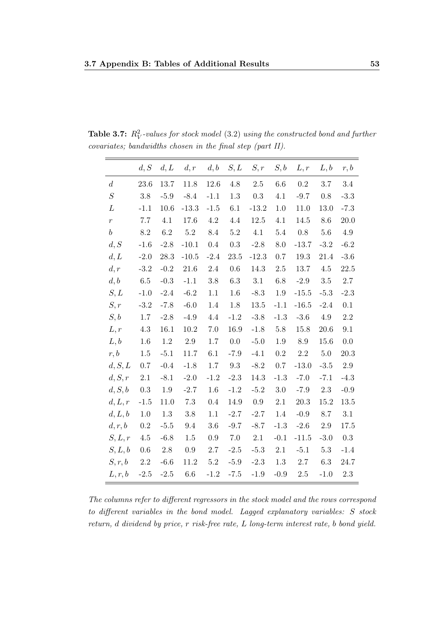|                  | d, S    | d, L     | d, r    | d, b    | S, L    | S,r     | S, b    | L, r    | L, b    | r, b    |
|------------------|---------|----------|---------|---------|---------|---------|---------|---------|---------|---------|
| $\boldsymbol{d}$ | 23.6    | $13.7\,$ | 11.8    | 12.6    | 4.8     | $2.5\,$ | $6.6\,$ | 0.2     | 3.7     | $3.4\,$ |
| $\cal S$         | 3.8     | $-5.9$   | $-8.4$  | $-1.1$  | 1.3     | $0.3\,$ | 4.1     | $-9.7$  | $0.8\,$ | $-3.3$  |
| L                | $-1.1$  | 10.6     | $-13.3$ | $-1.5$  | 6.1     | $-13.2$ | 1.0     | 11.0    | 13.0    | $-7.3$  |
| $\boldsymbol{r}$ | 7.7     | 4.1      | 17.6    | $4.2\,$ | 4.4     | 12.5    | 4.1     | 14.5    | 8.6     | 20.0    |
| $\boldsymbol{b}$ | 8.2     | 6.2      | $5.2\,$ | 8.4     | 5.2     | 4.1     | $5.4\,$ | 0.8     | 5.6     | 4.9     |
| d, S             | $-1.6$  | $-2.8$   | $-10.1$ | 0.4     | 0.3     | $-2.8$  | $8.0\,$ | $-13.7$ | $-3.2$  | $-6.2$  |
| d, L             | $-2.0$  | 28.3     | $-10.5$ | $-2.4$  | 23.5    | $-12.3$ | 0.7     | 19.3    | 21.4    | $-3.6$  |
| d, r             | $-3.2$  | $-0.2$   | 21.6    | $2.4\,$ | 0.6     | 14.3    | $2.5\,$ | 13.7    | $4.5\,$ | 22.5    |
| d, b             | 6.5     | $-0.3$   | $-1.1$  | 3.8     | 6.3     | 3.1     | $6.8\,$ | $-2.9$  | $3.5\,$ | 2.7     |
| S, L             | $-1.0$  | $-2.4$   | $-6.2$  | 1.1     | 1.6     | $-8.3$  | $1.9\,$ | $-15.5$ | $-5.3$  | $-2.3$  |
| S, r             | $-3.2$  | $-7.8$   | $-6.0$  | 1.4     | 1.8     | 13.5    | $-1.1$  | $-16.5$ | $-2.4$  | 0.1     |
| S, b             | 1.7     | $-2.8$   | $-4.9$  | 4.4     | $-1.2$  | $-3.8$  | $-1.3$  | $-3.6$  | 4.9     | 2.2     |
| L, r             | 4.3     | 16.1     | 10.2    | $7.0\,$ | 16.9    | $-1.8$  | $5.8\,$ | 15.8    | 20.6    | $9.1\,$ |
| L, b             | 1.6     | 1.2      | $2.9\,$ | 1.7     | 0.0     | $-5.0$  | 1.9     | 8.9     | 15.6    | 0.0     |
| r, b             | 1.5     | $-5.1$   | 11.7    | 6.1     | $-7.9$  | $-4.1$  | 0.2     | $2.2\,$ | $5.0\,$ | 20.3    |
| d, S, L          | 0.7     | $-0.4$   | $-1.8$  | 1.7     | 9.3     | $-8.2$  | 0.7     | $-13.0$ | $-3.5$  | $2.9\,$ |
| d, S, r          | 2.1     | $-8.1$   | $-2.0$  | $-1.2$  | $-2.3$  | 14.3    | $-1.3$  | $-7.0$  | $-7.1$  | $-4.3$  |
| d, S, b          | 0.3     | 1.9      | $-2.7$  | 1.6     | $-1.2$  | $-5.2$  | $3.0\,$ | $-7.9$  | $2.3\,$ | $-0.9$  |
| d, L, r          | $-1.5$  | 11.0     | 7.3     | 0.4     | 14.9    | 0.9     | 2.1     | 20.3    | 15.2    | 13.5    |
| d, L, b          | 1.0     | 1.3      | 3.8     | 1.1     | $-2.7$  | $-2.7$  | 1.4     | $-0.9$  | 8.7     | 3.1     |
| d, r, b          | 0.2     | $-5.5$   | 9.4     | 3.6     | $-9.7$  | $-8.7$  | $-1.3$  | $-2.6$  | 2.9     | 17.5    |
| S, L, r          | 4.5     | $-6.8$   | 1.5     | 0.9     | $7.0\,$ | $2.1\,$ | $-0.1$  | $-11.5$ | $-3.0$  | 0.3     |
| S, L, b          | 0.6     | 2.8      | $0.9\,$ | 2.7     | $-2.5$  | $-5.3$  | $2.1\,$ | $-5.1$  | 5.3     | $-1.4$  |
| S, r, b          | $2.2\,$ | $-6.6$   | 11.2    | $5.2\,$ | $-5.9$  | $-2.3$  | 1.3     | $2.7\,$ | $6.3\,$ | 24.7    |
| L, r, b          | $-2.5$  | $-2.5$   | 6.6     | $-1.2$  | $-7.5$  | $-1.9$  | $-0.9$  | 2.5     | $-1.0$  | $2.3\,$ |

**Table 3.7:**  $R_V^2$ -values for stock model [\(3.2\)](#page-50-0) using the constructed bond and further covariates; bandwidths chosen in the final step (part II).

The columns refer to different regressors in the stock model and the rows correspond to different variables in the bond model. Lagged explanatory variables: S stock return, d dividend by price, r risk-free rate, L long-term interest rate, b bond yield.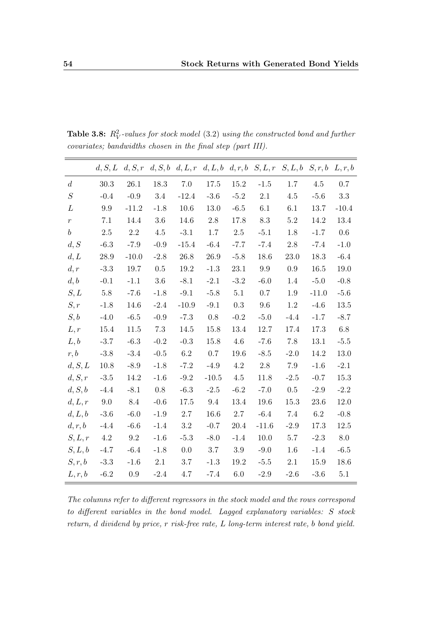|                  | d, S, L | d, S, r |         |         |         |          | $d, S, b, d, L, r, d, L, b, d, r, b, S, L, r$ | $S, L, b \quad S, r, b$ |          | L, r, b  |
|------------------|---------|---------|---------|---------|---------|----------|-----------------------------------------------|-------------------------|----------|----------|
| $\boldsymbol{d}$ | 30.3    | 26.1    | 18.3    | $7.0\,$ | 17.5    | 15.2     | $-1.5$                                        | 1.7                     | 4.5      | 0.7      |
| $\cal S$         | $-0.4$  | $-0.9$  | 3.4     | $-12.4$ | $-3.6$  | $-5.2$   | 2.1                                           | 4.5                     | $-5.6$   | $3.3\,$  |
| L                | 9.9     | $-11.2$ | $-1.8$  | 10.6    | 13.0    | $-6.5$   | 6.1                                           | 6.1                     | 13.7     | $-10.4$  |
| $\boldsymbol{r}$ | 7.1     | 14.4    | $3.6\,$ | 14.6    | 2.8     | 17.8     | $8.3\,$                                       | $5.2\,$                 | 14.2     | 13.4     |
| $\boldsymbol{b}$ | $2.5\,$ | $2.2\,$ | $4.5\,$ | $-3.1$  | $1.7\,$ | 2.5      | $-5.1$                                        | 1.8                     | $-1.7$   | $0.6\,$  |
| d, S             | $-6.3$  | $-7.9$  | $-0.9$  | $-15.4$ | $-6.4$  | $-7.7$   | $-7.4$                                        | $2.8\,$                 | $-7.4$   | $-1.0$   |
| d, L             | 28.9    | $-10.0$ | $-2.8$  | 26.8    | 26.9    | $-5.8$   | 18.6                                          | 23.0                    | 18.3     | $-6.4$   |
| d, r             | $-3.3$  | 19.7    | $0.5\,$ | 19.2    | $-1.3$  | 23.1     | $9.9\,$                                       | 0.9                     | 16.5     | 19.0     |
| d, b             | $-0.1$  | $-1.1$  | $3.6\,$ | $-8.1$  | $-2.1$  | $-3.2$   | $-6.0$                                        | 1.4                     | $-5.0$   | $-0.8$   |
| S, L             | $5.8\,$ | $-7.6$  | $-1.8$  | $-9.1$  | $-5.8$  | 5.1      | $0.7\,$                                       | $1.9\,$                 | $-11.0$  | $-5.6$   |
| S, r             | $-1.8$  | 14.6    | $-2.4$  | $-10.9$ | $-9.1$  | 0.3      | 9.6                                           | 1.2                     | $-4.6$   | 13.5     |
| S, b             | $-4.0$  | $-6.5$  | $-0.9$  | $-7.3$  | 0.8     | $-0.2$   | $-5.0$                                        | $-4.4$                  | $-1.7$   | $-8.7$   |
| L, r             | 15.4    | 11.5    | 7.3     | 14.5    | 15.8    | 13.4     | 12.7                                          | 17.4                    | 17.3     | 6.8      |
| L, b             | $-3.7$  | $-6.3$  | $-0.2$  | $-0.3$  | 15.8    | $4.6\,$  | $-7.6$                                        | 7.8                     | 13.1     | $-5.5$   |
| r, b             | $-3.8$  | $-3.4$  | $-0.5$  | $6.2\,$ | $0.7\,$ | $19.6\,$ | $-8.5$                                        | $-2.0$                  | 14.2     | $13.0\,$ |
| d, S, L          | 10.8    | $-8.9$  | $-1.8$  | $-7.2$  | $-4.9$  | 4.2      | $2.8\,$                                       | 7.9                     | $-1.6$   | $-2.1$   |
| d, S, r          | $-3.5$  | 14.2    | $-1.6$  | $-9.2$  | $-10.5$ | 4.5      | 11.8                                          | $-2.5$                  | $-0.7$   | 15.3     |
| d, S, b          | $-4.4$  | $-8.1$  | 0.8     | $-6.3$  | $-2.5$  | $-6.2$   | $-7.0$                                        | 0.5                     | $-2.9$   | $-2.2$   |
| d, L, r          | 9.0     | 8.4     | $-0.6$  | 17.5    | 9.4     | 13.4     | 19.6                                          | 15.3                    | $23.6\,$ | 12.0     |
| d, L, b          | $-3.6$  | $-6.0$  | $-1.9$  | $2.7\,$ | 16.6    | 2.7      | $-6.4$                                        | 7.4                     | 6.2      | $-0.8$   |
| d, r, b          | $-4.4$  | $-6.6$  | $-1.4$  | $3.2\,$ | $-0.7$  | 20.4     | $-11.6$                                       | $-2.9$                  | 17.3     | 12.5     |
| S, L, r          | 4.2     | 9.2     | $-1.6$  | $-5.3$  | $-8.0$  | $-1.4$   | 10.0                                          | 5.7                     | $-2.3$   | 8.0      |
| S, L, b          | $-4.7$  | $-6.4$  | $-1.8$  | 0.0     | 3.7     | $3.9\,$  | $-9.0$                                        | 1.6                     | $-1.4$   | $-6.5$   |
| S, r, b          | $-3.3$  | $-1.6$  | $2.1\,$ | 3.7     | $-1.3$  | 19.2     | $-5.5$                                        | $2.1\,$                 | 15.9     | 18.6     |
| L, r, b          | $-6.2$  | $0.9\,$ | $-2.4$  | 4.7     | $-7.4$  | $6.0\,$  | $-2.9$                                        | $-2.6$                  | $-3.6$   | $5.1\,$  |

<span id="page-69-0"></span>**Table 3.8:**  $R_V^2$ -values for stock model [\(3.2\)](#page-50-0) using the constructed bond and further covariates; bandwidths chosen in the final step (part III).

The columns refer to different regressors in the stock model and the rows correspond to different variables in the bond model. Lagged explanatory variables: S stock return, d dividend by price, r risk-free rate, L long-term interest rate, b bond yield.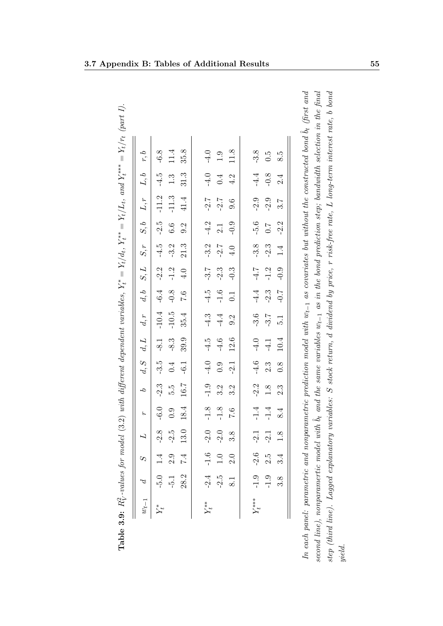| $w_{t-1}$  | $\beta$               | S          |               | $L$ r b |        |        |        | $d, S \quad d, L \quad d, r$ |               |        |                      |                  | $d, b$ $S, L$ $S, r$ $S, b$ $L, r$ | L, b   | r, b    |
|------------|-----------------------|------------|---------------|---------|--------|--------|--------|------------------------------|---------------|--------|----------------------|------------------|------------------------------------|--------|---------|
|            | $-5.0$                |            | $-2.8$        | $-6.0$  | $-2.3$ | $-3.5$ | $-8.1$ | $-10.4$                      | $-6.4$        | $-2.2$ | $-4.5$               | $-2.5$           | $-11.2$                            | $-4.5$ | $-6.8$  |
|            | $-5.1$                | 2.9        | 2.5           | 0.9     | ς.α    | 0.4    | $-8.3$ | $-10.5$                      | $-0.8$        | $-1.2$ | $-3.2$               | $6.6\phantom{0}$ | $-11.3$                            | 1.3    | 11.4    |
|            | 28.2                  | $\ddot{z}$ | 13.0          | 18.4    | 16.7   | $-6.1$ | 39.9   | 35.4                         | 0.7           | 4.0    | $21.3$               | 9.2              | $41.4$                             | 31.3   | 35.8    |
| $Y_t^{**}$ | $-2.4$                | $-1.6$     | $-2.0$        | $-1.8$  | $-1.9$ | $-4.0$ | $-4.5$ | $-4.3$                       | $-4.5$        | $-3.7$ | $-3.2$               | $-4.2$           | $-2.7$                             | $-4.0$ | $-4.0$  |
|            | $-2.5$                | $1.0\,$    | 2.0           | $-1.8$  | 3.2    | 0.9    | $-4.6$ | $-4.4$                       | $-1.6$        | $-2.3$ | $-2.7$               | $2.1\,$          | $-2.7$                             | 0.4    | $1.9\,$ |
|            | $\overline{8.1}$      | 2.0        | $\frac{8}{3}$ | 0.7     | 3.2    | $-2.1$ | 12.6   | 9.2                          | $\frac{1}{2}$ | $-0.3$ | $4.0$                | $-0.9$           | 9.6                                | 4.2    | 11.8    |
|            | $Y_t^{***}$ -1.9 -2.6 |            | $-2.1$        | $-1.4$  | $-2.2$ | $-4.6$ | $-4.0$ | $-3.6$                       |               |        | $-4.4$ $-4.7$ $-3.8$ | $-5.6$           | $-2.9$                             | $-4.4$ | $-3.8$  |
|            | $-1.9$                | 2.5        | $\ddot{2}$ .  | $-1.4$  | $1.8$  | 2.3    | $-4.1$ | $-3.7$                       | $-2.3$        | $-1.2$ | $-2.3$               | $\ddot{L}$ :0    | $-2.9$                             | $-0.8$ | 0.5     |
|            | 3.8                   | 3.4        | 1.8           | 8.4     | 2.3    | 0.8    | 10.4   | $\frac{1}{2}$                | $-0.7$        | $-0.9$ | 1.4                  | $-2.2$           | 3.7                                | 2.4    | 8.5     |

<span id="page-70-0"></span>

| <br> <br>                     |
|-------------------------------|
|                               |
|                               |
| $\overline{\phantom{a}}$      |
| $\frac{1}{11}$                |
| ちらい                           |
| b<br>$\overline{\phantom{a}}$ |
|                               |
|                               |
|                               |
| $1 - 11$<br>$\frac{1}{2}$     |
| $\overline{\phantom{a}}$      |
|                               |
| コーナート<br>د<br>ا               |
|                               |
|                               |
| l<br>ļ                        |
| ֞׀׀<br>֧                      |
| i                             |
|                               |
|                               |
|                               |
|                               |
|                               |
|                               |
|                               |
| ł                             |
|                               |
|                               |
|                               |
| રે                            |
|                               |
| $\frac{1}{2}$                 |
|                               |
| $\epsilon$<br>i<br>¢<br>ì     |
|                               |
| J<br>ì<br>I                   |
|                               |
|                               |
|                               |
| ζ<br>š                        |
|                               |
| I<br>Í<br>l<br>ï              |
| ĺ<br>j                        |
| <u>ب</u> هِ                   |
|                               |
| Table.                        |
|                               |
|                               |

In each panel: parametric and nonparametric prediction model with  $w_{t-1}$  as covariates but without the constructed bond  $\hat{b}_t$  (first and second line), nonparamertic model with  $\hat{b}_t$  and the same variables  $w_{t-1}$  $L$  long-term interest rate,  $b$   $\it bond$  $w_{t-1}$  as in the bond prediction step; bandwidth selection in the final  $w_{t-1}$  as covariates but without the constructed bond L dividend by price, r risk-free rate, In each panel: parametric and nonparametric prediction model with  $\hat{b}_t$  and the same variables dS stock return, step (third line). Lagged explanatory variables: second line), nonparamertic model with In each pa yield.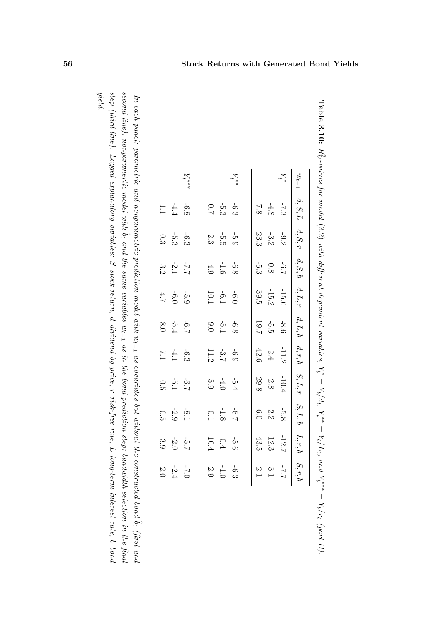|     |                                                             | $Y_t^{***}$ |                                                         | $Y_t^{**}$ |                                                        | $Y_t^\ast$                                            | $\omega_{t-1}$ |
|-----|-------------------------------------------------------------|-------------|---------------------------------------------------------|------------|--------------------------------------------------------|-------------------------------------------------------|----------------|
| 1.1 | $-6.8$                                                      |             | 6<br>9<br>9<br>9<br>9<br>9<br>9<br>9                    |            |                                                        | $\frac{1}{7}$ 3<br>$\frac{4}{8}$ 8                    | $d, S, L$      |
|     | 6<br>3 5 3 3<br>3 3                                         |             | $\frac{1}{2}$ $\frac{1}{2}$ $\frac{1}{2}$ $\frac{3}{2}$ |            | $-9\begin{array}{l} -3 \\ -3 \\ 0 \\ 3 \\ \end{array}$ |                                                       | $d,S,r$        |
|     | $-7.7$<br>$-2.1$<br>$-3.2$                                  |             | $-6.6$<br>$-1.6$<br>$-4.9$                              |            | $-6.76$<br>0.8<br>3<br>3                               |                                                       | $d, S, b$      |
|     | $-5.3$<br>$-6.6$<br>$+3.2$                                  |             | $-6.1$<br>10.1<br>10.1                                  |            |                                                        | $\begin{array}{r} -15.0 \\ -15.2 \\ 39.5 \end{array}$ | $d, L, r$      |
|     | $-6.7$<br>8.0<br>8.0                                        |             | $-6.8$<br>$-5.1$<br>$-9.0$                              |            |                                                        | $-8.6$<br>19.7                                        | $d,L,b$        |
|     | $-6.3$<br>$-4.1$                                            |             | $-6.3$<br>$-3.7$<br>$-11.2$                             |            |                                                        | $\begin{array}{r} -11.2 \\ 2.4 \\ 42.6 \end{array}$   | $d,r,b$        |
|     | $\frac{1}{12}$ $\frac{1}{12}$ $\frac{1}{12}$ $\frac{1}{12}$ |             | $-5\frac{1}{2}$ $\frac{4}{0}$ $\frac{1}{0}$             |            |                                                        | $\begin{array}{c} -10.4 \\ 2.8 \\ 2.8 \end{array}$    | $S,L,r$        |
|     | $-8.1$<br>$-3.0$<br>$-1$<br>$-6.0$                          |             | $-6.8$<br>$-1.8$<br>$-1.2$                              |            | $-5.8$<br>$2.2$<br>$6.0$                               |                                                       | $S,L,b$        |
|     | $-5.7$<br>$-5.0$<br>3.9                                     |             | $-5.6$<br>0.4<br>10.4                                   |            |                                                        | $-12.7$<br>$12.3$<br>$43.5$                           | L, r, b        |
|     | $-7.0$<br>$-2.4$<br>$2.0$                                   |             | $-6.3$<br>$-1.0$<br>$2.9$                               |            | $3.1$ $\,$                                             | $2.2 -$                                               | $S,r,b$        |

| 1<br>aule $\theta$ . The $\theta$<br>$rac{1}{2}$<br>D2                                           |
|--------------------------------------------------------------------------------------------------|
| ì<br>$\sum_{i=1}^{n}$                                                                            |
| ישייני ביני וברי וברי הייני המסייני ביני ב                                                       |
|                                                                                                  |
| r: q<br>å<br>١<br>i                                                                              |
| í<br>.<br>.<br>.<br>.<br>.<br>.<br>.<br>ś<br>.<br>2<br>2<br>2<br>3                               |
| ì<br>S<br>2<br>֦֚֡֡֡֡<br>i<br>$\overline{a}$                                                     |
| $\frac{1}{2}$<br>$\overline{\phantom{a}}$<br>$\overline{\mathbf{u}}$<br>$\overline{a}$<br>l<br>1 |
| $x**$<br>l                                                                                       |
| I                                                                                                |
| l                                                                                                |
| $\overline{\mathsf{I}}$                                                                          |
| $\vdots$                                                                                         |

<span id="page-71-0"></span>In each panel: parametric and nonparametric prediction model with  $\widetilde{v}_t$ 1 as covariates but without the constructed bond  $\hat{P}_t$ (first and second line), nonparamertic model with  $\varphi$ ˆ and the same variables  $\omega_t$ 1 as in the bond prediction step; bandwidth selection in the final step (third line). Lagged explanatory variables: S stock return,  $\omega$ dividend by price, r risk-free rate, L long-term interest rate, P  $_{poup}$ yield.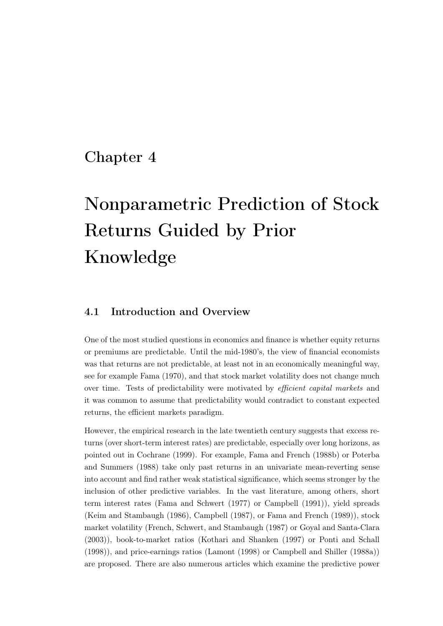## <span id="page-72-0"></span>Chapter 4

# Nonparametric Prediction of Stock Returns Guided by Prior Knowledge

#### 4.1 Introduction and Overview

One of the most studied questions in economics and finance is whether equity returns or premiums are predictable. Until the mid-1980's, the view of financial economists was that returns are not predictable, at least not in an economically meaningful way, see for example [Fama](#page-104-0) [\(1970\)](#page-104-0), and that stock market volatility does not change much over time. Tests of predictability were motivated by efficient capital markets and it was common to assume that predictability would contradict to constant expected returns, the efficient markets paradigm.

However, the empirical research in the late twentieth century suggests that excess returns (over short-term interest rates) are predictable, especially over long horizons, as pointed out in [Cochrane](#page-104-1) [\(1999\)](#page-104-1). For example, [Fama and French](#page-104-2) [\(1988b\)](#page-104-2) or [Poterba](#page-109-0) [and Summers](#page-109-0) [\(1988\)](#page-109-0) take only past returns in an univariate mean-reverting sense into account and find rather weak statistical significance, which seems stronger by the inclusion of other predictive variables. In the vast literature, among others, short term interest rates [\(Fama and Schwert](#page-105-0) [\(1977\)](#page-105-0) or [Campbell](#page-103-0) [\(1991\)](#page-103-0)), yield spreads [\(Keim and Stambaugh](#page-106-0) [\(1986\)](#page-106-0), [Campbell](#page-103-1) [\(1987\)](#page-103-1), or [Fama and French](#page-105-1) [\(1989\)](#page-105-1)), stock market volatility [\(French, Schwert, and Stambaugh](#page-105-2) [\(1987\)](#page-105-2) or [Goyal and Santa-Clara](#page-105-3) [\(2003\)](#page-105-3)), book-to-market ratios [\(Kothari and Shanken](#page-107-0) [\(1997\)](#page-107-0) or [Ponti and Schall](#page-109-1) [\(1998\)](#page-109-1)), and price-earnings ratios [\(Lamont](#page-107-1) [\(1998\)](#page-107-1) or [Campbell and Shiller](#page-103-2) [\(1988a\)](#page-103-2)) are proposed. There are also numerous articles which examine the predictive power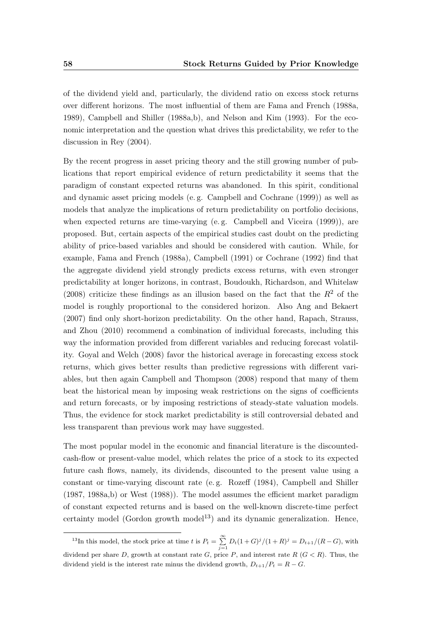of the dividend yield and, particularly, the dividend ratio on excess stock returns over different horizons. The most influential of them are [Fama and French](#page-104-3) [\(1988a,](#page-104-3) [1989\)](#page-105-1), [Campbell and Shiller](#page-103-2) [\(1988a,](#page-103-2)[b\)](#page-103-3), and [Nelson and Kim](#page-108-0) [\(1993\)](#page-108-0). For the economic interpretation and the question what drives this predictability, we refer to the discussion in [Rey](#page-109-2) [\(2004\)](#page-109-2).

By the recent progress in asset pricing theory and the still growing number of publications that report empirical evidence of return predictability it seems that the paradigm of constant expected returns was abandoned. In this spirit, conditional and dynamic asset pricing models (e. g. [Campbell and Cochrane](#page-103-4) [\(1999\)](#page-103-4)) as well as models that analyze the implications of return predictability on portfolio decisions, when expected returns are time-varying (e. g. [Campbell and Viceira](#page-103-5) [\(1999\)](#page-103-5)), are proposed. But, certain aspects of the empirical studies cast doubt on the predicting ability of price-based variables and should be considered with caution. While, for example, [Fama and French](#page-104-3) [\(1988a\)](#page-104-3), [Campbell](#page-103-0) [\(1991\)](#page-103-0) or [Cochrane](#page-104-4) [\(1992\)](#page-104-4) find that the aggregate dividend yield strongly predicts excess returns, with even stronger predictability at longer horizons, in contrast, [Boudoukh, Richardson, and Whitelaw](#page-102-0) [\(2008\)](#page-102-0) criticize these findings as an illusion based on the fact that the  $R^2$  of the model is roughly proportional to the considered horizon. Also [Ang and Bekaert](#page-102-1) [\(2007\)](#page-102-1) find only short-horizon predictability. On the other hand, [Rapach, Strauss,](#page-109-3) [and Zhou](#page-109-3) [\(2010\)](#page-109-3) recommend a combination of individual forecasts, including this way the information provided from different variables and reducing forecast volatility. [Goyal and Welch](#page-105-4) [\(2008\)](#page-105-4) favor the historical average in forecasting excess stock returns, which gives better results than predictive regressions with different variables, but then again [Campbell and Thompson](#page-103-6) [\(2008\)](#page-103-6) respond that many of them beat the historical mean by imposing weak restrictions on the signs of coefficients and return forecasts, or by imposing restrictions of steady-state valuation models. Thus, the evidence for stock market predictability is still controversial debated and less transparent than previous work may have suggested.

The most popular model in the economic and financial literature is the discountedcash-flow or present-value model, which relates the price of a stock to its expected future cash flows, namely, its dividends, discounted to the present value using a constant or time-varying discount rate (e. g. [Rozeff](#page-110-0) [\(1984\)](#page-110-0), [Campbell and Shiller](#page-103-7) [\(1987,](#page-103-7) [1988a,](#page-103-2)[b\)](#page-103-3) or [West](#page-111-0) [\(1988\)](#page-111-0)). The model assumes the efficient market paradigm of constant expected returns and is based on the well-known discrete-time perfect certainty model (Gordon growth model<sup>13</sup>) and its dynamic generalization. Hence,

<sup>&</sup>lt;sup>13</sup>In this model, the stock price at time t is  $P_t = \sum_{j=1}^{\infty} D_t (1+G)^j / (1+R)^j = D_{t+1} / (R - G)$ , with dividend per share D, growth at constant rate G, price P, and interest rate  $R(G < R)$ . Thus, the dividend yield is the interest rate minus the dividend growth,  $D_{t+1}/P_t = R - G$ .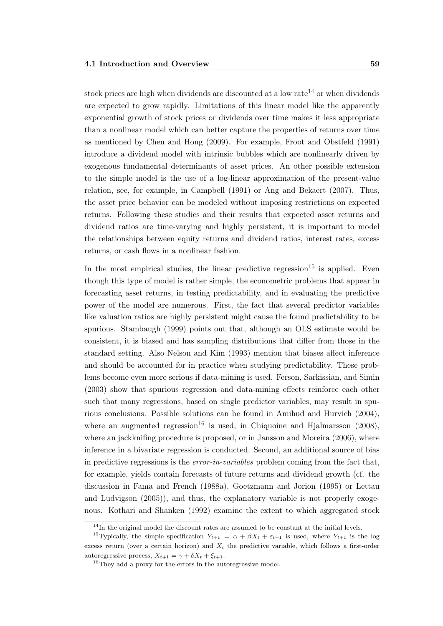stock prices are high when dividends are discounted at a low rate<sup>14</sup> or when dividends are expected to grow rapidly. Limitations of this linear model like the apparently exponential growth of stock prices or dividends over time makes it less appropriate than a nonlinear model which can better capture the properties of returns over time as mentioned by [Chen and Hong](#page-104-5) [\(2009\)](#page-104-5). For example, [Froot and Obstfeld](#page-105-5) [\(1991\)](#page-105-5) introduce a dividend model with intrinsic bubbles which are nonlinearly driven by exogenous fundamental determinants of asset prices. An other possible extension to the simple model is the use of a log-linear approximation of the present-value relation, see, for example, in [Campbell](#page-103-0) [\(1991\)](#page-103-0) or [Ang and Bekaert](#page-102-1) [\(2007\)](#page-102-1). Thus, the asset price behavior can be modeled without imposing restrictions on expected returns. Following these studies and their results that expected asset returns and dividend ratios are time-varying and highly persistent, it is important to model the relationships between equity returns and dividend ratios, interest rates, excess returns, or cash flows in a nonlinear fashion.

In the most empirical studies, the linear predictive regression<sup>15</sup> is applied. Even though this type of model is rather simple, the econometric problems that appear in forecasting asset returns, in testing predictability, and in evaluating the predictive power of the model are numerous. First, the fact that several predictor variables like valuation ratios are highly persistent might cause the found predictability to be spurious. [Stambaugh](#page-110-1) [\(1999\)](#page-110-1) points out that, although an OLS estimate would be consistent, it is biased and has sampling distributions that differ from those in the standard setting. Also [Nelson and Kim](#page-108-0) [\(1993\)](#page-108-0) mention that biases affect inference and should be accounted for in practice when studying predictability. These problems become even more serious if data-mining is used. [Ferson, Sarkissian, and Simin](#page-105-6) [\(2003\)](#page-105-6) show that spurious regression and data-mining effects reinforce each other such that many regressions, based on single predictor variables, may result in spurious conclusions. Possible solutions can be found in [Amihud and Hurvich](#page-102-2) [\(2004\)](#page-102-2), where an augmented regression<sup>16</sup> is used, in [Chiquoine and Hjalmarsson](#page-104-6) [\(2008\)](#page-104-6), where an jackknifing procedure is proposed, or in [Jansson and Moreira](#page-106-1) [\(2006\)](#page-106-1), where inference in a bivariate regression is conducted. Second, an additional source of bias in predictive regressions is the *error-in-variables* problem coming from the fact that, for example, yields contain forecasts of future returns and dividend growth (cf. the discussion in [Fama and French](#page-104-3) [\(1988a\)](#page-104-3), [Goetzmann and Jorion](#page-105-7) [\(1995\)](#page-105-7) or [Lettau](#page-107-2) [and Ludvigson](#page-107-2) [\(2005\)](#page-107-2)), and thus, the explanatory variable is not properly exogenous. [Kothari and Shanken](#page-107-3) [\(1992\)](#page-107-3) examine the extent to which aggregated stock

 $14$ In the original model the discount rates are assumed to be constant at the initial levels.

<sup>&</sup>lt;sup>15</sup>Typically, the simple specification  $Y_{t+1} = \alpha + \beta X_t + \varepsilon_{t+1}$  is used, where  $Y_{t+1}$  is the log excess return (over a certain horizon) and  $X_t$  the predictive variable, which follows a first-order autoregressive process,  $X_{t+1} = \gamma + \delta X_t + \xi_{t+1}$ .

<sup>&</sup>lt;sup>16</sup>They add a proxy for the errors in the autoregressive model.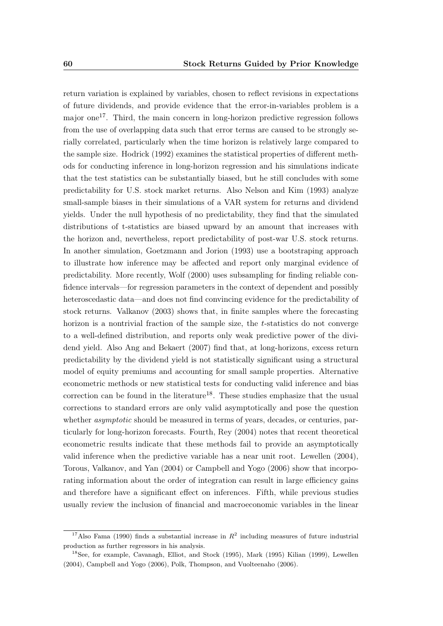return variation is explained by variables, chosen to reflect revisions in expectations of future dividends, and provide evidence that the error-in-variables problem is a major one17. Third, the main concern in long-horizon predictive regression follows from the use of overlapping data such that error terms are caused to be strongly serially correlated, particularly when the time horizon is relatively large compared to the sample size. [Hodrick](#page-106-2) [\(1992\)](#page-106-2) examines the statistical properties of different methods for conducting inference in long-horizon regression and his simulations indicate that the test statistics can be substantially biased, but he still concludes with some predictability for U.S. stock market returns. Also [Nelson and Kim](#page-108-0) [\(1993\)](#page-108-0) analyze small-sample biases in their simulations of a VAR system for returns and dividend yields. Under the null hypothesis of no predictability, they find that the simulated distributions of t-statistics are biased upward by an amount that increases with the horizon and, nevertheless, report predictability of post-war U.S. stock returns. In another simulation, [Goetzmann and Jorion](#page-105-8) [\(1993\)](#page-105-8) use a bootstraping approach to illustrate how inference may be affected and report only marginal evidence of predictability. More recently, [Wolf](#page-111-1) [\(2000\)](#page-111-1) uses subsampling for finding reliable confidence intervals—for regression parameters in the context of dependent and possibly heteroscedastic data—and does not find convincing evidence for the predictability of stock returns. [Valkanov](#page-111-2) [\(2003\)](#page-111-2) shows that, in finite samples where the forecasting horizon is a nontrivial fraction of the sample size, the t-statistics do not converge to a well-defined distribution, and reports only weak predictive power of the dividend yield. Also [Ang and Bekaert](#page-102-1) [\(2007\)](#page-102-1) find that, at long-horizons, excess return predictability by the dividend yield is not statistically significant using a structural model of equity premiums and accounting for small sample properties. Alternative econometric methods or new statistical tests for conducting valid inference and bias correction can be found in the literature<sup>18</sup>. These studies emphasize that the usual corrections to standard errors are only valid asymptotically and pose the question whether *asymptotic* should be measured in terms of years, decades, or centuries, particularly for long-horizon forecasts. Fourth, [Rey](#page-109-2) [\(2004\)](#page-109-2) notes that recent theoretical econometric results indicate that these methods fail to provide an asymptotically valid inference when the predictive variable has a near unit root. [Lewellen](#page-107-4) [\(2004\)](#page-107-4), [Torous, Valkanov, and Yan](#page-110-2) [\(2004\)](#page-110-2) or [Campbell and Yogo](#page-103-8) [\(2006\)](#page-103-8) show that incorporating information about the order of integration can result in large efficiency gains and therefore have a significant effect on inferences. Fifth, while previous studies usually review the inclusion of financial and macroeconomic variables in the linear

<sup>&</sup>lt;sup>17</sup>Also [Fama](#page-104-7) [\(1990\)](#page-104-7) finds a substantial increase in  $R^2$  including measures of future industrial production as further regressors in his analysis.

<sup>18</sup>See, for example, [Cavanagh, Elliot, and Stock](#page-103-9) [\(1995\)](#page-103-9), [Mark](#page-108-1) [\(1995\)](#page-108-1) [Kilian](#page-107-5) [\(1999\)](#page-107-5), [Lewellen](#page-107-4) [\(2004\)](#page-107-4), [Campbell and Yogo](#page-103-8) [\(2006\)](#page-103-8), [Polk, Thompson, and Vuolteenaho](#page-109-4) [\(2006\)](#page-109-4).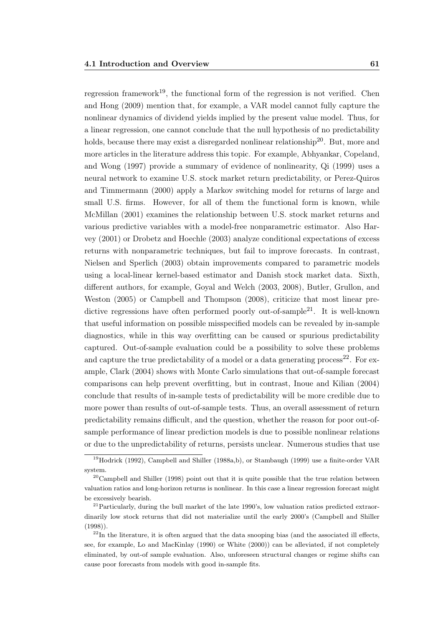regression framework<sup>19</sup>, the functional form of the regression is not verified. [Chen](#page-104-5) [and Hong](#page-104-5) [\(2009\)](#page-104-5) mention that, for example, a VAR model cannot fully capture the nonlinear dynamics of dividend yields implied by the present value model. Thus, for a linear regression, one cannot conclude that the null hypothesis of no predictability holds, because there may exist a disregarded nonlinear relationship<sup>20</sup>. But, more and more articles in the literature address this topic. For example, [Abhyankar, Copeland,](#page-102-3) [and Wong](#page-102-3) [\(1997\)](#page-102-3) provide a summary of evidence of nonlinearity, [Qi](#page-109-5) [\(1999\)](#page-109-5) uses a neural network to examine U.S. stock market return predictability, or [Perez-Quiros](#page-109-6) [and Timmermann](#page-109-6) [\(2000\)](#page-109-6) apply a Markov switching model for returns of large and small U.S. firms. However, for all of them the functional form is known, while [McMillan](#page-108-2) [\(2001\)](#page-108-2) examines the relationship between U.S. stock market returns and various predictive variables with a model-free nonparametric estimator. Also [Har](#page-106-3)[vey](#page-106-3) [\(2001\)](#page-106-3) or [Drobetz and Hoechle](#page-104-8) [\(2003\)](#page-104-8) analyze conditional expectations of excess returns with nonparametric techniques, but fail to improve forecasts. In contrast, [Nielsen and Sperlich](#page-108-3) [\(2003\)](#page-108-3) obtain improvements compared to parametric models using a local-linear kernel-based estimator and Danish stock market data. Sixth, different authors, for example, [Goyal and Welch](#page-105-9) [\(2003,](#page-105-9) [2008\)](#page-105-4), [Butler, Grullon, and](#page-103-10) [Weston](#page-103-10) [\(2005\)](#page-103-10) or [Campbell and Thompson](#page-103-6) [\(2008\)](#page-103-6), criticize that most linear predictive regressions have often performed poorly out-of-sample<sup>21</sup>. It is well-known that useful information on possible misspecified models can be revealed by in-sample diagnostics, while in this way overfitting can be caused or spurious predictability captured. Out-of-sample evaluation could be a possibility to solve these problems and capture the true predictability of a model or a data generating process<sup>22</sup>. For example, [Clark](#page-104-9) [\(2004\)](#page-104-9) shows with Monte Carlo simulations that out-of-sample forecast comparisons can help prevent overfitting, but in contrast, [Inoue and Kilian](#page-106-4) [\(2004\)](#page-106-4) conclude that results of in-sample tests of predictability will be more credible due to more power than results of out-of-sample tests. Thus, an overall assessment of return predictability remains difficult, and the question, whether the reason for poor out-ofsample performance of linear prediction models is due to possible nonlinear relations or due to the unpredictability of returns, persists unclear. Numerous studies that use

<sup>19</sup>[Hodrick](#page-106-2) [\(1992\)](#page-106-2), [Campbell and Shiller](#page-103-2) [\(1988a,](#page-103-2)[b\)](#page-103-3), or [Stambaugh](#page-110-1) [\(1999\)](#page-110-1) use a finite-order VAR system.

 $20$ [Campbell and Shiller](#page-103-11) [\(1998\)](#page-103-11) point out that it is quite possible that the true relation between valuation ratios and long-horizon returns is nonlinear. In this case a linear regression forecast might be excessively bearish.

 $^{21}$ Particularly, during the bull market of the late 1990's, low valuation ratios predicted extraordinarily low stock returns that did not materialize until the early 2000's [\(Campbell and Shiller](#page-103-11) [\(1998\)](#page-103-11)).

 $22$ In the literature, it is often argued that the data snooping bias (and the associated ill effects, see, for example, [Lo and MacKinlay](#page-107-6) [\(1990\)](#page-107-6) or [White](#page-111-3) [\(2000\)](#page-111-3)) can be alleviated, if not completely eliminated, by out-of sample evaluation. Also, unforeseen structural changes or regime shifts can cause poor forecasts from models with good in-sample fits.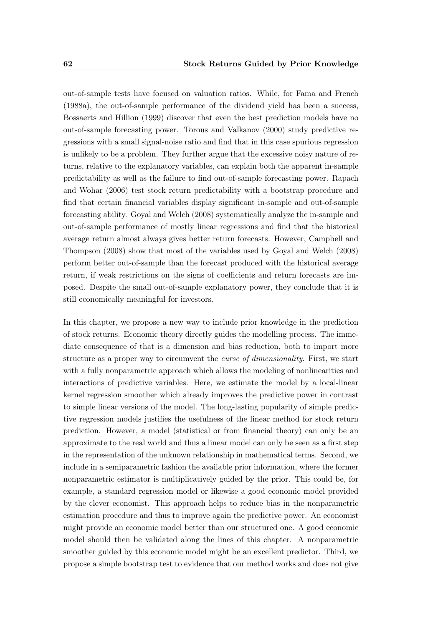out-of-sample tests have focused on valuation ratios. While, for [Fama and French](#page-104-3) [\(1988a\)](#page-104-3), the out-of-sample performance of the dividend yield has been a success, [Bossaerts and Hillion](#page-102-4) [\(1999\)](#page-102-4) discover that even the best prediction models have no out-of-sample forecasting power. [Torous and Valkanov](#page-110-3) [\(2000\)](#page-110-3) study predictive regressions with a small signal-noise ratio and find that in this case spurious regression is unlikely to be a problem. They further argue that the excessive noisy nature of returns, relative to the explanatory variables, can explain both the apparent in-sample predictability as well as the failure to find out-of-sample forecasting power. [Rapach](#page-109-7) [and Wohar](#page-109-7) [\(2006\)](#page-109-7) test stock return predictability with a bootstrap procedure and find that certain financial variables display significant in-sample and out-of-sample forecasting ability. [Goyal and Welch](#page-105-4) [\(2008\)](#page-105-4) systematically analyze the in-sample and out-of-sample performance of mostly linear regressions and find that the historical average return almost always gives better return forecasts. However, [Campbell and](#page-103-6) [Thompson](#page-103-6) [\(2008\)](#page-103-6) show that most of the variables used by [Goyal and Welch](#page-105-4) [\(2008\)](#page-105-4) perform better out-of-sample than the forecast produced with the historical average return, if weak restrictions on the signs of coefficients and return forecasts are imposed. Despite the small out-of-sample explanatory power, they conclude that it is still economically meaningful for investors.

In this chapter, we propose a new way to include prior knowledge in the prediction of stock returns. Economic theory directly guides the modelling process. The immediate consequence of that is a dimension and bias reduction, both to import more structure as a proper way to circumvent the curse of dimensionality. First, we start with a fully nonparametric approach which allows the modeling of nonlinearities and interactions of predictive variables. Here, we estimate the model by a local-linear kernel regression smoother which already improves the predictive power in contrast to simple linear versions of the model. The long-lasting popularity of simple predictive regression models justifies the usefulness of the linear method for stock return prediction. However, a model (statistical or from financial theory) can only be an approximate to the real world and thus a linear model can only be seen as a first step in the representation of the unknown relationship in mathematical terms. Second, we include in a semiparametric fashion the available prior information, where the former nonparametric estimator is multiplicatively guided by the prior. This could be, for example, a standard regression model or likewise a good economic model provided by the clever economist. This approach helps to reduce bias in the nonparametric estimation procedure and thus to improve again the predictive power. An economist might provide an economic model better than our structured one. A good economic model should then be validated along the lines of this chapter. A nonparametric smoother guided by this economic model might be an excellent predictor. Third, we propose a simple bootstrap test to evidence that our method works and does not give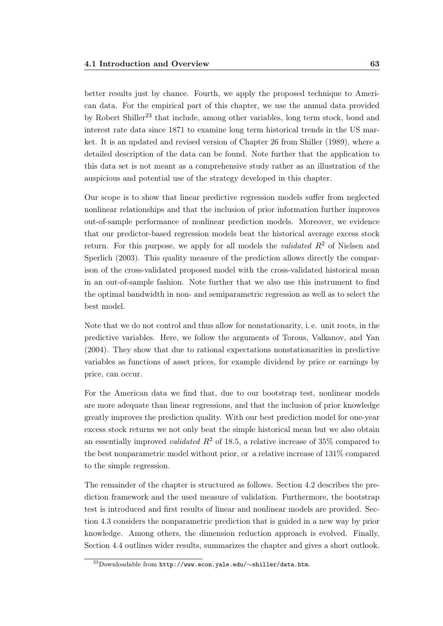better results just by chance. Fourth, we apply the proposed technique to American data. For the empirical part of this chapter, we use the annual data provided by Robert Shiller<sup>23</sup> that include, among other variables, long term stock, bond and interest rate data since 1871 to examine long term historical trends in the US market. It is an updated and revised version of Chapter 26 from [Shiller](#page-110-4) [\(1989\)](#page-110-4), where a detailed description of the data can be found. Note further that the application to this data set is not meant as a comprehensive study rather as an illustration of the auspicious and potential use of the strategy developed in this chapter.

Our scope is to show that linear predictive regression models suffer from neglected nonlinear relationships and that the inclusion of prior information further improves out-of-sample performance of nonlinear prediction models. Moreover, we evidence that our predictor-based regression models beat the historical average excess stock return. For this purpose, we apply for all models the *validated*  $R^2$  of [Nielsen and](#page-108-3) [Sperlich](#page-108-3) [\(2003\)](#page-108-3). This quality measure of the prediction allows directly the comparison of the cross-validated proposed model with the cross-validated historical mean in an out-of-sample fashion. Note further that we also use this instrument to find the optimal bandwidth in non- and semiparametric regression as well as to select the best model.

Note that we do not control and thus allow for nonstationarity, i. e. unit roots, in the predictive variables. Here, we follow the arguments of [Torous, Valkanov, and Yan](#page-110-2) [\(2004\)](#page-110-2). They show that due to rational expectations nonstationarities in predictive variables as functions of asset prices, for example dividend by price or earnings by price, can occur.

For the American data we find that, due to our bootstrap test, nonlinear models are more adequate than linear regressions, and that the inclusion of prior knowledge greatly improves the prediction quality. With our best prediction model for one-year excess stock returns we not only beat the simple historical mean but we also obtain an essentially improved *validated*  $R^2$  of 18.5, a relative increase of 35% compared to the best nonparametric model without prior, or a relative increase of 131% compared to the simple regression.

The remainder of the chapter is structured as follows. Section [4.2](#page-79-0) describes the prediction framework and the used measure of validation. Furthermore, the bootstrap test is introduced and first results of linear and nonlinear models are provided. Section [4.3](#page-85-0) considers the nonparametric prediction that is guided in a new way by prior knowledge. Among others, the dimension reduction approach is evolved. Finally, Section [4.4](#page-92-0) outlines wider results, summarizes the chapter and gives a short outlook.

<sup>23</sup>Downloadable from http://www.econ.yale.edu/∼shiller/data.htm.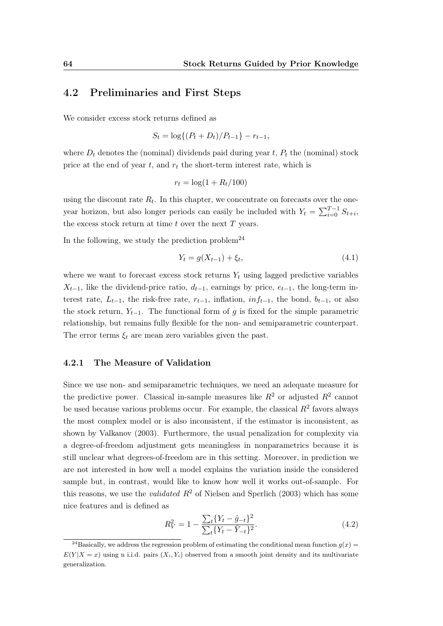#### <span id="page-79-0"></span>4.2 Preliminaries and First Steps

We consider excess stock returns defined as

$$
S_t = \log\{(P_t + D_t)/P_{t-1}\} - r_{t-1},
$$

where  $D_t$  denotes the (nominal) dividends paid during year  $t$ ,  $P_t$  the (nominal) stock price at the end of year  $t$ , and  $r_t$  the short-term interest rate, which is

$$
r_t = \log(1 + R_t/100)
$$

using the discount rate  $R_t$ . In this chapter, we concentrate on forecasts over the oneyear horizon, but also longer periods can easily be included with  $Y_t = \sum_{i=0}^{T-1} S_{t+i}$ , the excess stock return at time  $t$  over the next  $T$  years.

In the following, we study the prediction problem<sup>24</sup>

<span id="page-79-2"></span>
$$
Y_t = g(X_{t-1}) + \xi_t, \tag{4.1}
$$

where we want to forecast excess stock returns  $Y_t$  using lagged predictive variables  $X_{t-1}$ , like the dividend-price ratio,  $d_{t-1}$ , earnings by price,  $e_{t-1}$ , the long-term interest rate,  $L_{t-1}$ , the risk-free rate,  $r_{t-1}$ , inflation,  $inf_{t-1}$ , the bond,  $b_{t-1}$ , or also the stock return,  $Y_{t-1}$ . The functional form of g is fixed for the simple parametric relationship, but remains fully flexible for the non- and semiparametric counterpart. The error terms  $\xi_t$  are mean zero variables given the past.

#### <span id="page-79-3"></span>4.2.1 The Measure of Validation

Since we use non- and semiparametric techniques, we need an adequate measure for the predictive power. Classical in-sample measures like  $R^2$  or adjusted  $R^2$  cannot be used because various problems occur. For example, the classical  $R^2$  favors always the most complex model or is also inconsistent, if the estimator is inconsistent, as shown by [Valkanov](#page-111-2) [\(2003\)](#page-111-2). Furthermore, the usual penalization for complexity via a degree-of-freedom adjustment gets meaningless in nonparametrics because it is still unclear what degrees-of-freedom are in this setting. Moreover, in prediction we are not interested in how well a model explains the variation inside the considered sample but, in contrast, would like to know how well it works out-of-sample. For this reasons, we use the *validated*  $R^2$  of [Nielsen and Sperlich](#page-108-3) [\(2003\)](#page-108-3) which has some nice features and is defined as

<span id="page-79-1"></span>
$$
R_V^2 = 1 - \frac{\sum_t \{Y_t - \hat{g}_{-t}\}^2}{\sum_t \{Y_t - \bar{Y}_{-t}\}^2}.
$$
\n(4.2)

<sup>&</sup>lt;sup>24</sup>Basically, we address the regression problem of estimating the conditional mean function  $q(x)$  =  $E(Y|X=x)$  using n i.i.d. pairs  $(X_i, Y_i)$  observed from a smooth joint density and its multivariate generalization.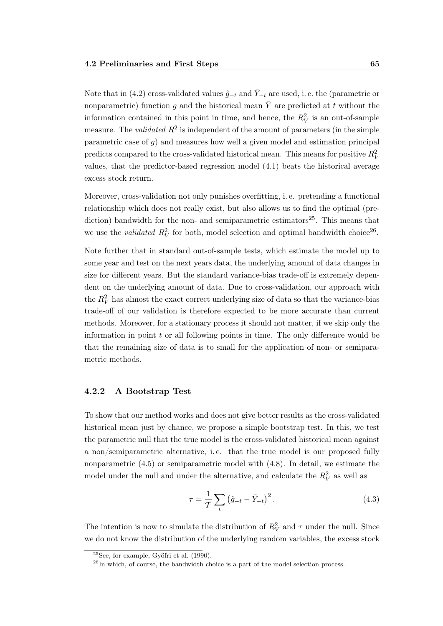Note that in [\(4.2\)](#page-79-1) cross-validated values  $\hat{g}_{-t}$  and  $\bar{Y}_{-t}$  are used, i.e. the (parametric or nonparametric) function g and the historical mean  $\overline{Y}$  are predicted at t without the information contained in this point in time, and hence, the  $R_V^2$  is an out-of-sample measure. The *validated*  $R^2$  is independent of the amount of parameters (in the simple parametric case of  $q$ ) and measures how well a given model and estimation principal predicts compared to the cross-validated historical mean. This means for positive  $R_V^2$ values, that the predictor-based regression model [\(4.1\)](#page-79-2) beats the historical average excess stock return.

Moreover, cross-validation not only punishes overfitting, i. e. pretending a functional relationship which does not really exist, but also allows us to find the optimal (prediction) bandwidth for the non- and semiparametric estimators<sup>25</sup>. This means that we use the *validated*  $R_V^2$  for both, model selection and optimal bandwidth choice<sup>26</sup>.

Note further that in standard out-of-sample tests, which estimate the model up to some year and test on the next years data, the underlying amount of data changes in size for different years. But the standard variance-bias trade-off is extremely dependent on the underlying amount of data. Due to cross-validation, our approach with the  $R_V^2$  has almost the exact correct underlying size of data so that the variance-bias trade-off of our validation is therefore expected to be more accurate than current methods. Moreover, for a stationary process it should not matter, if we skip only the information in point  $t$  or all following points in time. The only difference would be that the remaining size of data is to small for the application of non- or semiparametric methods.

#### 4.2.2 A Bootstrap Test

To show that our method works and does not give better results as the cross-validated historical mean just by chance, we propose a simple bootstrap test. In this, we test the parametric null that the true model is the cross-validated historical mean against a non/semiparametric alternative, i. e. that the true model is our proposed fully nonparametric [\(4.5\)](#page-82-0) or semiparametric model with [\(4.8\)](#page-86-0). In detail, we estimate the model under the null and under the alternative, and calculate the  $R_V^2$  as well as

<span id="page-80-0"></span>
$$
\tau = \frac{1}{T} \sum_{t} (\hat{g}_{-t} - \bar{Y}_{-t})^2.
$$
\n(4.3)

The intention is now to simulate the distribution of  $R_V^2$  and  $\tau$  under the null. Since we do not know the distribution of the underlying random variables, the excess stock

 $25$ See, for example, [Gyöfri et al.](#page-106-5)  $(1990)$ .

 $^{26}$ In which, of course, the bandwidth choice is a part of the model selection process.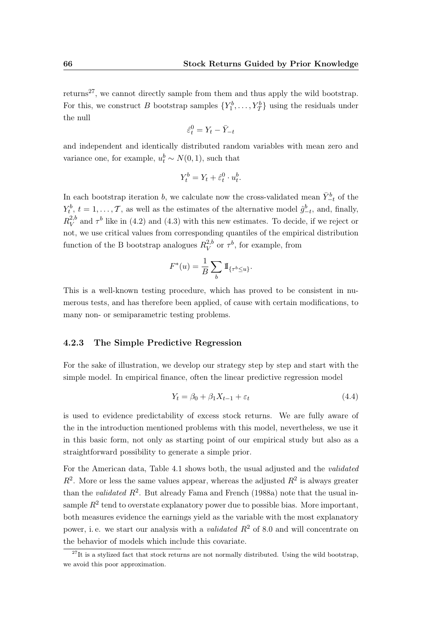returns<sup>27</sup>, we cannot directly sample from them and thus apply the wild bootstrap. For this, we construct B bootstrap samples  $\{Y_1^b, \ldots, Y_T^b\}$  using the residuals under the null

$$
\hat{\varepsilon}_t^0 = Y_t - \bar{Y}_{-t}
$$

and independent and identically distributed random variables with mean zero and variance one, for example,  $u_t^b \sim N(0, 1)$ , such that

$$
Y_t^b = Y_t + \hat{\varepsilon}_t^0 \cdot u_t^b.
$$

In each bootstrap iteration b, we calculate now the cross-validated mean  $\bar{Y}_{-t}^b$  of the  $Y_t^b$ ,  $t = 1, \ldots, T$ , as well as the estimates of the alternative model  $\hat{g}_{-t}^b$ , and, finally,  $R_V^{2,b}$  $\frac{2,b}{V}$  and  $\tau^b$  like in [\(4.2\)](#page-79-1) and [\(4.3\)](#page-80-0) with this new estimates. To decide, if we reject or not, we use critical values from corresponding quantiles of the empirical distribution function of the B bootstrap analogues  $R_V^{2,b}$  $V^{2,b}$  or  $\tau^b$ , for example, from

$$
F^*(u) = \frac{1}{B} \sum_b \mathbb{I}_{\{\tau^b \le u\}}.
$$

This is a well-known testing procedure, which has proved to be consistent in numerous tests, and has therefore been applied, of cause with certain modifications, to many non- or semiparametric testing problems.

#### 4.2.3 The Simple Predictive Regression

For the sake of illustration, we develop our strategy step by step and start with the simple model. In empirical finance, often the linear predictive regression model

<span id="page-81-0"></span>
$$
Y_t = \beta_0 + \beta_1 X_{t-1} + \varepsilon_t \tag{4.4}
$$

is used to evidence predictability of excess stock returns. We are fully aware of the in the introduction mentioned problems with this model, nevertheless, we use it in this basic form, not only as starting point of our empirical study but also as a straightforward possibility to generate a simple prior.

For the American data, Table [4.1](#page-82-1) shows both, the usual adjusted and the validated  $R^2$ . More or less the same values appear, whereas the adjusted  $R^2$  is always greater than the validated  $R^2$ . But already [Fama and French](#page-104-3) [\(1988a\)](#page-104-3) note that the usual insample  $R^2$  tend to overstate explanatory power due to possible bias. More important, both measures evidence the earnings yield as the variable with the most explanatory power, i.e. we start our analysis with a *validated*  $R^2$  of 8.0 and will concentrate on the behavior of models which include this covariate.

 $^{27}$ It is a stylized fact that stock returns are not normally distributed. Using the wild bootstrap, we avoid this poor approximation.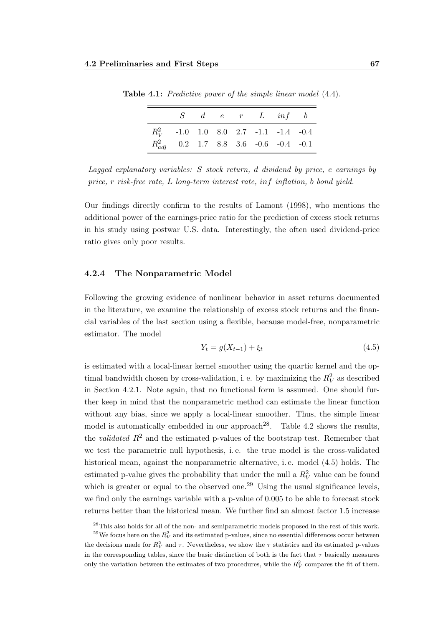|                                            |  | $S \quad d \quad e \quad r \quad L \quad inf \quad b$ |  |
|--------------------------------------------|--|-------------------------------------------------------|--|
| $R_V^2$ -1.0 1.0 8.0 2.7 -1.1 -1.4 -0.4    |  |                                                       |  |
| $R_{adj}^2$ 0.2 1.7 8.8 3.6 -0.6 -0.4 -0.1 |  |                                                       |  |

<span id="page-82-1"></span>Table 4.1: Predictive power of the simple linear model  $(4.4)$ .

Our findings directly confirm to the results of [Lamont](#page-107-1) [\(1998\)](#page-107-1), who mentions the additional power of the earnings-price ratio for the prediction of excess stock returns in his study using postwar U.S. data. Interestingly, the often used dividend-price ratio gives only poor results.

#### <span id="page-82-2"></span>4.2.4 The Nonparametric Model

Following the growing evidence of nonlinear behavior in asset returns documented in the literature, we examine the relationship of excess stock returns and the financial variables of the last section using a flexible, because model-free, nonparametric estimator. The model

<span id="page-82-0"></span>
$$
Y_t = g(X_{t-1}) + \xi_t \tag{4.5}
$$

is estimated with a local-linear kernel smoother using the quartic kernel and the optimal bandwidth chosen by cross-validation, i.e. by maximizing the  $R_V^2$  as described in Section [4.2.1.](#page-79-3) Note again, that no functional form is assumed. One should further keep in mind that the nonparametric method can estimate the linear function without any bias, since we apply a local-linear smoother. Thus, the simple linear model is automatically embedded in our approach<sup>28</sup>. Table [4.2](#page-83-0) shows the results, the *validated*  $R^2$  and the estimated p-values of the bootstrap test. Remember that we test the parametric null hypothesis, i. e. the true model is the cross-validated historical mean, against the nonparametric alternative, i. e. model [\(4.5\)](#page-82-0) holds. The estimated p-value gives the probability that under the null a  $R_V^2$  value can be found which is greater or equal to the observed one.<sup>29</sup> Using the usual significance levels, we find only the earnings variable with a p-value of 0.005 to be able to forecast stock returns better than the historical mean. We further find an almost factor 1.5 increase

Lagged explanatory variables: S stock return, d dividend by price, e earnings by price, r risk-free rate, L long-term interest rate, inf inflation, b bond yield.

 $^{28}$ This also holds for all of the non- and semiparametric models proposed in the rest of this work. <sup>29</sup>We focus here on the  $R_V^2$  and its estimated p-values, since no essential differences occur between the decisions made for  $R_V^2$  and  $\tau$ . Nevertheless, we show the  $\tau$  statistics and its estimated p-values in the corresponding tables, since the basic distinction of both is the fact that  $\tau$  basically measures only the variation between the estimates of two procedures, while the  $R_V^2$  compares the fit of them.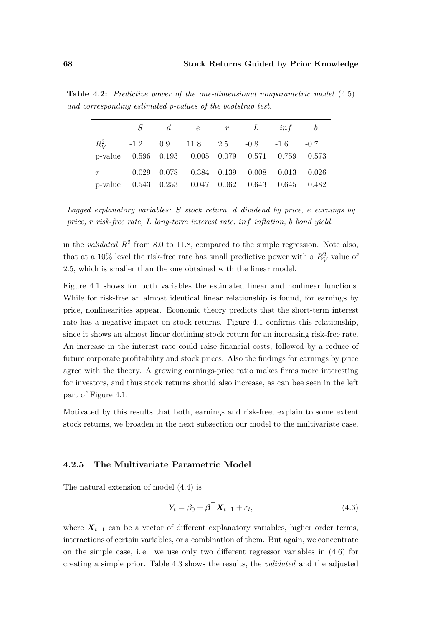|                                                   |  | $S$ de r L inf b                                  |  |  |
|---------------------------------------------------|--|---------------------------------------------------|--|--|
| $R_V^2$ -1.2 0.9 11.8 2.5 -0.8 -1.6 -0.7          |  |                                                   |  |  |
| p-value 0.596 0.193 0.005 0.079 0.571 0.759 0.573 |  |                                                   |  |  |
|                                                   |  | $\tau$ 0.029 0.078 0.384 0.139 0.008 0.013 0.026  |  |  |
|                                                   |  | p-value 0.543 0.253 0.047 0.062 0.643 0.645 0.482 |  |  |

<span id="page-83-0"></span>Table 4.2: Predictive power of the one-dimensional nonparametric model [\(4.5\)](#page-82-0) and corresponding estimated p-values of the bootstrap test.

Lagged explanatory variables: S stock return, d dividend by price, e earnings by price, r risk-free rate, L long-term interest rate, inf inflation, b bond yield.

in the validated  $R^2$  from 8.0 to 11.8, compared to the simple regression. Note also, that at a 10% level the risk-free rate has small predictive power with a  $R_V^2$  value of 2.5, which is smaller than the one obtained with the linear model.

Figure [4.1](#page-84-0) shows for both variables the estimated linear and nonlinear functions. While for risk-free an almost identical linear relationship is found, for earnings by price, nonlinearities appear. Economic theory predicts that the short-term interest rate has a negative impact on stock returns. Figure [4.1](#page-84-0) confirms this relationship, since it shows an almost linear declining stock return for an increasing risk-free rate. An increase in the interest rate could raise financial costs, followed by a reduce of future corporate profitability and stock prices. Also the findings for earnings by price agree with the theory. A growing earnings-price ratio makes firms more interesting for investors, and thus stock returns should also increase, as can bee seen in the left part of Figure [4.1.](#page-84-0)

Motivated by this results that both, earnings and risk-free, explain to some extent stock returns, we broaden in the next subsection our model to the multivariate case.

#### 4.2.5 The Multivariate Parametric Model

The natural extension of model [\(4.4\)](#page-81-0) is

<span id="page-83-1"></span>
$$
Y_t = \beta_0 + \boldsymbol{\beta}^\top \mathbf{X}_{t-1} + \varepsilon_t,\tag{4.6}
$$

where  $X_{t-1}$  can be a vector of different explanatory variables, higher order terms, interactions of certain variables, or a combination of them. But again, we concentrate on the simple case, i.e. we use only two different regressor variables in  $(4.6)$  for creating a simple prior. Table [4.3](#page-84-1) shows the results, the validated and the adjusted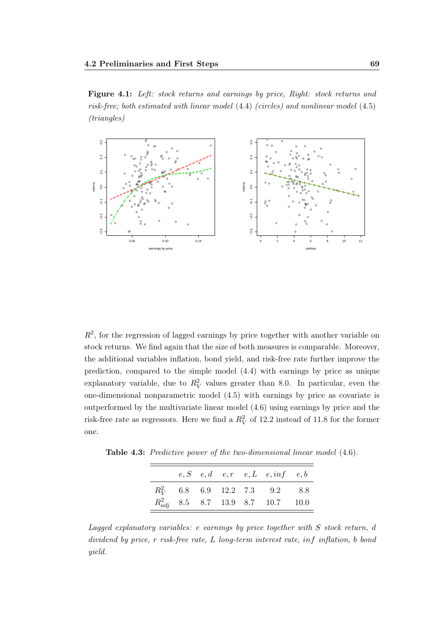Figure 4.1: Left: stock returns and earnings by price, Right: stock returns and risk-free; both estimated with linear model [\(4.4\)](#page-81-0) (circles) and nonlinear model [\(4.5\)](#page-82-0) (triangles)



<span id="page-84-0"></span> $R<sup>2</sup>$ , for the regression of lagged earnings by price together with another variable on stock returns. We find again that the size of both measures is comparable. Moreover, the additional variables inflation, bond yield, and risk-free rate further improve the prediction, compared to the simple model [\(4.4\)](#page-81-0) with earnings by price as unique explanatory variable, due to  $R_V^2$  values greater than 8.0. In particular, even the one-dimensional nonparametric model [\(4.5\)](#page-82-0) with earnings by price as covariate is outperformed by the multivariate linear model [\(4.6\)](#page-83-1) using earnings by price and the risk-free rate as regressors. Here we find a  $R_V^2$  of 12.2 instead of 11.8 for the former one.

<span id="page-84-1"></span>Table 4.3: Predictive power of the two-dimensional linear model [\(4.6\)](#page-83-1).

|  |  | $e, S$ $e, d$ $e, r$ $e, L$ $e, inf$ $e, b$                                           |  |
|--|--|---------------------------------------------------------------------------------------|--|
|  |  | $R_V^2$ 6.8 6.9 12.2 7.3 9.2 8.8                                                      |  |
|  |  | $R^2_{adj} \quad 8.5 \quad \ 8.7 \quad \ 13.9 \quad \ 8.7 \quad \ 10.7 \qquad \ 10.0$ |  |

Lagged explanatory variables: e earnings by price together with S stock return, d dividend by price, r risk-free rate, L long-term interest rate, inf inflation, b bond yield.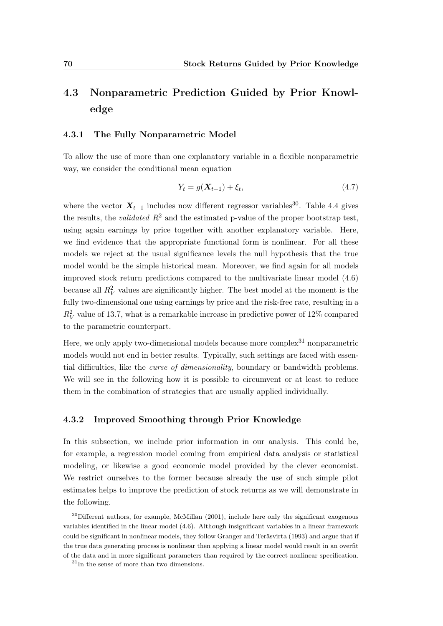### <span id="page-85-0"></span>4.3 Nonparametric Prediction Guided by Prior Knowledge

#### <span id="page-85-2"></span>4.3.1 The Fully Nonparametric Model

To allow the use of more than one explanatory variable in a flexible nonparametric way, we consider the conditional mean equation

<span id="page-85-1"></span>
$$
Y_t = g(X_{t-1}) + \xi_t, \t\t(4.7)
$$

where the vector  $\mathbf{X}_{t-1}$  includes now different regressor variables<sup>30</sup>. Table [4.4](#page-86-1) gives the results, the *validated*  $R^2$  and the estimated p-value of the proper bootstrap test, using again earnings by price together with another explanatory variable. Here, we find evidence that the appropriate functional form is nonlinear. For all these models we reject at the usual significance levels the null hypothesis that the true model would be the simple historical mean. Moreover, we find again for all models improved stock return predictions compared to the multivariate linear model [\(4.6\)](#page-83-1) because all  $R_V^2$  values are significantly higher. The best model at the moment is the fully two-dimensional one using earnings by price and the risk-free rate, resulting in a  $R_V^2$  value of 13.7, what is a remarkable increase in predictive power of 12% compared to the parametric counterpart.

Here, we only apply two-dimensional models because more complex<sup>31</sup> nonparametric models would not end in better results. Typically, such settings are faced with essential difficulties, like the *curse of dimensionality*, boundary or bandwidth problems. We will see in the following how it is possible to circumvent or at least to reduce them in the combination of strategies that are usually applied individually.

#### <span id="page-85-3"></span>4.3.2 Improved Smoothing through Prior Knowledge

In this subsection, we include prior information in our analysis. This could be, for example, a regression model coming from empirical data analysis or statistical modeling, or likewise a good economic model provided by the clever economist. We restrict ourselves to the former because already the use of such simple pilot estimates helps to improve the prediction of stock returns as we will demonstrate in the following.

<sup>&</sup>lt;sup>30</sup>Different authors, for example, [McMillan](#page-108-2) [\(2001\)](#page-108-2), include here only the significant exogenous variables identified in the linear model [\(4.6\)](#page-83-1). Although insignificant variables in a linear framework could be significant in nonlinear models, they follow [Granger and Teräsvirta](#page-106-6) [\(1993\)](#page-106-6) and argue that if the true data generating process is nonlinear then applying a linear model would result in an overfit of the data and in more significant parameters than required by the correct nonlinear specification.

 $31$ In the sense of more than two dimensions.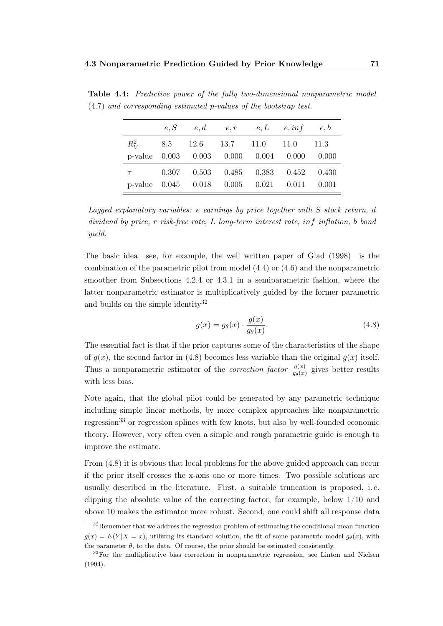|  |  | $e, S$ $e, d$ $e, r$ $e, L$ $e, inf$ $e, b$             |  |
|--|--|---------------------------------------------------------|--|
|  |  | $R_V^2$ 8.5 12.6 13.7 11.0 11.0 11.3                    |  |
|  |  | p-value $0.003$ $0.003$ $0.000$ $0.004$ $0.000$ $0.000$ |  |
|  |  | $\tau$ 0.307 0.503 0.485 0.383 0.452 0.430              |  |
|  |  | p-value 0.045 0.018 0.005 0.021 0.011 0.001             |  |

<span id="page-86-1"></span>Table 4.4: Predictive power of the fully two-dimensional nonparametric model [\(4.7\)](#page-85-1) and corresponding estimated p-values of the bootstrap test.

Lagged explanatory variables: e earnings by price together with S stock return, d dividend by price, r risk-free rate, L long-term interest rate, inf inflation, b bond yield.

The basic idea—see, for example, the well written paper of [Glad](#page-105-10) [\(1998\)](#page-105-10)—is the combination of the parametric pilot from model [\(4.4\)](#page-81-0) or [\(4.6\)](#page-83-1) and the nonparametric smoother from Subsections [4.2.4](#page-82-2) or [4.3.1](#page-85-2) in a semiparametric fashion, where the latter nonparametric estimator is multiplicatively guided by the former parametric and builds on the simple identity<sup>32</sup>

<span id="page-86-0"></span>
$$
g(x) = g_{\theta}(x) \cdot \frac{g(x)}{g_{\theta}(x)}.\tag{4.8}
$$

The essential fact is that if the prior captures some of the characteristics of the shape of  $g(x)$ , the second factor in [\(4.8\)](#page-86-0) becomes less variable than the original  $g(x)$  itself. Thus a nonparametric estimator of the *correction factor*  $\frac{g(x)}{g_{\theta}(x)}$  gives better results with less bias.

Note again, that the global pilot could be generated by any parametric technique including simple linear methods, by more complex approaches like nonparametric regression<sup>33</sup> or regression splines with few knots, but also by well-founded economic theory. However, very often even a simple and rough parametric guide is enough to improve the estimate.

From [\(4.8\)](#page-86-0) it is obvious that local problems for the above guided approach can occur if the prior itself crosses the x-axis one or more times. Two possible solutions are usually described in the literature. First, a suitable truncation is proposed, i. e. clipping the absolute value of the correcting factor, for example, below 1/10 and above 10 makes the estimator more robust. Second, one could shift all response data

 $32$ Remember that we address the regression problem of estimating the conditional mean function  $g(x) = E(Y|X = x)$ , utilizing its standard solution, the fit of some parametric model  $g_{\theta}(x)$ , with the parameter  $\theta$ , to the data. Of course, the prior should be estimated consistently.

<sup>&</sup>lt;sup>33</sup>For the multiplicative bias correction in nonparametric regression, see [Linton and Nielsen](#page-107-7) [\(1994\)](#page-107-7).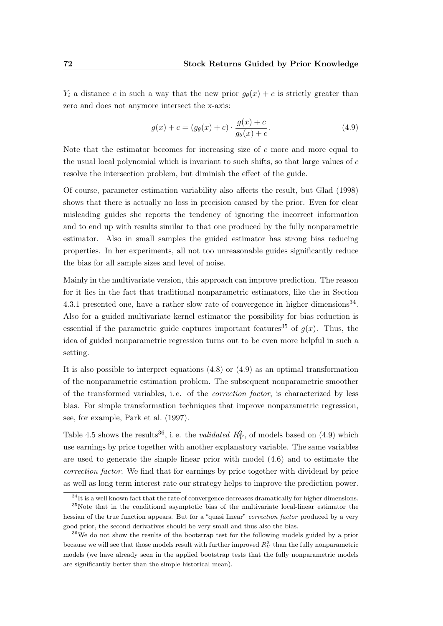$Y_i$  a distance c in such a way that the new prior  $g_{\theta}(x) + c$  is strictly greater than zero and does not anymore intersect the x-axis:

<span id="page-87-0"></span>
$$
g(x) + c = (g_{\theta}(x) + c) \cdot \frac{g(x) + c}{g_{\theta}(x) + c}.
$$
 (4.9)

Note that the estimator becomes for increasing size of  $c$  more and more equal to the usual local polynomial which is invariant to such shifts, so that large values of c resolve the intersection problem, but diminish the effect of the guide.

Of course, parameter estimation variability also affects the result, but [Glad](#page-105-10) [\(1998\)](#page-105-10) shows that there is actually no loss in precision caused by the prior. Even for clear misleading guides she reports the tendency of ignoring the incorrect information and to end up with results similar to that one produced by the fully nonparametric estimator. Also in small samples the guided estimator has strong bias reducing properties. In her experiments, all not too unreasonable guides significantly reduce the bias for all sample sizes and level of noise.

Mainly in the multivariate version, this approach can improve prediction. The reason for it lies in the fact that traditional nonparametric estimators, like the in Section [4.3.1](#page-85-2) presented one, have a rather slow rate of convergence in higher dimensions<sup>34</sup>. Also for a guided multivariate kernel estimator the possibility for bias reduction is essential if the parametric guide captures important features<sup>35</sup> of  $q(x)$ . Thus, the idea of guided nonparametric regression turns out to be even more helpful in such a setting.

It is also possible to interpret equations [\(4.8\)](#page-86-0) or [\(4.9\)](#page-87-0) as an optimal transformation of the nonparametric estimation problem. The subsequent nonparametric smoother of the transformed variables, i. e. of the correction factor, is characterized by less bias. For simple transformation techniques that improve nonparametric regression, see, for example, [Park et al.](#page-108-4) [\(1997\)](#page-108-4).

Table [4.5](#page-88-0) shows the results<sup>36</sup>, i.e. the *validated*  $R_V^2$ , of models based on [\(4.9\)](#page-87-0) which use earnings by price together with another explanatory variable. The same variables are used to generate the simple linear prior with model [\(4.6\)](#page-83-1) and to estimate the correction factor. We find that for earnings by price together with dividend by price as well as long term interest rate our strategy helps to improve the prediction power.

 $34$ It is a well known fact that the rate of convergence decreases dramatically for higher dimensions.

<sup>&</sup>lt;sup>35</sup>Note that in the conditional asymptotic bias of the multivariate local-linear estimator the hessian of the true function appears. But for a "quasi linear" *correction factor* produced by a very good prior, the second derivatives should be very small and thus also the bias.

<sup>&</sup>lt;sup>36</sup>We do not show the results of the bootstrap test for the following models guided by a prior because we will see that those models result with further improved  $R_V^2$  than the fully nonparametric models (we have already seen in the applied bootstrap tests that the fully nonparametric models are significantly better than the simple historical mean).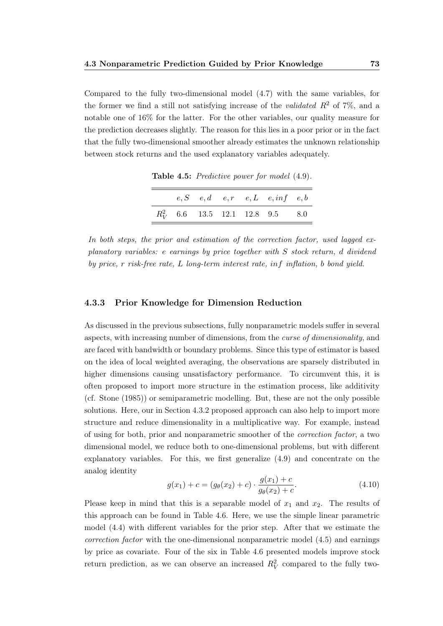Compared to the fully two-dimensional model [\(4.7\)](#page-85-1) with the same variables, for the former we find a still not satisfying increase of the *validated*  $R^2$  of 7%, and a notable one of 16% for the latter. For the other variables, our quality measure for the prediction decreases slightly. The reason for this lies in a poor prior or in the fact that the fully two-dimensional smoother already estimates the unknown relationship between stock returns and the used explanatory variables adequately.

|  |  | $e, S \quad e, d \quad e, r \quad e, L \quad e, inf \quad e, b$ |  |
|--|--|-----------------------------------------------------------------|--|
|  |  | $R_V^2$ 6.6 13.5 12.1 12.8 9.5 8.0                              |  |

<span id="page-88-0"></span>Table 4.5: Predictive power for model  $(4.9)$ .

In both steps, the prior and estimation of the correction factor, used lagged explanatory variables: e earnings by price together with S stock return, d dividend by price, r risk-free rate, L long-term interest rate, inf inflation, b bond yield.

#### 4.3.3 Prior Knowledge for Dimension Reduction

As discussed in the previous subsections, fully nonparametric models suffer in several aspects, with increasing number of dimensions, from the curse of dimensionality, and are faced with bandwidth or boundary problems. Since this type of estimator is based on the idea of local weighted averaging, the observations are sparsely distributed in higher dimensions causing unsatisfactory performance. To circumvent this, it is often proposed to import more structure in the estimation process, like additivity (cf. [Stone](#page-110-5) [\(1985\)](#page-110-5)) or semiparametric modelling. But, these are not the only possible solutions. Here, our in Section [4.3.2](#page-85-3) proposed approach can also help to import more structure and reduce dimensionality in a multiplicative way. For example, instead of using for both, prior and nonparametric smoother of the correction factor, a two dimensional model, we reduce both to one-dimensional problems, but with different explanatory variables. For this, we first generalize [\(4.9\)](#page-87-0) and concentrate on the analog identity

<span id="page-88-1"></span>
$$
g(x_1) + c = (g_{\theta}(x_2) + c) \cdot \frac{g(x_1) + c}{g_{\theta}(x_2) + c}.
$$
\n(4.10)

Please keep in mind that this is a separable model of  $x_1$  and  $x_2$ . The results of this approach can be found in Table [4.6.](#page-89-0) Here, we use the simple linear parametric model [\(4.4\)](#page-81-0) with different variables for the prior step. After that we estimate the correction factor with the one-dimensional nonparametric model [\(4.5\)](#page-82-0) and earnings by price as covariate. Four of the six in Table [4.6](#page-89-0) presented models improve stock return prediction, as we can observe an increased  $R_V^2$  compared to the fully two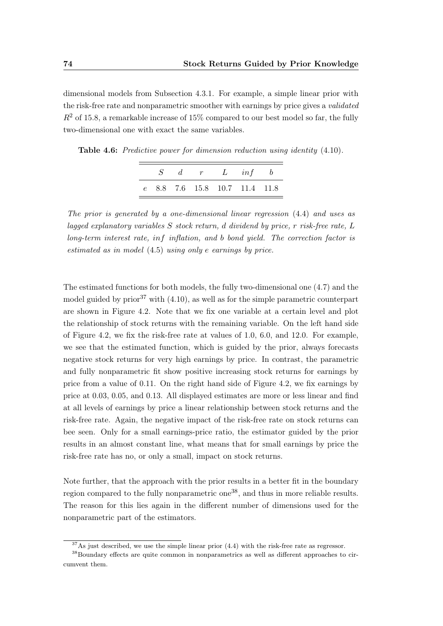dimensional models from Subsection [4.3.1.](#page-85-2) For example, a simple linear prior with the risk-free rate and nonparametric smoother with earnings by price gives a validated  $R<sup>2</sup>$  of 15.8, a remarkable increase of 15% compared to our best model so far, the fully two-dimensional one with exact the same variables.

|  |  | $S \quad d \quad r \quad L \quad inf \quad b$ |  |
|--|--|-----------------------------------------------|--|
|  |  | e 8.8 7.6 15.8 10.7 11.4 11.8                 |  |

<span id="page-89-0"></span>Table 4.6: Predictive power for dimension reduction using identity  $(4.10)$ .

The prior is generated by a one-dimensional linear regression [\(4.4\)](#page-81-0) and uses as lagged explanatory variables  $S$  stock return, d dividend by price, r risk-free rate,  $L$ long-term interest rate, inf inflation, and b bond yield. The correction factor is estimated as in model [\(4.5\)](#page-82-0) using only e earnings by price.

The estimated functions for both models, the fully two-dimensional one [\(4.7\)](#page-85-1) and the model guided by prior<sup>37</sup> with  $(4.10)$ , as well as for the simple parametric counterpart are shown in Figure [4.2.](#page-90-0) Note that we fix one variable at a certain level and plot the relationship of stock returns with the remaining variable. On the left hand side of Figure [4.2,](#page-90-0) we fix the risk-free rate at values of 1.0, 6.0, and 12.0. For example, we see that the estimated function, which is guided by the prior, always forecasts negative stock returns for very high earnings by price. In contrast, the parametric and fully nonparametric fit show positive increasing stock returns for earnings by price from a value of 0.11. On the right hand side of Figure [4.2,](#page-90-0) we fix earnings by price at 0.03, 0.05, and 0.13. All displayed estimates are more or less linear and find at all levels of earnings by price a linear relationship between stock returns and the risk-free rate. Again, the negative impact of the risk-free rate on stock returns can bee seen. Only for a small earnings-price ratio, the estimator guided by the prior results in an almost constant line, what means that for small earnings by price the risk-free rate has no, or only a small, impact on stock returns.

Note further, that the approach with the prior results in a better fit in the boundary region compared to the fully nonparametric one<sup>38</sup>, and thus in more reliable results. The reason for this lies again in the different number of dimensions used for the nonparametric part of the estimators.

 $37\text{As}$  just described, we use the simple linear prior  $(4.4)$  with the risk-free rate as regressor.

<sup>&</sup>lt;sup>38</sup>Boundary effects are quite common in nonparametrics as well as different approaches to circumvent them.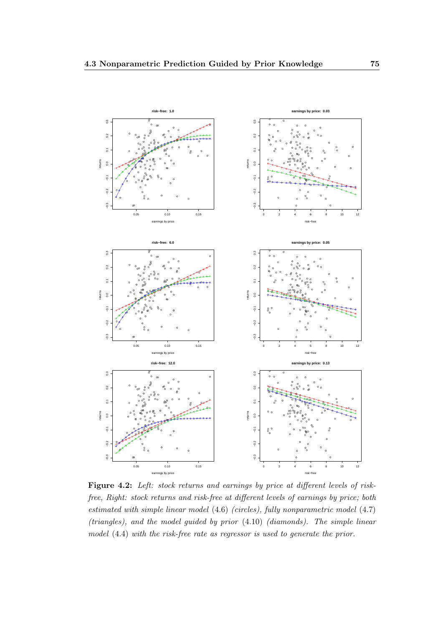<span id="page-90-0"></span>

Figure 4.2: Left: stock returns and earnings by price at different levels of riskfree, Right: stock returns and risk-free at different levels of earnings by price; both estimated with simple linear model [\(4.6\)](#page-83-1) (circles), fully nonparametric model [\(4.7\)](#page-85-1) (triangles), and the model guided by prior [\(4.10\)](#page-88-1) (diamonds). The simple linear model [\(4.4\)](#page-81-0) with the risk-free rate as regressor is used to generate the prior.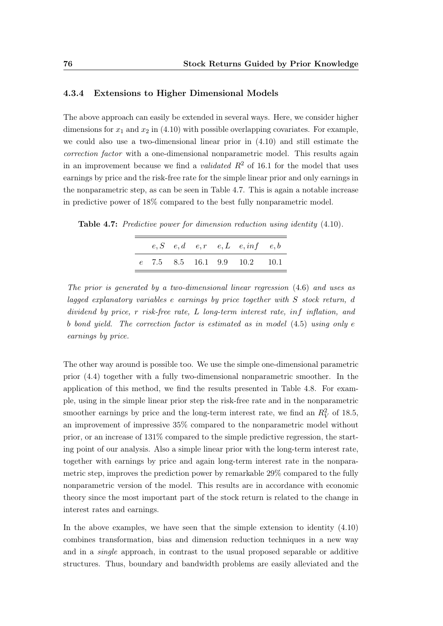#### 4.3.4 Extensions to Higher Dimensional Models

The above approach can easily be extended in several ways. Here, we consider higher dimensions for  $x_1$  and  $x_2$  in [\(4.10\)](#page-88-1) with possible overlapping covariates. For example, we could also use a two-dimensional linear prior in [\(4.10\)](#page-88-1) and still estimate the correction factor with a one-dimensional nonparametric model. This results again in an improvement because we find a *validated*  $R^2$  of 16.1 for the model that uses earnings by price and the risk-free rate for the simple linear prior and only earnings in the nonparametric step, as can be seen in Table [4.7.](#page-91-0) This is again a notable increase in predictive power of 18% compared to the best fully nonparametric model.

<span id="page-91-0"></span>Table 4.7: Predictive power for dimension reduction using identity [\(4.10\)](#page-88-1).

|  |  | $e, S$ $e, d$ $e, r$ $e, L$ $e, inf$ $e, b$ |  |
|--|--|---------------------------------------------|--|
|  |  | $e$ 7.5 8.5 16.1 9.9 10.2 10.1              |  |

The prior is generated by a two-dimensional linear regression [\(4.6\)](#page-83-1) and uses as lagged explanatory variables e earnings by price together with S stock return, d dividend by price, r risk-free rate, L long-term interest rate, inf inflation, and b bond yield. The correction factor is estimated as in model [\(4.5\)](#page-82-0) using only e earnings by price.

The other way around is possible too. We use the simple one-dimensional parametric prior [\(4.4\)](#page-81-0) together with a fully two-dimensional nonparametric smoother. In the application of this method, we find the results presented in Table [4.8.](#page-92-1) For example, using in the simple linear prior step the risk-free rate and in the nonparametric smoother earnings by price and the long-term interest rate, we find an  $R_V^2$  of 18.5, an improvement of impressive 35% compared to the nonparametric model without prior, or an increase of 131% compared to the simple predictive regression, the starting point of our analysis. Also a simple linear prior with the long-term interest rate, together with earnings by price and again long-term interest rate in the nonparametric step, improves the prediction power by remarkable 29% compared to the fully nonparametric version of the model. This results are in accordance with economic theory since the most important part of the stock return is related to the change in interest rates and earnings.

In the above examples, we have seen that the simple extension to identity [\(4.10\)](#page-88-1) combines transformation, bias and dimension reduction techniques in a new way and in a single approach, in contrast to the usual proposed separable or additive structures. Thus, boundary and bandwidth problems are easily alleviated and the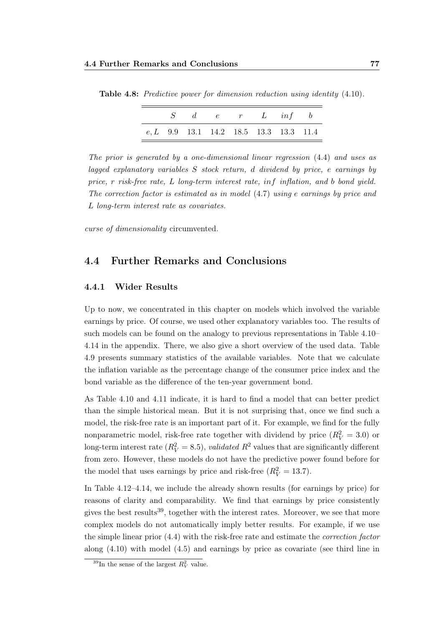|  |  | $S \quad d \quad e \quad r \quad L \quad inf \quad b$ |  |
|--|--|-------------------------------------------------------|--|
|  |  | $e, L$ 9.9 13.1 14.2 18.5 13.3 13.3 11.4              |  |

<span id="page-92-1"></span>Table 4.8: Predictive power for dimension reduction using identity [\(4.10\)](#page-88-1).

The prior is generated by a one-dimensional linear regression [\(4.4\)](#page-81-0) and uses as lagged explanatory variables S stock return, d dividend by price, e earnings by price, r risk-free rate, L long-term interest rate, inf inflation, and b bond yield. The correction factor is estimated as in model [\(4.7\)](#page-85-1) using e earnings by price and L long-term interest rate as covariates.

curse of dimensionality circumvented.

#### <span id="page-92-0"></span>4.4 Further Remarks and Conclusions

#### 4.4.1 Wider Results

Up to now, we concentrated in this chapter on models which involved the variable earnings by price. Of course, we used other explanatory variables too. The results of such models can be found on the analogy to previous representations in Table [4.10–](#page-95-0) [4.14](#page-97-0) in the appendix. There, we also give a short overview of the used data. Table [4.9](#page-95-1) presents summary statistics of the available variables. Note that we calculate the inflation variable as the percentage change of the consumer price index and the bond variable as the difference of the ten-year government bond.

As Table [4.10](#page-95-0) and [4.11](#page-96-0) indicate, it is hard to find a model that can better predict than the simple historical mean. But it is not surprising that, once we find such a model, the risk-free rate is an important part of it. For example, we find for the fully nonparametric model, risk-free rate together with dividend by price  $(R_V^2 = 3.0)$  or long-term interest rate  $(R_V^2 = 8.5)$ , *validated*  $R^2$  values that are significantly different from zero. However, these models do not have the predictive power found before for the model that uses earnings by price and risk-free  $(R_V^2 = 13.7)$ .

In Table [4.12](#page-96-1)[–4.14,](#page-97-0) we include the already shown results (for earnings by price) for reasons of clarity and comparability. We find that earnings by price consistently gives the best results<sup>39</sup>, together with the interest rates. Moreover, we see that more complex models do not automatically imply better results. For example, if we use the simple linear prior [\(4.4\)](#page-81-0) with the risk-free rate and estimate the correction factor along [\(4.10\)](#page-88-1) with model [\(4.5\)](#page-82-0) and earnings by price as covariate (see third line in

<sup>&</sup>lt;sup>39</sup>In the sense of the largest  $R_V^2$  value.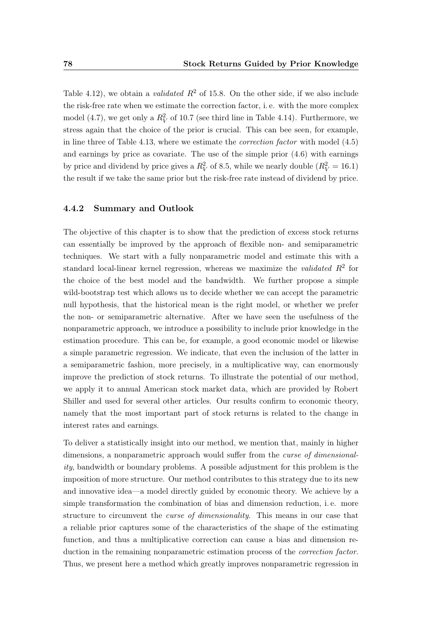Table [4.12\)](#page-96-1), we obtain a *validated*  $R^2$  of 15.8. On the other side, if we also include the risk-free rate when we estimate the correction factor, i. e. with the more complex model [\(4.7\)](#page-85-1), we get only a  $R_V^2$  of 10.7 (see third line in Table [4.14\)](#page-97-0). Furthermore, we stress again that the choice of the prior is crucial. This can bee seen, for example, in line three of Table [4.13,](#page-97-1) where we estimate the correction factor with model [\(4.5\)](#page-82-0) and earnings by price as covariate. The use of the simple prior [\(4.6\)](#page-83-1) with earnings by price and dividend by price gives a  $R_V^2$  of 8.5, while we nearly double  $(R_V^2 = 16.1)$ the result if we take the same prior but the risk-free rate instead of dividend by price.

#### 4.4.2 Summary and Outlook

The objective of this chapter is to show that the prediction of excess stock returns can essentially be improved by the approach of flexible non- and semiparametric techniques. We start with a fully nonparametric model and estimate this with a standard local-linear kernel regression, whereas we maximize the *validated*  $R^2$  for the choice of the best model and the bandwidth. We further propose a simple wild-bootstrap test which allows us to decide whether we can accept the parametric null hypothesis, that the historical mean is the right model, or whether we prefer the non- or semiparametric alternative. After we have seen the usefulness of the nonparametric approach, we introduce a possibility to include prior knowledge in the estimation procedure. This can be, for example, a good economic model or likewise a simple parametric regression. We indicate, that even the inclusion of the latter in a semiparametric fashion, more precisely, in a multiplicative way, can enormously improve the prediction of stock returns. To illustrate the potential of our method, we apply it to annual American stock market data, which are provided by Robert Shiller and used for several other articles. Our results confirm to economic theory, namely that the most important part of stock returns is related to the change in interest rates and earnings.

To deliver a statistically insight into our method, we mention that, mainly in higher dimensions, a nonparametric approach would suffer from the *curse of dimensional*ity, bandwidth or boundary problems. A possible adjustment for this problem is the imposition of more structure. Our method contributes to this strategy due to its new and innovative idea—a model directly guided by economic theory. We achieve by a simple transformation the combination of bias and dimension reduction, i. e. more structure to circumvent the curse of dimensionality. This means in our case that a reliable prior captures some of the characteristics of the shape of the estimating function, and thus a multiplicative correction can cause a bias and dimension reduction in the remaining nonparametric estimation process of the correction factor. Thus, we present here a method which greatly improves nonparametric regression in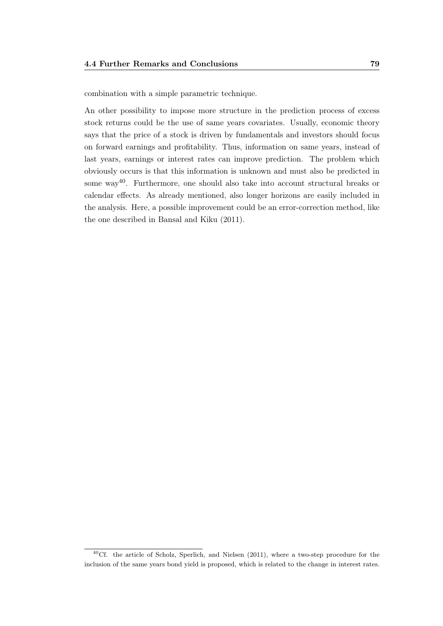combination with a simple parametric technique.

An other possibility to impose more structure in the prediction process of excess stock returns could be the use of same years covariates. Usually, economic theory says that the price of a stock is driven by fundamentals and investors should focus on forward earnings and profitability. Thus, information on same years, instead of last years, earnings or interest rates can improve prediction. The problem which obviously occurs is that this information is unknown and must also be predicted in some way40. Furthermore, one should also take into account structural breaks or calendar effects. As already mentioned, also longer horizons are easily included in the analysis. Here, a possible improvement could be an error-correction method, like the one described in [Bansal and Kiku](#page-102-5) [\(2011\)](#page-102-5).

<sup>&</sup>lt;sup>40</sup>Cf. the article of [Scholz, Sperlich, and Nielsen](#page-110-6) [\(2011\)](#page-110-6), where a two-step procedure for the inclusion of the same years bond yield is proposed, which is related to the change in interest rates.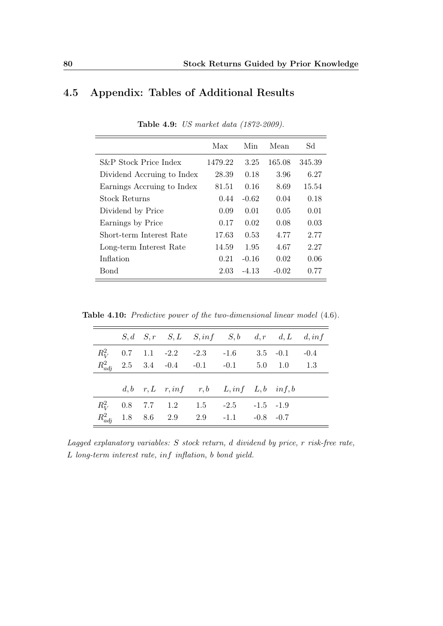### <span id="page-95-1"></span>4.5 Appendix: Tables of Additional Results

|                            | Max     | Min     | Mean    | Sd     |
|----------------------------|---------|---------|---------|--------|
| S&P Stock Price Index      | 1479.22 | 3.25    | 165.08  | 345.39 |
| Dividend Accruing to Index | 28.39   | 0.18    | 3.96    | 6.27   |
| Earnings Accruing to Index | 81.51   | 0.16    | 8.69    | 15.54  |
| <b>Stock Returns</b>       | 0.44    | $-0.62$ | 0.04    | 0.18   |
| Dividend by Price          | 0.09    | 0.01    | 0.05    | 0.01   |
| Earnings by Price          | 0.17    | 0.02    | 0.08    | 0.03   |
| Short-term Interest Rate   | 17.63   | 0.53    | 4.77    | 2.77   |
| Long-term Interest Rate    | 14.59   | 1.95    | 4.67    | 2.27   |
| Inflation                  | 0.21    | $-0.16$ | 0.02    | 0.06   |
| Bond                       | 2.03    | $-4.13$ | $-0.02$ | 0.77   |

Table 4.9: US market data (1872-2009).

<span id="page-95-0"></span>Table 4.10: Predictive power of the two-dimensional linear model [\(4.6\)](#page-83-1).

|  |  | $S, d \quad S, r \quad S, L \quad S, inf \quad S, b \quad d, r \quad d, L \quad d, inf$ |  |  |
|--|--|-----------------------------------------------------------------------------------------|--|--|
|  |  | $R_V^2$ 0.7 1.1 -2.2 -2.3 -1.6 3.5 -0.1 -0.4                                            |  |  |
|  |  | $R_{adj}^2$ 2.5 3.4 -0.4 -0.1 -0.1 5.0 1.0 1.3                                          |  |  |
|  |  |                                                                                         |  |  |
|  |  | $d, b$ r, L r, inf r, b L, inf L, b inf, b                                              |  |  |
|  |  | $R_V^2$ 0.8 7.7 1.2 1.5 -2.5 -1.5 -1.9                                                  |  |  |
|  |  | $R_{adj}^2$ 1.8 8.6 2.9 2.9 -1.1 -0.8 -0.7                                              |  |  |

Lagged explanatory variables: S stock return, d dividend by price, r risk-free rate, L long-term interest rate, inf inflation, b bond yield.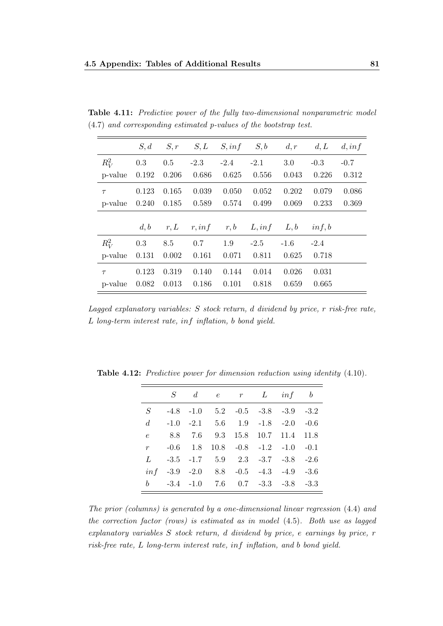<span id="page-96-0"></span>

|  |                                                                     |  |  | <b>Table 4.11:</b> Predictive power of the fully two-dimensional nonparametric model |  |
|--|---------------------------------------------------------------------|--|--|--------------------------------------------------------------------------------------|--|
|  | $(4.7)$ and corresponding estimated p-values of the bootstrap test. |  |  |                                                                                      |  |

|         | S, d  | S, r  | S, L   | S, inf | S, b   | d, r   | d, L   | d, inf |
|---------|-------|-------|--------|--------|--------|--------|--------|--------|
| $R_V^2$ | 0.3   | 0.5   | $-2.3$ | $-2.4$ | $-2.1$ | 3.0    | $-0.3$ | $-0.7$ |
| p-value | 0.192 | 0.206 | 0.686  | 0.625  | 0.556  | 0.043  | 0.226  | 0.312  |
| $\tau$  | 0.123 | 0.165 | 0.039  | 0.050  | 0.052  | 0.202  | 0.079  | 0.086  |
| p-value | 0.240 | 0.185 | 0.589  | 0.574  | 0.499  | 0.069  | 0.233  | 0.369  |
|         |       |       |        |        |        |        |        |        |
|         | d, b  | r, L  | r, inf | r, b   | L, inf | L, b   | inf, b |        |
| $R_V^2$ | 0.3   | 8.5   | 0.7    | 1.9    | $-2.5$ | $-1.6$ | $-2.4$ |        |
| p-value | 0.131 | 0.002 | 0.161  | 0.071  | 0.811  | 0.625  | 0.718  |        |
| $\tau$  | 0.123 | 0.319 | 0.140  | 0.144  | 0.014  | 0.026  | 0.031  |        |
| p-value | 0.082 | 0.013 | 0.186  | 0.101  | 0.818  | 0.659  | 0.665  |        |

Lagged explanatory variables: S stock return, d dividend by price, r risk-free rate, L long-term interest rate, inf inflation, b bond yield.

|             |  | $S \quad d \quad e \quad r \quad L \quad inf \quad b$ |  |  |
|-------------|--|-------------------------------------------------------|--|--|
| $S^-$       |  | $-4.8$ $-1.0$ $5.2$ $-0.5$ $-3.8$ $-3.9$ $-3.2$       |  |  |
| $d_{\cdot}$ |  | $-1.0$ $-2.1$ $5.6$ $1.9$ $-1.8$ $-2.0$ $-0.6$        |  |  |
| $\epsilon$  |  | 8.8 7.6 9.3 15.8 10.7 11.4 11.8                       |  |  |
| $r$ and $r$ |  | $-0.6$ 1.8 10.8 $-0.8$ $-1.2$ $-1.0$ $-0.1$           |  |  |
| L           |  | $-3.5$ $-1.7$ $5.9$ $2.3$ $-3.7$ $-3.8$ $-2.6$        |  |  |
|             |  | $\inf$ -3.9 -2.0 8.8 -0.5 -4.3 -4.9 -3.6              |  |  |
|             |  | $b = -3.4 -1.0$ 7.6 0.7 $-3.3$ $-3.8$ $-3.3$          |  |  |

<span id="page-96-1"></span>Table 4.12: Predictive power for dimension reduction using identity  $(4.10)$ .

The prior (columns) is generated by a one-dimensional linear regression [\(4.4\)](#page-81-0) and the correction factor (rows) is estimated as in model [\(4.5\)](#page-82-0). Both use as lagged explanatory variables S stock return, d dividend by price, e earnings by price, r risk-free rate, L long-term interest rate, inf inflation, and b bond yield.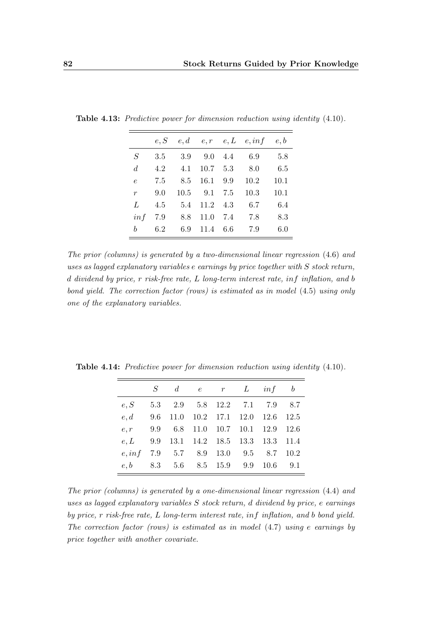|                  | e, S |              |                  |     | $e, d$ $e, r$ $e, L$ $e, inf$ $e, b$ |      |
|------------------|------|--------------|------------------|-----|--------------------------------------|------|
| S                | 3.5  |              | $3.9 \quad 9.0$  | 4.4 | 6.9                                  | 5.8  |
| $\overline{d}$   | 4.2  | 4.1          | $10.7 \quad 5.3$ |     | 8.0                                  | 6.5  |
| $\epsilon$       | 7.5  | 8.5          | 16.1             | 9.9 | 10.2                                 | 10.1 |
| $\boldsymbol{r}$ | 9.0  | $10.5$ $9.1$ |                  | 7.5 | 10.3                                 | 10.1 |
| L                | 4.5  | 5.4          | $11.2 \quad 4.3$ |     | 6.7                                  | 6.4  |
| inf              | 7.9  | 8.8          | 11.0             | 7.4 | 7.8                                  | 8.3  |
| h                | 6.2  | 6.9          | 11.4             | 6.6 | 7.9                                  | 6.0  |

<span id="page-97-1"></span>Table 4.13: Predictive power for dimension reduction using identity [\(4.10\)](#page-88-1).

The prior (columns) is generated by a two-dimensional linear regression [\(4.6\)](#page-83-1) and uses as lagged explanatory variables e earnings by price together with S stock return, d dividend by price, r risk-free rate, L long-term interest rate, inf inflation, and b bond yield. The correction factor (rows) is estimated as in model [\(4.5\)](#page-82-0) using only one of the explanatory variables.

|                                         | $S \quad d \quad e \quad r \quad L \quad inf \quad b$ |  |  |  |
|-----------------------------------------|-------------------------------------------------------|--|--|--|
| e, S                                    | 5.3 2.9 5.8 12.2 7.1 7.9 8.7                          |  |  |  |
| e, d                                    | 9.6 11.0 10.2 17.1 12.0 12.6 12.5                     |  |  |  |
| $e, r$ 9.9 6.8 11.0 10.7 10.1 12.9 12.6 |                                                       |  |  |  |
| e, L                                    | 9.9 13.1 14.2 18.5 13.3 13.3 11.4                     |  |  |  |
| $e, inf$ 7.9 5.7 8.9 13.0 9.5 8.7 10.2  |                                                       |  |  |  |
| $e, b$ 8.3 5.6 8.5 15.9 9.9 10.6 9.1    |                                                       |  |  |  |

<span id="page-97-0"></span>Table 4.14: Predictive power for dimension reduction using identity [\(4.10\)](#page-88-1).

The prior (columns) is generated by a one-dimensional linear regression [\(4.4\)](#page-81-0) and uses as lagged explanatory variables S stock return, d dividend by price, e earnings by price, r risk-free rate, L long-term interest rate, inf inflation, and b bond yield. The correction factor (rows) is estimated as in model [\(4.7\)](#page-85-1) using e earnings by price together with another covariate.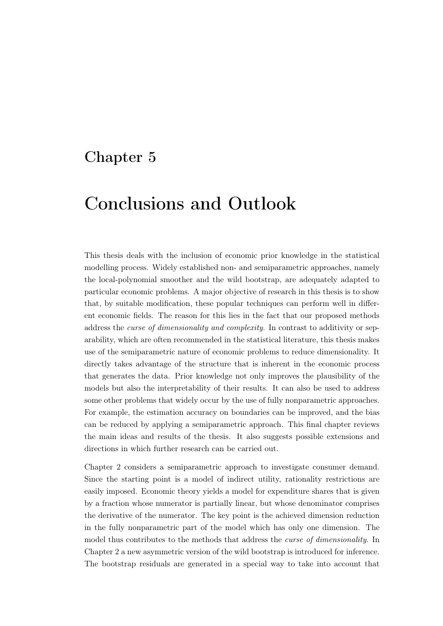## Chapter 5

## Conclusions and Outlook

This thesis deals with the inclusion of economic prior knowledge in the statistical modelling process. Widely established non- and semiparametric approaches, namely the local-polynomial smoother and the wild bootstrap, are adequately adapted to particular economic problems. A major objective of research in this thesis is to show that, by suitable modification, these popular techniques can perform well in different economic fields. The reason for this lies in the fact that our proposed methods address the *curse of dimensionality and complexity*. In contrast to additivity or separability, which are often recommended in the statistical literature, this thesis makes use of the semiparametric nature of economic problems to reduce dimensionality. It directly takes advantage of the structure that is inherent in the economic process that generates the data. Prior knowledge not only improves the plausibility of the models but also the interpretability of their results. It can also be used to address some other problems that widely occur by the use of fully nonparametric approaches. For example, the estimation accuracy on boundaries can be improved, and the bias can be reduced by applying a semiparametric approach. This final chapter reviews the main ideas and results of the thesis. It also suggests possible extensions and directions in which further research can be carried out.

Chapter [2](#page-20-0) considers a semiparametric approach to investigate consumer demand. Since the starting point is a model of indirect utility, rationality restrictions are easily imposed. Economic theory yields a model for expenditure shares that is given by a fraction whose numerator is partially linear, but whose denominator comprises the derivative of the numerator. The key point is the achieved dimension reduction in the fully nonparametric part of the model which has only one dimension. The model thus contributes to the methods that address the *curse of dimensionality*. In Chapter [2](#page-20-0) a new asymmetric version of the wild bootstrap is introduced for inference. The bootstrap residuals are generated in a special way to take into account that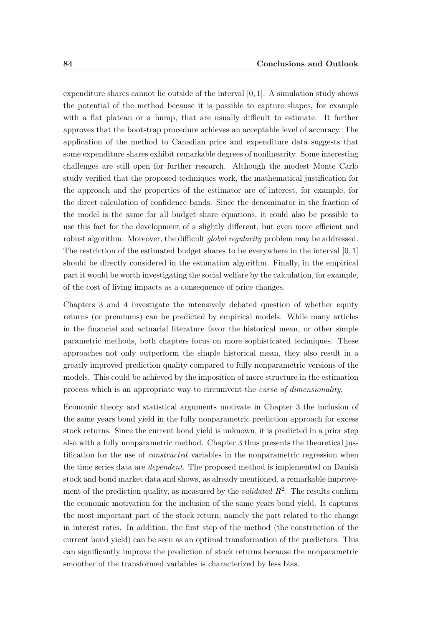expenditure shares cannot lie outside of the interval [0, 1]. A simulation study shows the potential of the method because it is possible to capture shapes, for example with a flat plateau or a bump, that are usually difficult to estimate. It further approves that the bootstrap procedure achieves an acceptable level of accuracy. The application of the method to Canadian price and expenditure data suggests that some expenditure shares exhibit remarkable degrees of nonlinearity. Some interesting challenges are still open for further research. Although the modest Monte Carlo study verified that the proposed techniques work, the mathematical justification for the approach and the properties of the estimator are of interest, for example, for the direct calculation of confidence bands. Since the denominator in the fraction of the model is the same for all budget share equations, it could also be possible to use this fact for the development of a slightly different, but even more efficient and robust algorithm. Moreover, the difficult *qlobal reqularity* problem may be addressed. The restriction of the estimated budget shares to be everywhere in the interval  $[0, 1]$ should be directly considered in the estimation algorithm. Finally, in the empirical part it would be worth investigating the social welfare by the calculation, for example, of the cost of living impacts as a consequence of price changes.

Chapters [3](#page-46-0) and [4](#page-72-0) investigate the intensively debated question of whether equity returns (or premiums) can be predicted by empirical models. While many articles in the financial and actuarial literature favor the historical mean, or other simple parametric methods, both chapters focus on more sophisticated techniques. These approaches not only outperform the simple historical mean, they also result in a greatly improved prediction quality compared to fully nonparametric versions of the models. This could be achieved by the imposition of more structure in the estimation process which is an appropriate way to circumvent the curse of dimensionality.

Economic theory and statistical arguments motivate in Chapter [3](#page-46-0) the inclusion of the same years bond yield in the fully nonparametric prediction approach for excess stock returns. Since the current bond yield is unknown, it is predicted in a prior step also with a fully nonparametric method. Chapter [3](#page-46-0) thus presents the theoretical justification for the use of *constructed* variables in the nonparametric regression when the time series data are *dependent*. The proposed method is implemented on Danish stock and bond market data and shows, as already mentioned, a remarkable improvement of the prediction quality, as measured by the *validated*  $R^2$ . The results confirm the economic motivation for the inclusion of the same years bond yield. It captures the most important part of the stock return, namely the part related to the change in interest rates. In addition, the first step of the method (the construction of the current bond yield) can be seen as an optimal transformation of the predictors. This can significantly improve the prediction of stock returns because the nonparametric smoother of the transformed variables is characterized by less bias.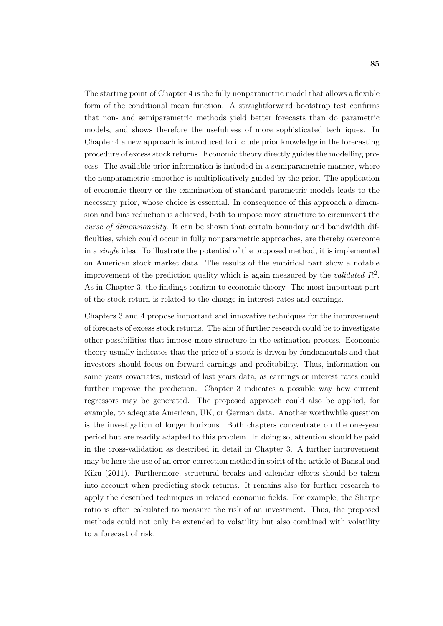The starting point of Chapter [4](#page-72-0) is the fully nonparametric model that allows a flexible form of the conditional mean function. A straightforward bootstrap test confirms that non- and semiparametric methods yield better forecasts than do parametric models, and shows therefore the usefulness of more sophisticated techniques. In Chapter [4](#page-72-0) a new approach is introduced to include prior knowledge in the forecasting procedure of excess stock returns. Economic theory directly guides the modelling process. The available prior information is included in a semiparametric manner, where the nonparametric smoother is multiplicatively guided by the prior. The application of economic theory or the examination of standard parametric models leads to the necessary prior, whose choice is essential. In consequence of this approach a dimension and bias reduction is achieved, both to impose more structure to circumvent the curse of dimensionality. It can be shown that certain boundary and bandwidth difficulties, which could occur in fully nonparametric approaches, are thereby overcome in a single idea. To illustrate the potential of the proposed method, it is implemented on American stock market data. The results of the empirical part show a notable improvement of the prediction quality which is again measured by the validated  $R^2$ . As in Chapter [3,](#page-46-0) the findings confirm to economic theory. The most important part of the stock return is related to the change in interest rates and earnings.

Chapters [3](#page-46-0) and [4](#page-72-0) propose important and innovative techniques for the improvement of forecasts of excess stock returns. The aim of further research could be to investigate other possibilities that impose more structure in the estimation process. Economic theory usually indicates that the price of a stock is driven by fundamentals and that investors should focus on forward earnings and profitability. Thus, information on same years covariates, instead of last years data, as earnings or interest rates could further improve the prediction. Chapter [3](#page-46-0) indicates a possible way how current regressors may be generated. The proposed approach could also be applied, for example, to adequate American, UK, or German data. Another worthwhile question is the investigation of longer horizons. Both chapters concentrate on the one-year period but are readily adapted to this problem. In doing so, attention should be paid in the cross-validation as described in detail in Chapter [3.](#page-46-0) A further improvement may be here the use of an error-correction method in spirit of the article of [Bansal and](#page-102-5) [Kiku](#page-102-5) [\(2011\)](#page-102-5). Furthermore, structural breaks and calendar effects should be taken into account when predicting stock returns. It remains also for further research to apply the described techniques in related economic fields. For example, the Sharpe ratio is often calculated to measure the risk of an investment. Thus, the proposed methods could not only be extended to volatility but also combined with volatility to a forecast of risk.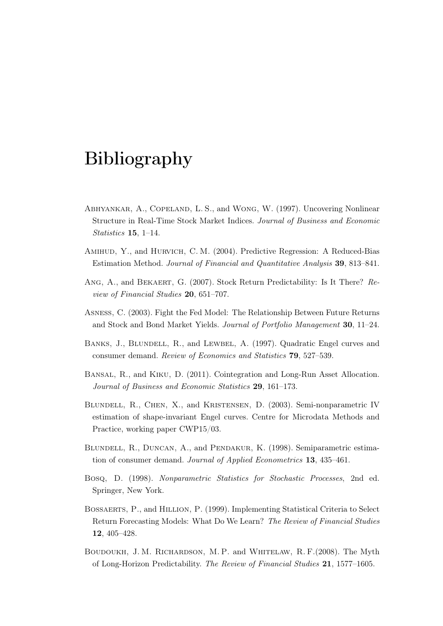## Bibliography

- <span id="page-102-3"></span>Abhyankar, A., Copeland, L. S., and Wong, W. (1997). Uncovering Nonlinear Structure in Real-Time Stock Market Indices. Journal of Business and Economic Statistics 15, 1–14.
- <span id="page-102-2"></span>Amihud, Y., and Hurvich, C. M. (2004). Predictive Regression: A Reduced-Bias Estimation Method. Journal of Financial and Quantitative Analysis 39, 813–841.
- <span id="page-102-1"></span>Ang, A., and Bekaert, G. (2007). Stock Return Predictability: Is It There? Review of Financial Studies 20, 651–707.
- Asness, C. (2003). Fight the Fed Model: The Relationship Between Future Returns and Stock and Bond Market Yields. Journal of Portfolio Management 30, 11–24.
- BANKS, J., BLUNDELL, R., and LEWBEL, A. (1997). Quadratic Engel curves and consumer demand. Review of Economics and Statistics 79, 527–539.
- <span id="page-102-5"></span>Bansal, R., and Kiku, D. (2011). Cointegration and Long-Run Asset Allocation. Journal of Business and Economic Statistics 29, 161–173.
- Blundell, R., Chen, X., and Kristensen, D. (2003). Semi-nonparametric IV estimation of shape-invariant Engel curves. Centre for Microdata Methods and Practice, working paper CWP15/03.
- Blundell, R., Duncan, A., and Pendakur, K. (1998). Semiparametric estimation of consumer demand. Journal of Applied Econometrics 13, 435–461.
- Bosq, D. (1998). Nonparametric Statistics for Stochastic Processes, 2nd ed. Springer, New York.
- <span id="page-102-4"></span>Bossaerts, P., and Hillion, P. (1999). Implementing Statistical Criteria to Select Return Forecasting Models: What Do We Learn? The Review of Financial Studies 12, 405–428.
- <span id="page-102-0"></span>Boudoukh, J. M. Richardson, M. P. and Whitelaw, R. F.(2008). The Myth of Long-Horizon Predictability. The Review of Financial Studies 21, 1577–1605.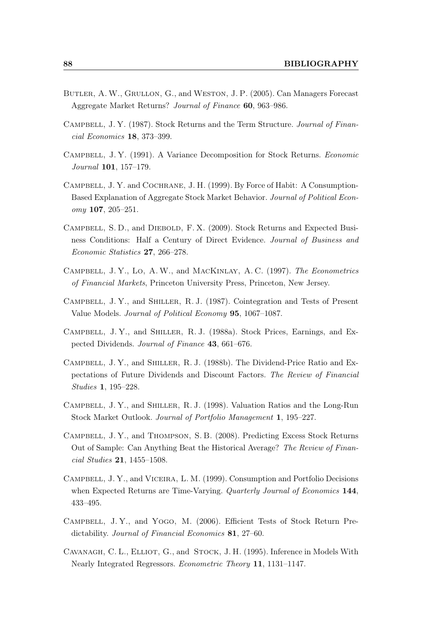- <span id="page-103-10"></span>Butler, A.W., Grullon, G., and Weston, J. P. (2005). Can Managers Forecast Aggregate Market Returns? Journal of Finance 60, 963–986.
- <span id="page-103-1"></span>Campbell, J. Y. (1987). Stock Returns and the Term Structure. Journal of Financial Economics 18, 373–399.
- <span id="page-103-0"></span>Campbell, J. Y. (1991). A Variance Decomposition for Stock Returns. Economic Journal 101, 157–179.
- <span id="page-103-4"></span>Campbell, J. Y. and Cochrane, J. H. (1999). By Force of Habit: A Consumption-Based Explanation of Aggregate Stock Market Behavior. Journal of Political Economy 107, 205–251.
- Campbell, S. D., and Diebold, F. X. (2009). Stock Returns and Expected Business Conditions: Half a Century of Direct Evidence. Journal of Business and Economic Statistics 27, 266–278.
- Campbell, J. Y., Lo, A. W., and MacKinlay, A. C. (1997). The Econometrics of Financial Markets, Princeton University Press, Princeton, New Jersey.
- <span id="page-103-7"></span>Campbell, J. Y., and Shiller, R. J. (1987). Cointegration and Tests of Present Value Models. Journal of Political Economy 95, 1067–1087.
- <span id="page-103-2"></span>Campbell, J. Y., and Shiller, R. J. (1988a). Stock Prices, Earnings, and Expected Dividends. Journal of Finance 43, 661–676.
- <span id="page-103-3"></span>Campbell, J. Y., and Shiller, R. J. (1988b). The Dividend-Price Ratio and Expectations of Future Dividends and Discount Factors. The Review of Financial Studies 1, 195–228.
- <span id="page-103-11"></span>Campbell, J. Y., and Shiller, R. J. (1998). Valuation Ratios and the Long-Run Stock Market Outlook. Journal of Portfolio Management 1, 195–227.
- <span id="page-103-6"></span>Campbell, J. Y., and Thompson, S. B. (2008). Predicting Excess Stock Returns Out of Sample: Can Anything Beat the Historical Average? The Review of Financial Studies 21, 1455–1508.
- <span id="page-103-5"></span>Campbell, J. Y., and Viceira, L. M. (1999). Consumption and Portfolio Decisions when Expected Returns are Time-Varying. Quarterly Journal of Economics 144, 433–495.
- <span id="page-103-8"></span>Campbell, J. Y., and Yogo, M. (2006). Efficient Tests of Stock Return Predictability. Journal of Financial Economics 81, 27–60.
- <span id="page-103-9"></span>CAVANAGH, C. L., ELLIOT, G., and STOCK, J. H. (1995). Inference in Models With Nearly Integrated Regressors. Econometric Theory 11, 1131–1147.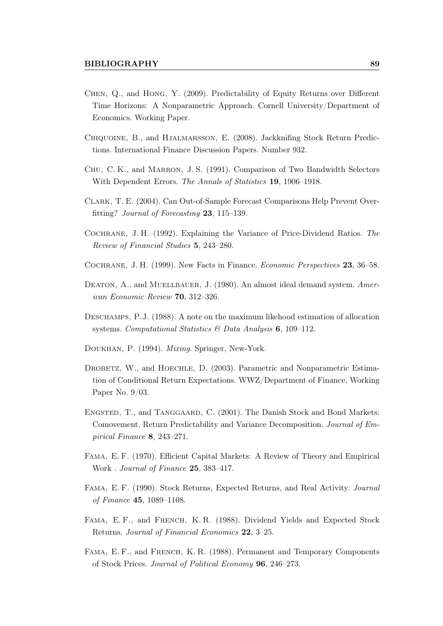- <span id="page-104-5"></span>Chen, Q., and Hong, Y. (2009). Predictability of Equity Returns over Different Time Horizons: A Nonparametric Approach. Cornell University/Department of Economics. Working Paper.
- <span id="page-104-6"></span>Chiquoine, B., and Hjalmarsson, E. (2008). Jackknifing Stock Return Predictions. International Finance Discussion Papers. Number 932.
- Chu, C. K., and Marron, J. S. (1991). Comparison of Two Bandwidth Selectors With Dependent Errors. The Annals of Statistics 19, 1906–1918.
- <span id="page-104-9"></span>Clark, T. E. (2004). Can Out-of-Sample Forecast Comparisons Help Prevent Overfitting? Journal of Forecasting 23, 115–139.
- <span id="page-104-4"></span>Cochrane, J. H. (1992). Explaining the Variance of Price-Dividend Ratios. The Review of Financial Studies 5, 243–280.
- <span id="page-104-1"></span>Cochrane, J. H. (1999). New Facts in Finance. Economic Perspectives 23, 36–58.
- DEATON, A., and MUELLBAUER, J. (1980). An almost ideal demand system. American Economic Review 70, 312–326.
- Deschamps, P.J. (1988). A note on the maximum likehood estimation of allocation systems. Computational Statistics & Data Analysis 6, 109-112.
- Doukhan, P. (1994). Mixing. Springer, New-York.
- <span id="page-104-8"></span>DROBETZ, W., and HOECHLE, D. (2003). Parametric and Nonparametric Estimation of Conditional Return Expectations. WWZ/Department of Finance, Working Paper No. 9/03.
- Engsted, T., and Tanggaard, C. (2001). The Danish Stock and Bond Markets: Comovement, Return Predictability and Variance Decomposition. Journal of Empirical Finance 8, 243–271.
- <span id="page-104-0"></span>Fama, E. F. (1970). Efficient Capital Markets: A Review of Theory and Empirical Work . Journal of Finance 25, 383–417.
- <span id="page-104-7"></span>Fama, E. F. (1990). Stock Returns, Expected Returns, and Real Activity. Journal of Finance 45, 1089–1108.
- <span id="page-104-3"></span>FAMA, E.F., and FRENCH, K.R. (1988). Dividend Yields and Expected Stock Returns. Journal of Financial Economics 22, 3–25.
- <span id="page-104-2"></span>Fama, E. F., and French, K. R. (1988). Permanent and Temporary Components of Stock Prices. Journal of Political Economy 96, 246–273.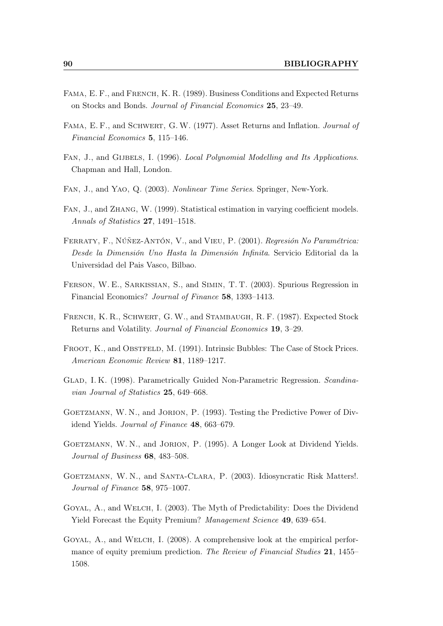- <span id="page-105-1"></span>Fama, E. F., and French, K. R. (1989). Business Conditions and Expected Returns on Stocks and Bonds. Journal of Financial Economics 25, 23–49.
- <span id="page-105-0"></span>FAMA, E. F., and SCHWERT, G. W. (1977). Asset Returns and Inflation. Journal of Financial Economics 5, 115–146.
- FAN, J., and GIJBELS, I. (1996). Local Polynomial Modelling and Its Applications. Chapman and Hall, London.
- Fan, J., and Yao, Q. (2003). Nonlinear Time Series. Springer, New-York.
- Fan, J., and Zhang, W. (1999). Statistical estimation in varying coefficient models. Annals of Statistics 27, 1491–1518.
- Ferraty, F., Núñez-Antón, V., and Vieu, P. (2001). Regresión No Paramétrica: Desde la Dimensión Uno Hasta la Dimensión Infinita. Servicio Editorial da la Universidad del Pais Vasco, Bilbao.
- <span id="page-105-6"></span>Ferson, W. E., Sarkissian, S., and Simin, T. T. (2003). Spurious Regression in Financial Economics? Journal of Finance 58, 1393–1413.
- <span id="page-105-2"></span>French, K. R., Schwert, G. W., and Stambaugh, R. F. (1987). Expected Stock Returns and Volatility. Journal of Financial Economics 19, 3–29.
- <span id="page-105-5"></span>FROOT, K., and OBSTFELD, M. (1991). Intrinsic Bubbles: The Case of Stock Prices. American Economic Review 81, 1189–1217.
- <span id="page-105-10"></span>Glad, I. K. (1998). Parametrically Guided Non-Parametric Regression. Scandinavian Journal of Statistics 25, 649–668.
- <span id="page-105-8"></span>GOETZMANN, W. N., and JORION, P. (1993). Testing the Predictive Power of Dividend Yields. Journal of Finance 48, 663–679.
- <span id="page-105-7"></span>GOETZMANN, W. N., and JORION, P. (1995). A Longer Look at Dividend Yields. Journal of Business 68, 483–508.
- <span id="page-105-3"></span>GOETZMANN, W.N., and SANTA-CLARA, P. (2003). Idiosyncratic Risk Matters!. Journal of Finance 58, 975–1007.
- <span id="page-105-9"></span>Goyal, A., and Welch, I. (2003). The Myth of Predictability: Does the Dividend Yield Forecast the Equity Premium? Management Science 49, 639–654.
- <span id="page-105-4"></span>Goyal, A., and Welch, I. (2008). A comprehensive look at the empirical performance of equity premium prediction. The Review of Financial Studies 21, 1455– 1508.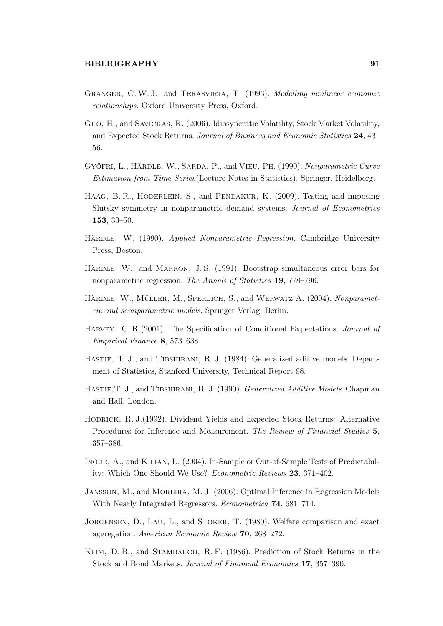- <span id="page-106-6"></span>Granger, C.W. J., and Teräsvirta, T. (1993). Modelling nonlinear economic relationships. Oxford University Press, Oxford.
- Guo, H., and Savickas, R. (2006). Idiosyncratic Volatility, Stock Market Volatility, and Expected Stock Returns. Journal of Business and Economic Statistics 24, 43– 56.
- <span id="page-106-5"></span>Gyöfri, L., Härdle, W., Sarda, P., and Vieu, Ph. (1990). Nonparametric Curve Estimation from Time Series(Lecture Notes in Statistics). Springer, Heidelberg.
- Haag, B. R., Hoderlein, S., and Pendakur, K. (2009). Testing and imposing Slutsky symmetry in nonparametric demand systems. Journal of Econometrics 153, 33–50.
- HÄRDLE, W. (1990). Applied Nonparametric Regression. Cambridge University Press, Boston.
- HÄRDLE, W., and MARRON, J.S. (1991). Bootstrap simultaneous error bars for nonparametric regression. The Annals of Statistics 19, 778–796.
- HÄRDLE, W., MÜLLER, M., SPERLICH, S., and WERWATZ A. (2004). Nonparametric and semiparametric models. Springer Verlag, Berlin.
- <span id="page-106-3"></span>HARVEY, C. R.(2001). The Specification of Conditional Expectations. Journal of Empirical Finance 8, 573–638.
- HASTIE, T. J., and TIBSHIRANI, R. J. (1984). Generalized aditive models. Department of Statistics, Stanford University, Technical Report 98.
- HASTIE, T. J., and TIBSHIRANI, R. J. (1990). Generalized Additive Models. Chapman and Hall, London.
- <span id="page-106-2"></span>Hodrick, R. J.(1992). Dividend Yields and Expected Stock Returns: Alternative Procedures for Inference and Measurement. The Review of Financial Studies 5, 357–386.
- <span id="page-106-4"></span>Inoue, A., and Kilian, L. (2004). In-Sample or Out-of-Sample Tests of Predictability: Which One Should We Use? Econometric Reviews 23, 371–402.
- <span id="page-106-1"></span>Jansson, M., and Moreira, M. J. (2006). Optimal Inference in Regression Models With Nearly Integrated Regressors. Econometrica 74, 681–714.
- Jorgensen, D., Lau, L., and Stoker, T. (1980). Welfare comparison and exact aggregation. American Economic Review 70, 268–272.
- <span id="page-106-0"></span>Keim, D. B., and Stambaugh, R. F. (1986). Prediction of Stock Returns in the Stock and Bond Markets. Journal of Financial Economics 17, 357–390.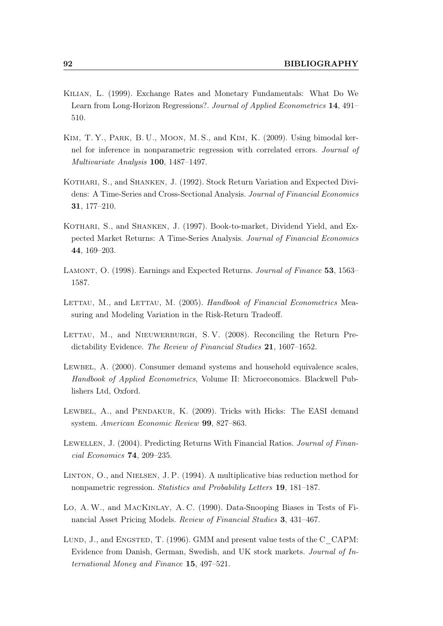- <span id="page-107-5"></span>Kilian, L. (1999). Exchange Rates and Monetary Fundamentals: What Do We Learn from Long-Horizon Regressions?. Journal of Applied Econometrics 14, 491– 510.
- Kim, T. Y., Park, B. U., Moon, M. S., and Kim, K. (2009). Using bimodal kernel for inference in nonparametric regression with correlated errors. Journal of Multivariate Analysis 100, 1487–1497.
- <span id="page-107-3"></span>KOTHARI, S., and SHANKEN, J. (1992). Stock Return Variation and Expected Dividens: A Time-Series and Cross-Sectional Analysis. Journal of Financial Economics 31, 177–210.
- <span id="page-107-0"></span>KOTHARI, S., and SHANKEN, J. (1997). Book-to-market, Dividend Yield, and Expected Market Returns: A Time-Series Analysis. Journal of Financial Economics 44, 169–203.
- <span id="page-107-1"></span>LAMONT, O. (1998). Earnings and Expected Returns. Journal of Finance 53, 1563– 1587.
- <span id="page-107-2"></span>LETTAU, M., and LETTAU, M. (2005). Handbook of Financial Econometrics Measuring and Modeling Variation in the Risk-Return Tradeoff.
- LETTAU, M., and NIEUWERBURGH, S.V. (2008). Reconciling the Return Predictability Evidence. The Review of Financial Studies 21, 1607-1652.
- LEWBEL, A. (2000). Consumer demand systems and household equivalence scales, Handbook of Applied Econometrics, Volume II: Microeconomics. Blackwell Publishers Ltd, Oxford.
- LEWBEL, A., and PENDAKUR, K. (2009). Tricks with Hicks: The EASI demand system. American Economic Review 99, 827–863.
- <span id="page-107-4"></span>LEWELLEN, J. (2004). Predicting Returns With Financial Ratios. Journal of Financial Economics 74, 209–235.
- <span id="page-107-7"></span>Linton, O., and Nielsen, J. P. (1994). A multiplicative bias reduction method for nonpametric regression. Statistics and Probability Letters 19, 181–187.
- <span id="page-107-6"></span>Lo, A. W., and MACKINLAY, A. C. (1990). Data-Snooping Biases in Tests of Financial Asset Pricing Models. Review of Financial Studies 3, 431–467.
- LUND, J., and ENGSTED, T. (1996). GMM and present value tests of the C\_CAPM: Evidence from Danish, German, Swedish, and UK stock markets. Journal of International Money and Finance 15, 497–521.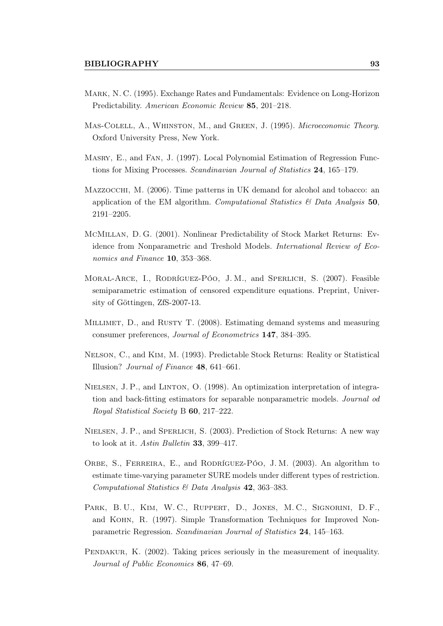- Mark, N. C. (1995). Exchange Rates and Fundamentals: Evidence on Long-Horizon Predictability. American Economic Review 85, 201–218.
- Mas-Colell, A., Whinston, M., and Green, J. (1995). Microeconomic Theory. Oxford University Press, New York.
- Masry, E., and Fan, J. (1997). Local Polynomial Estimation of Regression Functions for Mixing Processes. Scandinavian Journal of Statistics 24, 165–179.
- Mazzocchi, M. (2006). Time patterns in UK demand for alcohol and tobacco: an application of the EM algorithm. Computational Statistics  $\mathcal{B}'$  Data Analysis 50, 2191–2205.
- McMillan, D. G. (2001). Nonlinear Predictability of Stock Market Returns: Evidence from Nonparametric and Treshold Models. International Review of Economics and Finance 10, 353–368.
- Moral-Arce, I., Rodríguez-Póo, J. M., and Sperlich, S. (2007). Feasible semiparametric estimation of censored expenditure equations. Preprint, University of Göttingen, ZfS-2007-13.
- MILLIMET, D., and RUSTY T. (2008). Estimating demand systems and measuring consumer preferences, Journal of Econometrics 147, 384–395.
- Nelson, C., and Kim, M. (1993). Predictable Stock Returns: Reality or Statistical Illusion? Journal of Finance 48, 641–661.
- Nielsen, J. P., and Linton, O. (1998). An optimization interpretation of integration and back-fitting estimators for separable nonparametric models. Journal od Royal Statistical Society B 60, 217–222.
- NIELSEN, J. P., and SPERLICH, S. (2003). Prediction of Stock Returns: A new way to look at it. Astin Bulletin 33, 399-417.
- ORBE, S., FERREIRA, E., and RODRÍGUEZ-PÓO, J.M. (2003). An algorithm to estimate time-varying parameter SURE models under different types of restriction. Computational Statistics & Data Analysis 42, 363–383.
- PARK, B. U., KIM, W. C., RUPPERT, D., JONES, M. C., SIGNORINI, D. F., and Kohn, R. (1997). Simple Transformation Techniques for Improved Nonparametric Regression. Scandinavian Journal of Statistics 24, 145–163.
- PENDAKUR, K. (2002). Taking prices seriously in the measurement of inequality. Journal of Public Economics 86, 47–69.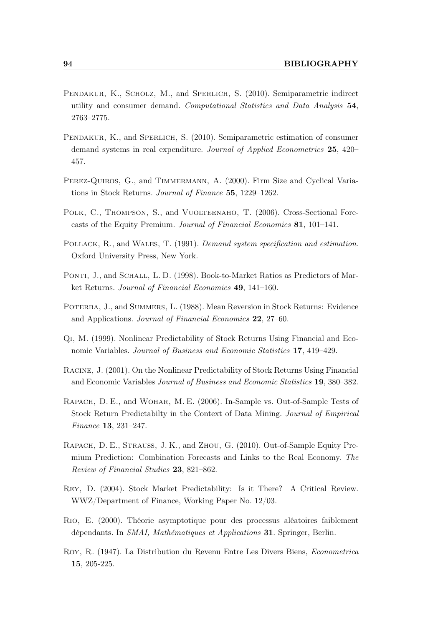- PENDAKUR, K., SCHOLZ, M., and SPERLICH, S. (2010). Semiparametric indirect utility and consumer demand. Computational Statistics and Data Analysis 54, 2763–2775.
- Pendakur, K., and Sperlich, S. (2010). Semiparametric estimation of consumer demand systems in real expenditure. Journal of Applied Econometrics 25, 420– 457.
- Perez-Quiros, G., and Timmermann, A. (2000). Firm Size and Cyclical Variations in Stock Returns. Journal of Finance 55, 1229–1262.
- Polk, C., Thompson, S., and Vuolteenaho, T. (2006). Cross-Sectional Forecasts of the Equity Premium. Journal of Financial Economics 81, 101–141.
- POLLACK, R., and WALES, T. (1991). Demand system specification and estimation. Oxford University Press, New York.
- PONTI, J., and SCHALL, L.D. (1998). Book-to-Market Ratios as Predictors of Market Returns. Journal of Financial Economics 49, 141–160.
- Poterba, J., and Summers, L. (1988). Mean Reversion in Stock Returns: Evidence and Applications. Journal of Financial Economics 22, 27–60.
- Qi, M. (1999). Nonlinear Predictability of Stock Returns Using Financial and Economic Variables. Journal of Business and Economic Statistics 17, 419–429.
- Racine, J. (2001). On the Nonlinear Predictability of Stock Returns Using Financial and Economic Variables Journal of Business and Economic Statistics 19, 380–382.
- Rapach, D. E., and Wohar, M. E. (2006). In-Sample vs. Out-of-Sample Tests of Stock Return Predictabilty in the Context of Data Mining. Journal of Empirical Finance 13, 231–247.
- Rapach, D. E., Strauss, J. K., and Zhou, G. (2010). Out-of-Sample Equity Premium Prediction: Combination Forecasts and Links to the Real Economy. The Review of Financial Studies 23, 821–862.
- Rey, D. (2004). Stock Market Predictability: Is it There? A Critical Review. WWZ/Department of Finance, Working Paper No. 12/03.
- Rio, E. (2000). Théorie asymptotique pour des processus aléatoires faiblement dépendants. In SMAI, Mathématiques et Applications 31. Springer, Berlin.
- Roy, R. (1947). La Distribution du Revenu Entre Les Divers Biens, Econometrica 15, 205-225.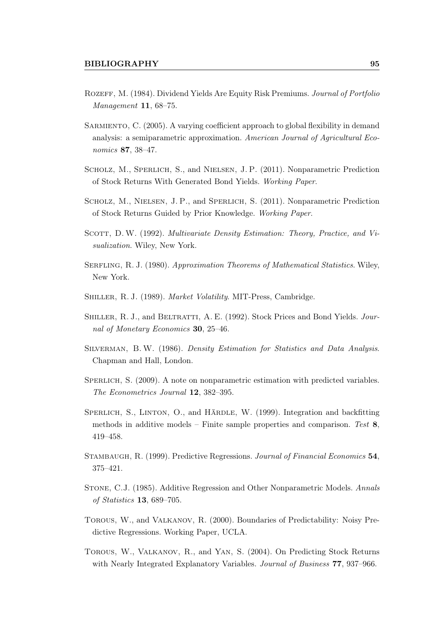- Rozeff, M. (1984). Dividend Yields Are Equity Risk Premiums. Journal of Portfolio Management 11, 68–75.
- SARMIENTO, C. (2005). A varying coefficient approach to global flexibility in demand analysis: a semiparametric approximation. American Journal of Agricultural Economics 87, 38–47.
- SCHOLZ, M., SPERLICH, S., and NIELSEN, J.P. (2011). Nonparametric Prediction of Stock Returns With Generated Bond Yields. Working Paper.
- Scholz, M., Nielsen, J. P., and Sperlich, S. (2011). Nonparametric Prediction of Stock Returns Guided by Prior Knowledge. Working Paper.
- SCOTT, D. W. (1992). Multivariate Density Estimation: Theory, Practice, and Visualization. Wiley, New York.
- Serfling, R. J. (1980). Approximation Theorems of Mathematical Statistics. Wiley, New York.
- Shiller, R. J. (1989). Market Volatility. MIT-Press, Cambridge.
- SHILLER, R. J., and BELTRATTI, A. E. (1992). Stock Prices and Bond Yields. Journal of Monetary Economics 30, 25–46.
- Silverman, B. W. (1986). Density Estimation for Statistics and Data Analysis. Chapman and Hall, London.
- SPERLICH, S. (2009). A note on nonparametric estimation with predicted variables. The Econometrics Journal 12, 382–395.
- SPERLICH, S., LINTON, O., and HÄRDLE, W. (1999). Integration and backfitting methods in additive models – Finite sample properties and comparison. Test  $\mathbf{8}$ , 419–458.
- Stambaugh, R. (1999). Predictive Regressions. Journal of Financial Economics 54, 375–421.
- Stone, C.J. (1985). Additive Regression and Other Nonparametric Models. Annals of Statistics 13, 689–705.
- Torous, W., and Valkanov, R. (2000). Boundaries of Predictability: Noisy Predictive Regressions. Working Paper, UCLA.
- Torous, W., Valkanov, R., and Yan, S. (2004). On Predicting Stock Returns with Nearly Integrated Explanatory Variables. Journal of Business 77, 937-966.